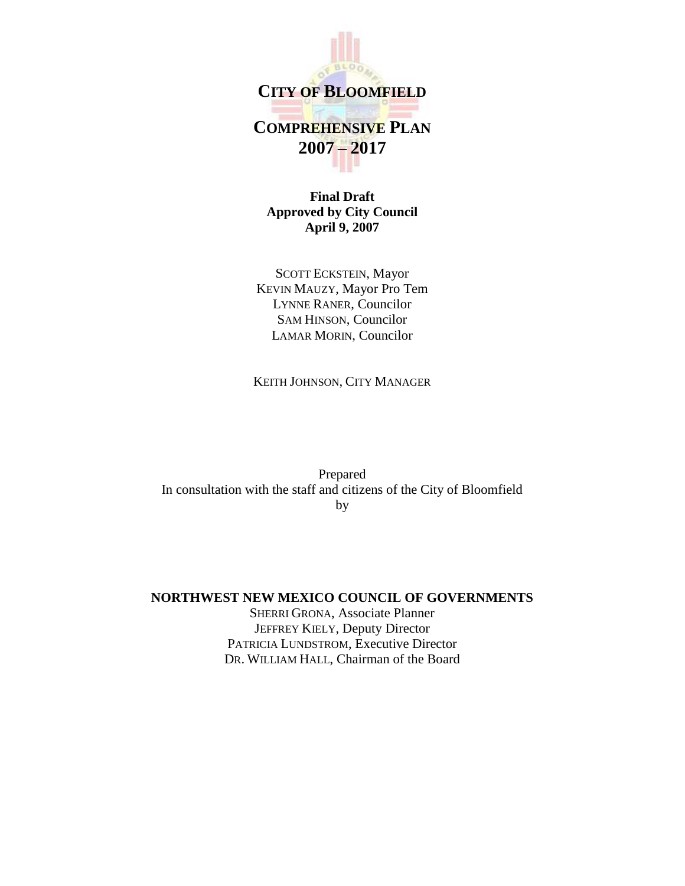

**CITY OF BLOOMFIELD**

# **COMPREHENSIVE PLAN 2007 – 2017**

**Final Draft Approved by City Council April 9, 2007**

SCOTT ECKSTEIN, Mayor KEVIN MAUZY, Mayor Pro Tem LYNNE RANER, Councilor SAM HINSON, Councilor LAMAR MORIN, Councilor

KEITH JOHNSON, CITY MANAGER

Prepared In consultation with the staff and citizens of the City of Bloomfield by

### **NORTHWEST NEW MEXICO COUNCIL OF GOVERNMENTS**

SHERRI GRONA, Associate Planner JEFFREY KIELY, Deputy Director PATRICIA LUNDSTROM, Executive Director DR. WILLIAM HALL, Chairman of the Board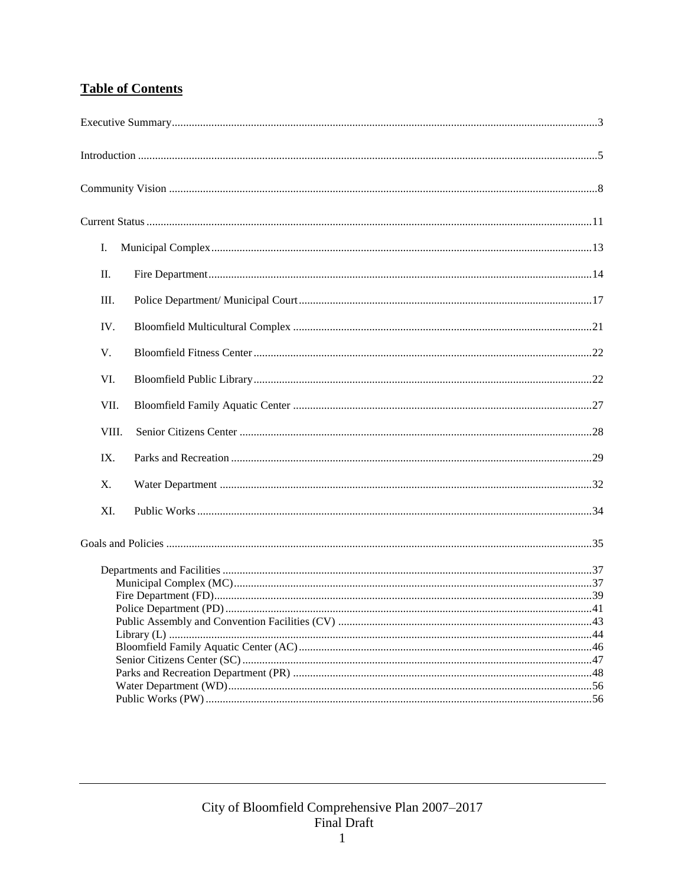### **Table of Contents**

| Ι.    |  |
|-------|--|
| П.    |  |
| III.  |  |
| IV.   |  |
| V.    |  |
| VI.   |  |
| VII.  |  |
| VIII. |  |
| IX.   |  |
| X.    |  |
| XI.   |  |
|       |  |
|       |  |
|       |  |
|       |  |
|       |  |
|       |  |
|       |  |
|       |  |
|       |  |
|       |  |
|       |  |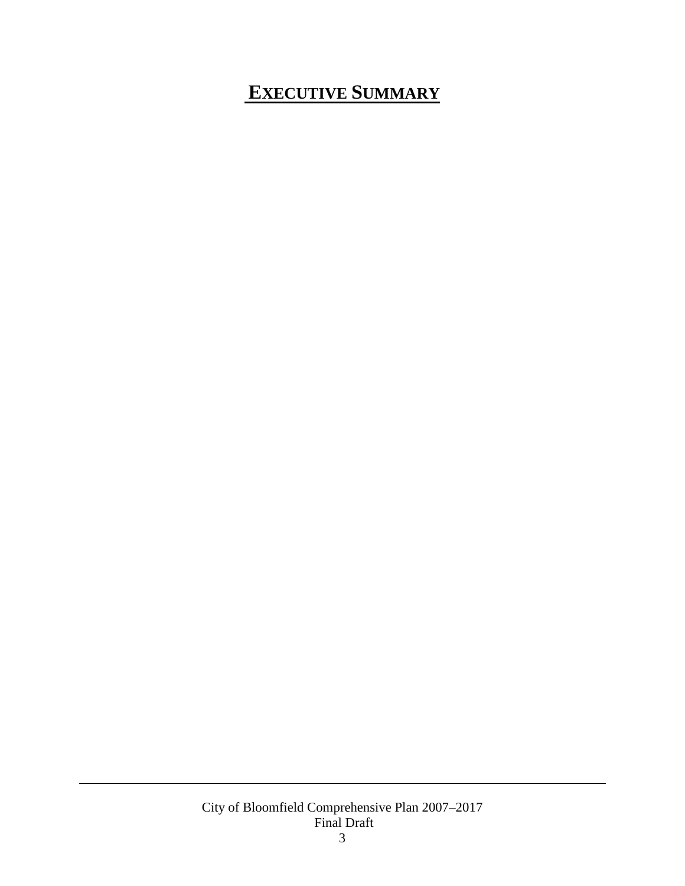# <span id="page-3-0"></span>**EXECUTIVE SUMMARY**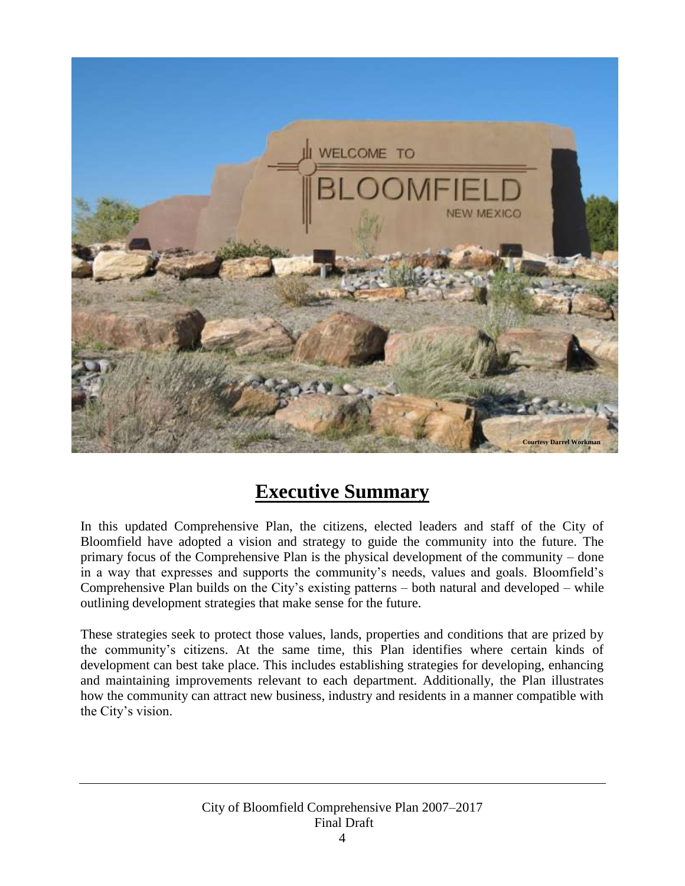

## **Executive Summary**

In this updated Comprehensive Plan, the citizens, elected leaders and staff of the City of Bloomfield have adopted a vision and strategy to guide the community into the future. The primary focus of the Comprehensive Plan is the physical development of the community – done in a way that expresses and supports the community's needs, values and goals. Bloomfield's Comprehensive Plan builds on the City's existing patterns – both natural and developed – while outlining development strategies that make sense for the future.

These strategies seek to protect those values, lands, properties and conditions that are prized by the community's citizens. At the same time, this Plan identifies where certain kinds of development can best take place. This includes establishing strategies for developing, enhancing and maintaining improvements relevant to each department. Additionally, the Plan illustrates how the community can attract new business, industry and residents in a manner compatible with the City's vision.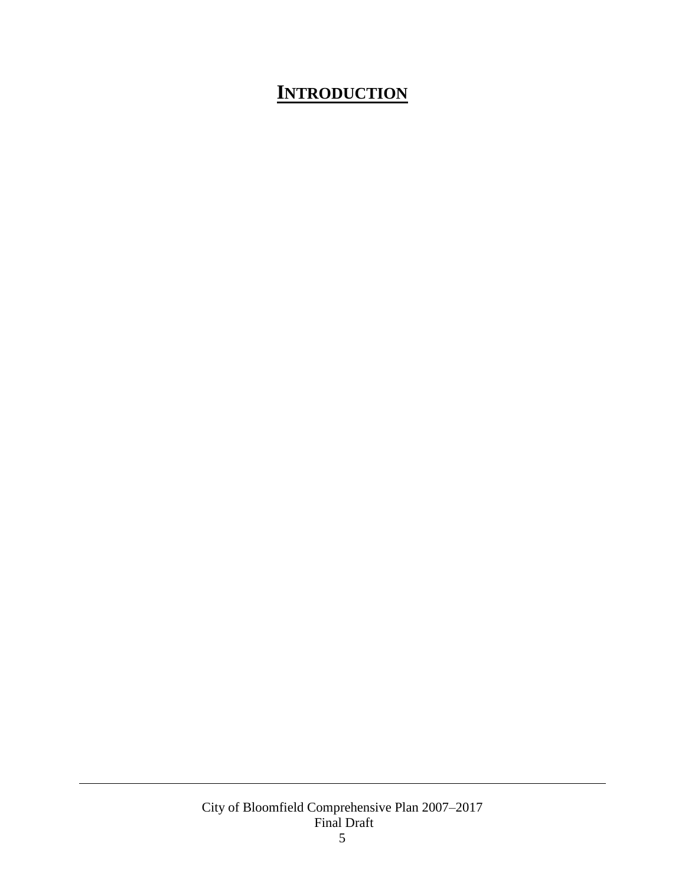# <span id="page-5-0"></span>**INTRODUCTION**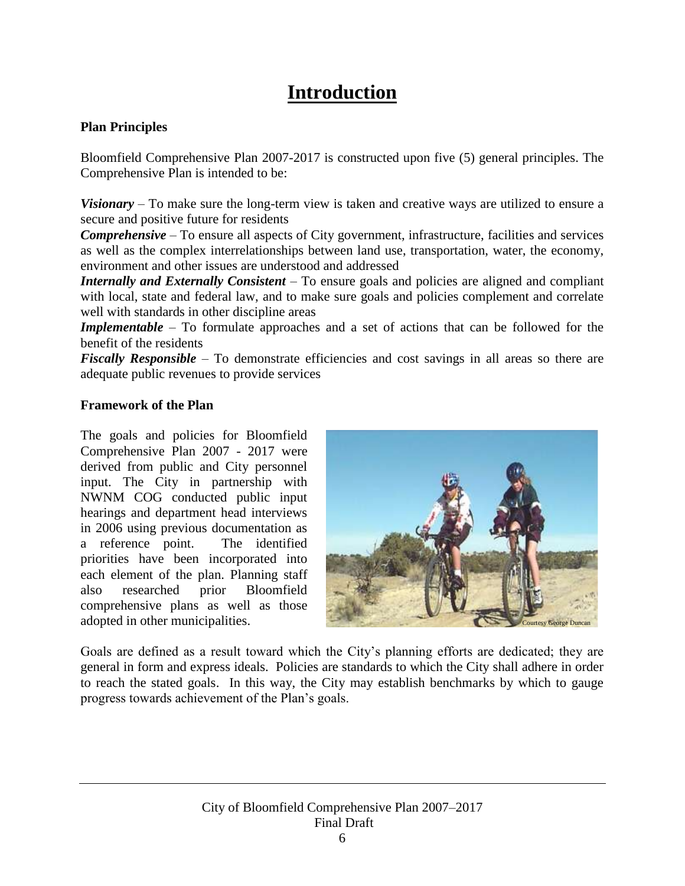## **Introduction**

### **Plan Principles**

Bloomfield Comprehensive Plan 2007-2017 is constructed upon five (5) general principles. The Comprehensive Plan is intended to be:

*Visionary* – To make sure the long-term view is taken and creative ways are utilized to ensure a secure and positive future for residents

*Comprehensive* – To ensure all aspects of City government, infrastructure, facilities and services as well as the complex interrelationships between land use, transportation, water, the economy, environment and other issues are understood and addressed

*Internally and Externally Consistent* – To ensure goals and policies are aligned and compliant with local, state and federal law, and to make sure goals and policies complement and correlate well with standards in other discipline areas

*Implementable* – To formulate approaches and a set of actions that can be followed for the benefit of the residents

*Fiscally Responsible* – To demonstrate efficiencies and cost savings in all areas so there are adequate public revenues to provide services

### **Framework of the Plan**

The goals and policies for Bloomfield Comprehensive Plan 2007 - 2017 were derived from public and City personnel input. The City in partnership with NWNM COG conducted public input hearings and department head interviews in 2006 using previous documentation as a reference point. The identified priorities have been incorporated into each element of the plan. Planning staff also researched prior Bloomfield comprehensive plans as well as those adopted in other municipalities.



Goals are defined as a result toward which the City's planning efforts are dedicated; they are general in form and express ideals. Policies are standards to which the City shall adhere in order to reach the stated goals. In this way, the City may establish benchmarks by which to gauge progress towards achievement of the Plan's goals.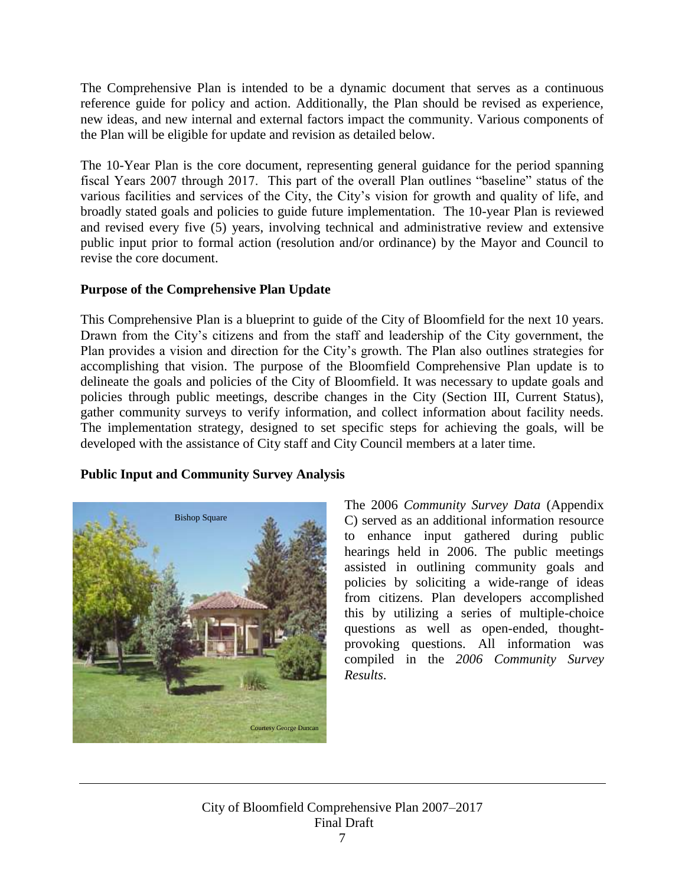The Comprehensive Plan is intended to be a dynamic document that serves as a continuous reference guide for policy and action. Additionally, the Plan should be revised as experience, new ideas, and new internal and external factors impact the community. Various components of the Plan will be eligible for update and revision as detailed below.

The 10-Year Plan is the core document, representing general guidance for the period spanning fiscal Years 2007 through 2017. This part of the overall Plan outlines "baseline" status of the various facilities and services of the City, the City's vision for growth and quality of life, and broadly stated goals and policies to guide future implementation. The 10-year Plan is reviewed and revised every five (5) years, involving technical and administrative review and extensive public input prior to formal action (resolution and/or ordinance) by the Mayor and Council to revise the core document.

### **Purpose of the Comprehensive Plan Update**

This Comprehensive Plan is a blueprint to guide of the City of Bloomfield for the next 10 years. Drawn from the City's citizens and from the staff and leadership of the City government, the Plan provides a vision and direction for the City's growth. The Plan also outlines strategies for accomplishing that vision. The purpose of the Bloomfield Comprehensive Plan update is to delineate the goals and policies of the City of Bloomfield. It was necessary to update goals and policies through public meetings, describe changes in the City (Section III, Current Status), gather community surveys to verify information, and collect information about facility needs. The implementation strategy, designed to set specific steps for achieving the goals, will be developed with the assistance of City staff and City Council members at a later time.

### **Public Input and Community Survey Analysis**



The 2006 *Community Survey Data* (Appendix C) served as an additional information resource to enhance input gathered during public hearings held in 2006. The public meetings assisted in outlining community goals and policies by soliciting a wide-range of ideas from citizens. Plan developers accomplished this by utilizing a series of multiple-choice questions as well as open-ended, thoughtprovoking questions. All information was compiled in the *2006 Community Survey Results*.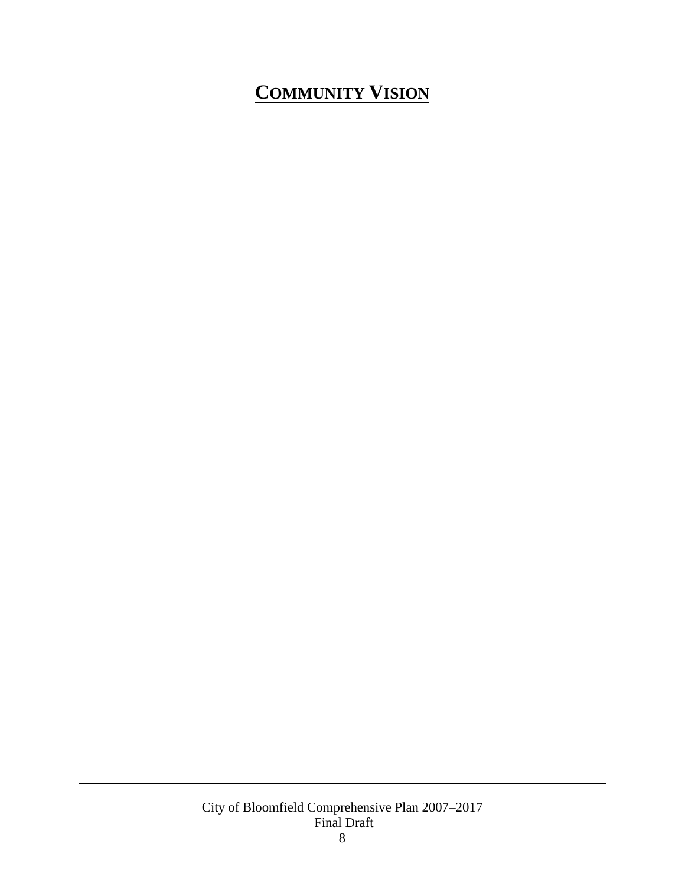# <span id="page-8-0"></span>**COMMUNITY VISION**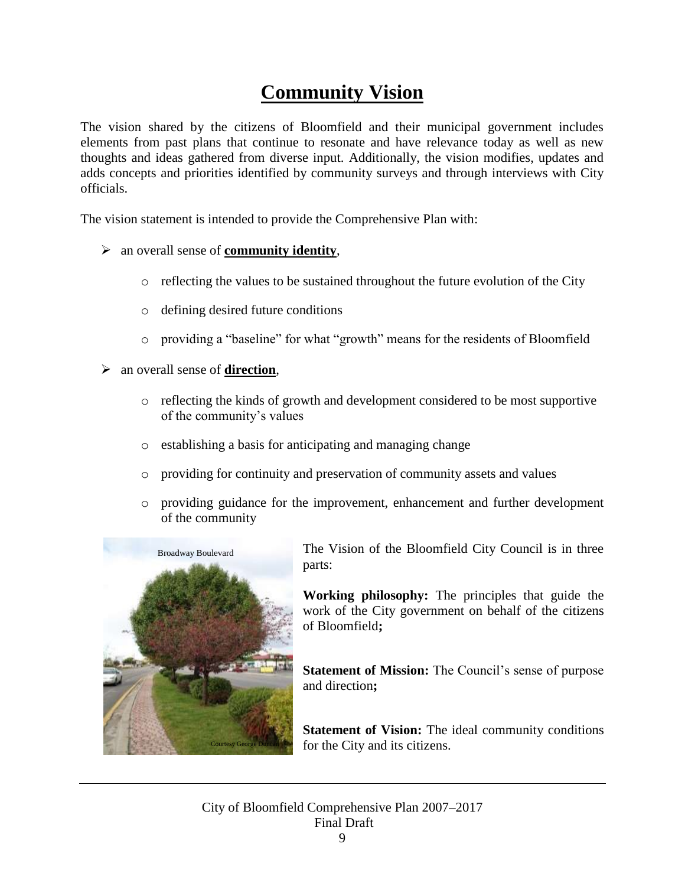# **Community Vision**

The vision shared by the citizens of Bloomfield and their municipal government includes elements from past plans that continue to resonate and have relevance today as well as new thoughts and ideas gathered from diverse input. Additionally, the vision modifies, updates and adds concepts and priorities identified by community surveys and through interviews with City officials.

The vision statement is intended to provide the Comprehensive Plan with:

- an overall sense of **community identity**,
	- $\circ$  reflecting the values to be sustained throughout the future evolution of the City
	- o defining desired future conditions
	- o providing a "baseline" for what "growth" means for the residents of Bloomfield
- an overall sense of **direction**,
	- o reflecting the kinds of growth and development considered to be most supportive of the community's values
	- o establishing a basis for anticipating and managing change
	- o providing for continuity and preservation of community assets and values
	- o providing guidance for the improvement, enhancement and further development of the community



The Vision of the Bloomfield City Council is in three parts:

**Working philosophy:** The principles that guide the work of the City government on behalf of the citizens of Bloomfield**;**

**Statement of Mission:** The Council's sense of purpose and direction**;** 

**Statement of Vision:** The ideal community conditions for the City and its citizens.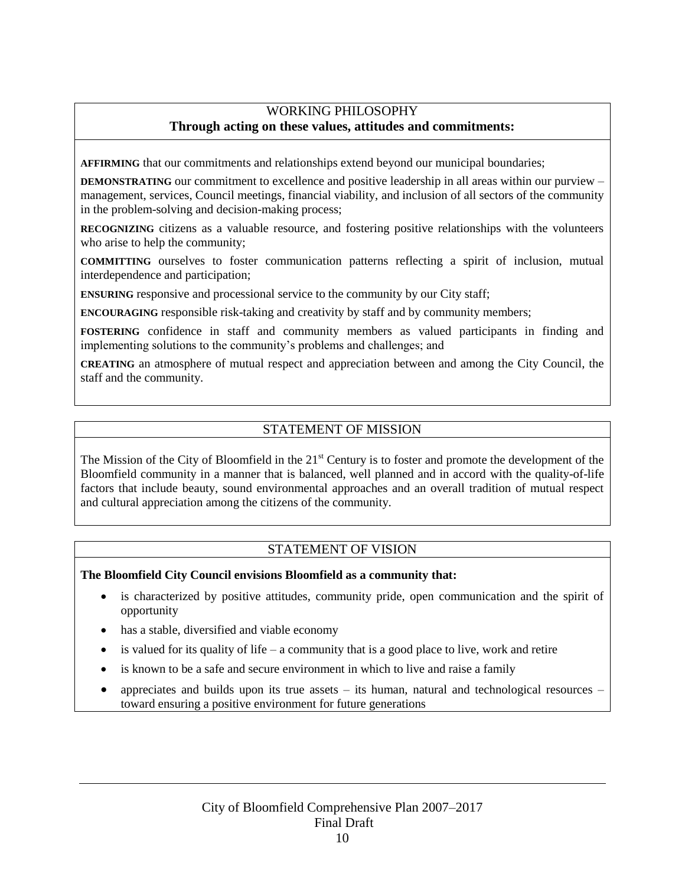### WORKING PHILOSOPHY **Through acting on these values, attitudes and commitments:**

**AFFIRMING** that our commitments and relationships extend beyond our municipal boundaries;

**DEMONSTRATING** our commitment to excellence and positive leadership in all areas within our purview – management, services, Council meetings, financial viability, and inclusion of all sectors of the community in the problem-solving and decision-making process;

**RECOGNIZING** citizens as a valuable resource, and fostering positive relationships with the volunteers who arise to help the community;

**COMMITTING** ourselves to foster communication patterns reflecting a spirit of inclusion, mutual interdependence and participation;

**ENSURING** responsive and processional service to the community by our City staff;

**ENCOURAGING** responsible risk-taking and creativity by staff and by community members;

**FOSTERING** confidence in staff and community members as valued participants in finding and implementing solutions to the community's problems and challenges; and

**CREATING** an atmosphere of mutual respect and appreciation between and among the City Council, the staff and the community.

### STATEMENT OF MISSION

The Mission of the City of Bloomfield in the 21<sup>st</sup> Century is to foster and promote the development of the Bloomfield community in a manner that is balanced, well planned and in accord with the quality-of-life factors that include beauty, sound environmental approaches and an overall tradition of mutual respect and cultural appreciation among the citizens of the community.

### STATEMENT OF VISION

**The Bloomfield City Council envisions Bloomfield as a community that:**

- is characterized by positive attitudes, community pride, open communication and the spirit of opportunity
- has a stable, diversified and viable economy
- is valued for its quality of life a community that is a good place to live, work and retire
- is known to be a safe and secure environment in which to live and raise a family
- appreciates and builds upon its true assets its human, natural and technological resources toward ensuring a positive environment for future generations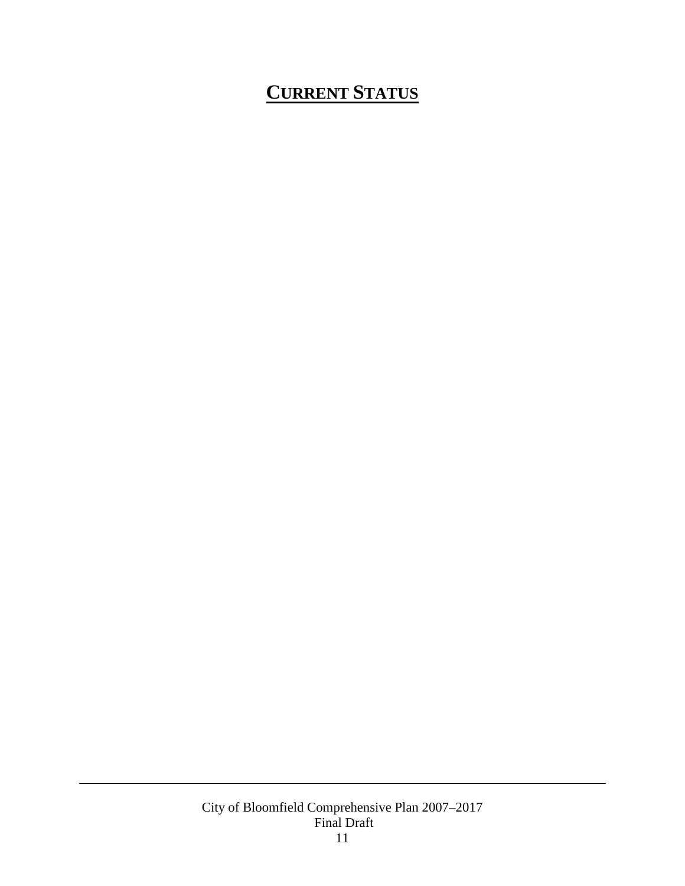# <span id="page-11-0"></span>**CURRENT STATUS**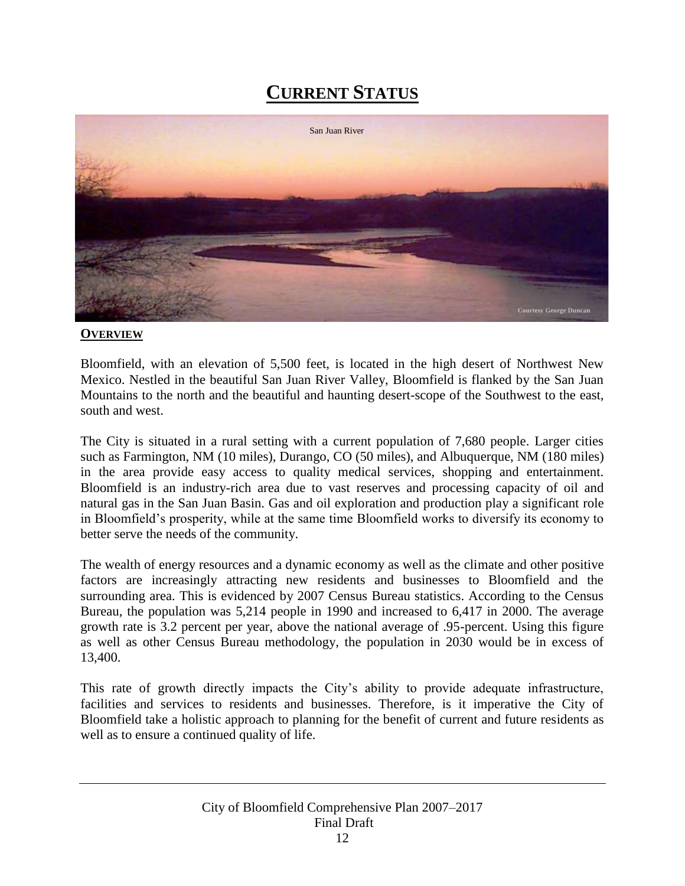# **CURRENT STATUS**



### **OVERVIEW**

Bloomfield, with an elevation of 5,500 feet, is located in the high desert of Northwest New Mexico. Nestled in the beautiful San Juan River Valley, Bloomfield is flanked by the San Juan Mountains to the north and the beautiful and haunting desert-scope of the Southwest to the east, south and west.

The City is situated in a rural setting with a current population of 7,680 people. Larger cities such as Farmington, NM (10 miles), Durango, CO (50 miles), and Albuquerque, NM (180 miles) in the area provide easy access to quality medical services, shopping and entertainment. Bloomfield is an industry-rich area due to vast reserves and processing capacity of oil and natural gas in the San Juan Basin. Gas and oil exploration and production play a significant role in Bloomfield's prosperity, while at the same time Bloomfield works to diversify its economy to better serve the needs of the community.

The wealth of energy resources and a dynamic economy as well as the climate and other positive factors are increasingly attracting new residents and businesses to Bloomfield and the surrounding area. This is evidenced by 2007 Census Bureau statistics. According to the Census Bureau, the population was 5,214 people in 1990 and increased to 6,417 in 2000. The average growth rate is 3.2 percent per year, above the national average of .95-percent. Using this figure as well as other Census Bureau methodology, the population in 2030 would be in excess of 13,400.

This rate of growth directly impacts the City's ability to provide adequate infrastructure, facilities and services to residents and businesses. Therefore, is it imperative the City of Bloomfield take a holistic approach to planning for the benefit of current and future residents as well as to ensure a continued quality of life.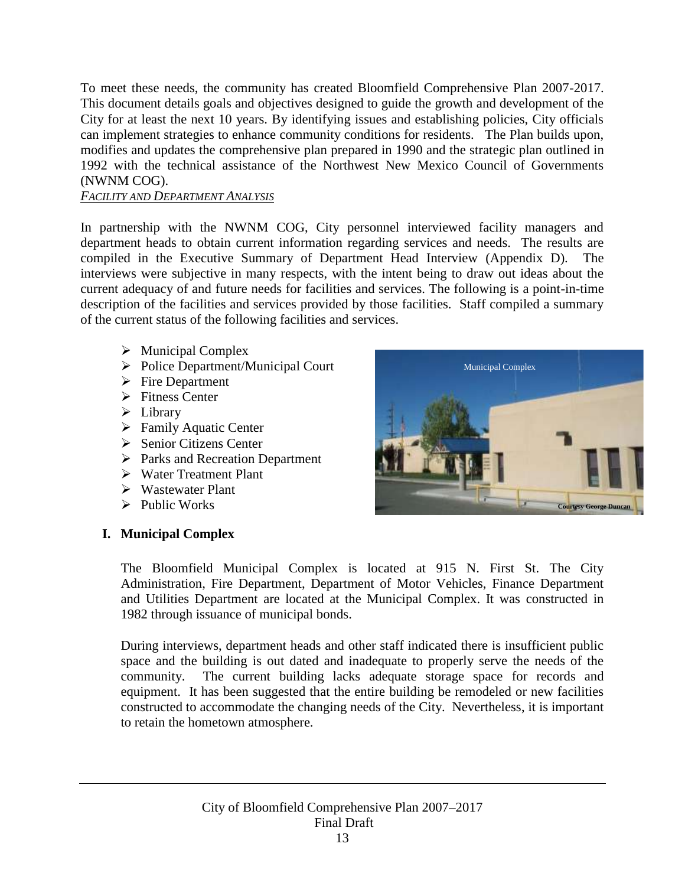To meet these needs, the community has created Bloomfield Comprehensive Plan 2007-2017. This document details goals and objectives designed to guide the growth and development of the City for at least the next 10 years. By identifying issues and establishing policies, City officials can implement strategies to enhance community conditions for residents. The Plan builds upon, modifies and updates the comprehensive plan prepared in 1990 and the strategic plan outlined in 1992 with the technical assistance of the Northwest New Mexico Council of Governments (NWNM COG).

### *FACILITY AND DEPARTMENT ANALYSIS*

In partnership with the NWNM COG, City personnel interviewed facility managers and department heads to obtain current information regarding services and needs. The results are compiled in the Executive Summary of Department Head Interview (Appendix D). The interviews were subjective in many respects, with the intent being to draw out ideas about the current adequacy of and future needs for facilities and services. The following is a point-in-time description of the facilities and services provided by those facilities. Staff compiled a summary of the current status of the following facilities and services.

- $\triangleright$  Municipal Complex
- Police Department/Municipal Court
- $\triangleright$  Fire Department
- $\triangleright$  Fitness Center
- $\triangleright$  Library
- **Family Aquatic Center**
- **►** Senior Citizens Center
- $\triangleright$  Parks and Recreation Department
- Water Treatment Plant
- Wastewater Plant
- $\triangleright$  Public Works

### <span id="page-13-0"></span>**I. Municipal Complex**



The Bloomfield Municipal Complex is located at 915 N. First St. The City Administration, Fire Department, Department of Motor Vehicles, Finance Department and Utilities Department are located at the Municipal Complex. It was constructed in 1982 through issuance of municipal bonds.

During interviews, department heads and other staff indicated there is insufficient public space and the building is out dated and inadequate to properly serve the needs of the community. The current building lacks adequate storage space for records and equipment. It has been suggested that the entire building be remodeled or new facilities constructed to accommodate the changing needs of the City. Nevertheless, it is important to retain the hometown atmosphere.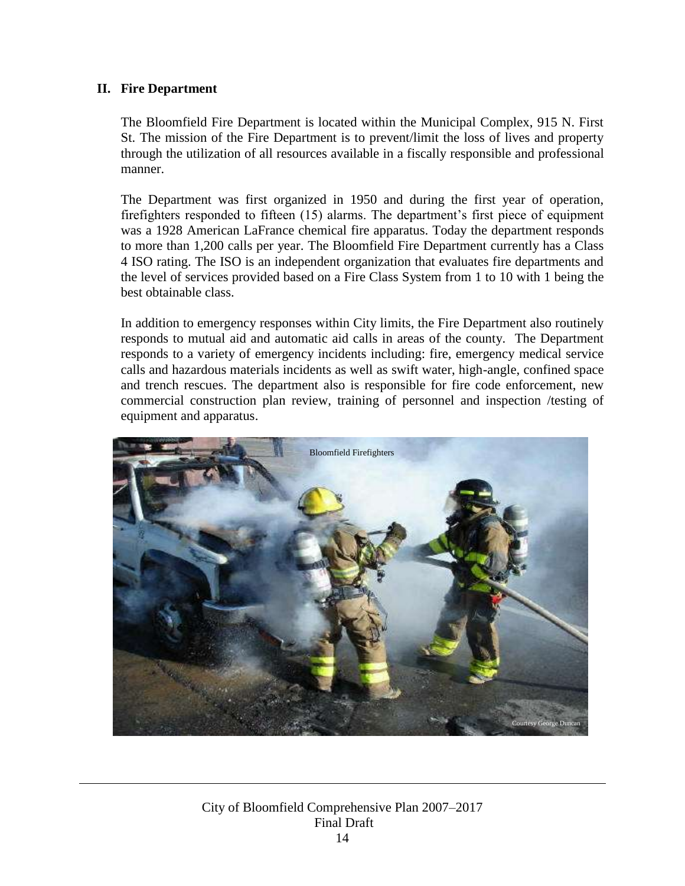### <span id="page-14-0"></span>**II. Fire Department**

The Bloomfield Fire Department is located within the Municipal Complex, 915 N. First St. The mission of the Fire Department is to prevent/limit the loss of lives and property through the utilization of all resources available in a fiscally responsible and professional manner.

The Department was first organized in 1950 and during the first year of operation, firefighters responded to fifteen (15) alarms. The department's first piece of equipment was a 1928 American LaFrance chemical fire apparatus. Today the department responds to more than 1,200 calls per year. The Bloomfield Fire Department currently has a Class 4 ISO rating. The ISO is an independent organization that evaluates fire departments and the level of services provided based on a Fire Class System from 1 to 10 with 1 being the best obtainable class.

In addition to emergency responses within City limits, the Fire Department also routinely responds to mutual aid and automatic aid calls in areas of the county. The Department responds to a variety of emergency incidents including: fire, emergency medical service calls and hazardous materials incidents as well as swift water, high-angle, confined space and trench rescues. The department also is responsible for fire code enforcement, new commercial construction plan review, training of personnel and inspection /testing of equipment and apparatus.

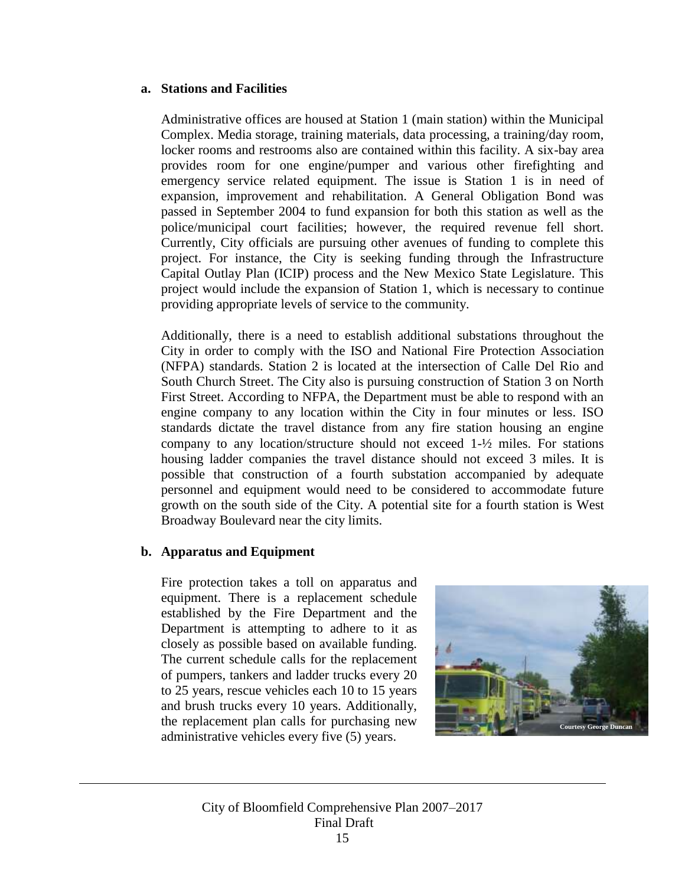### **a. Stations and Facilities**

Administrative offices are housed at Station 1 (main station) within the Municipal Complex. Media storage, training materials, data processing, a training/day room, locker rooms and restrooms also are contained within this facility. A six-bay area provides room for one engine/pumper and various other firefighting and emergency service related equipment. The issue is Station 1 is in need of expansion, improvement and rehabilitation. A General Obligation Bond was passed in September 2004 to fund expansion for both this station as well as the police/municipal court facilities; however, the required revenue fell short. Currently, City officials are pursuing other avenues of funding to complete this project. For instance, the City is seeking funding through the Infrastructure Capital Outlay Plan (ICIP) process and the New Mexico State Legislature. This project would include the expansion of Station 1, which is necessary to continue providing appropriate levels of service to the community.

Additionally, there is a need to establish additional substations throughout the City in order to comply with the ISO and National Fire Protection Association (NFPA) standards. Station 2 is located at the intersection of Calle Del Rio and South Church Street. The City also is pursuing construction of Station 3 on North First Street. According to NFPA, the Department must be able to respond with an engine company to any location within the City in four minutes or less. ISO standards dictate the travel distance from any fire station housing an engine company to any location/structure should not exceed  $1-\frac{1}{2}$  miles. For stations housing ladder companies the travel distance should not exceed 3 miles. It is possible that construction of a fourth substation accompanied by adequate personnel and equipment would need to be considered to accommodate future growth on the south side of the City. A potential site for a fourth station is West Broadway Boulevard near the city limits.

### **b. Apparatus and Equipment**

Fire protection takes a toll on apparatus and equipment. There is a replacement schedule established by the Fire Department and the Department is attempting to adhere to it as closely as possible based on available funding. The current schedule calls for the replacement of pumpers, tankers and ladder trucks every 20 to 25 years, rescue vehicles each 10 to 15 years and brush trucks every 10 years. Additionally, the replacement plan calls for purchasing new administrative vehicles every five (5) years.

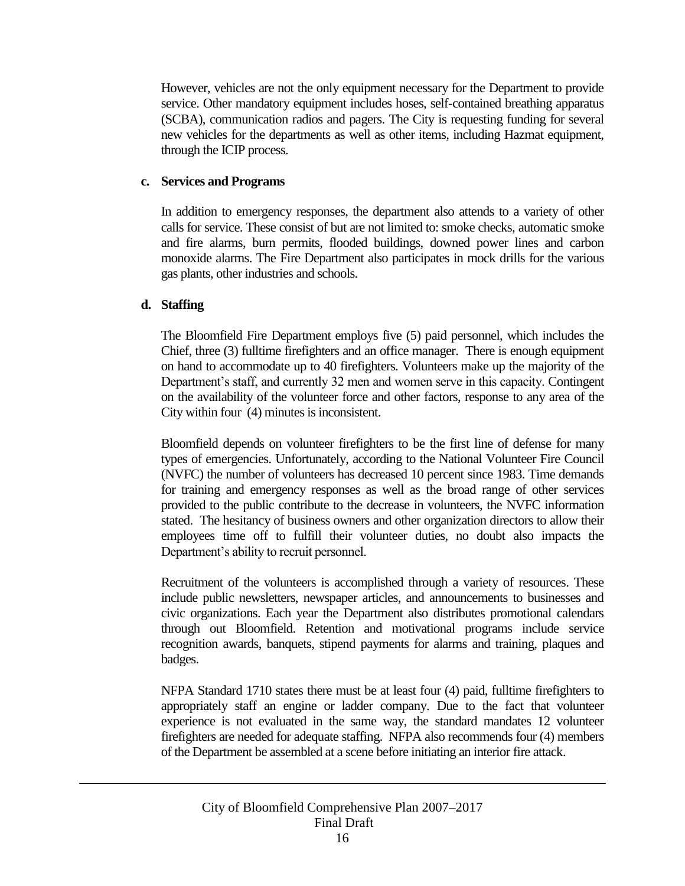However, vehicles are not the only equipment necessary for the Department to provide service. Other mandatory equipment includes hoses, self-contained breathing apparatus (SCBA), communication radios and pagers. The City is requesting funding for several new vehicles for the departments as well as other items, including Hazmat equipment, through the ICIP process.

### **c. Services and Programs**

In addition to emergency responses, the department also attends to a variety of other calls for service. These consist of but are not limited to: smoke checks, automatic smoke and fire alarms, burn permits, flooded buildings, downed power lines and carbon monoxide alarms. The Fire Department also participates in mock drills for the various gas plants, other industries and schools.

### **d. Staffing**

The Bloomfield Fire Department employs five (5) paid personnel, which includes the Chief, three (3) fulltime firefighters and an office manager. There is enough equipment on hand to accommodate up to 40 firefighters. Volunteers make up the majority of the Department's staff, and currently 32 men and women serve in this capacity. Contingent on the availability of the volunteer force and other factors, response to any area of the City within four (4) minutes is inconsistent.

Bloomfield depends on volunteer firefighters to be the first line of defense for many types of emergencies. Unfortunately, according to the National Volunteer Fire Council (NVFC) the number of volunteers has decreased 10 percent since 1983. Time demands for training and emergency responses as well as the broad range of other services provided to the public contribute to the decrease in volunteers, the NVFC information stated. The hesitancy of business owners and other organization directors to allow their employees time off to fulfill their volunteer duties, no doubt also impacts the Department's ability to recruit personnel.

Recruitment of the volunteers is accomplished through a variety of resources. These include public newsletters, newspaper articles, and announcements to businesses and civic organizations. Each year the Department also distributes promotional calendars through out Bloomfield. Retention and motivational programs include service recognition awards, banquets, stipend payments for alarms and training, plaques and badges.

NFPA Standard 1710 states there must be at least four (4) paid, fulltime firefighters to appropriately staff an engine or ladder company. Due to the fact that volunteer experience is not evaluated in the same way, the standard mandates 12 volunteer firefighters are needed for adequate staffing. NFPA also recommends four (4) members of the Department be assembled at a scene before initiating an interior fire attack.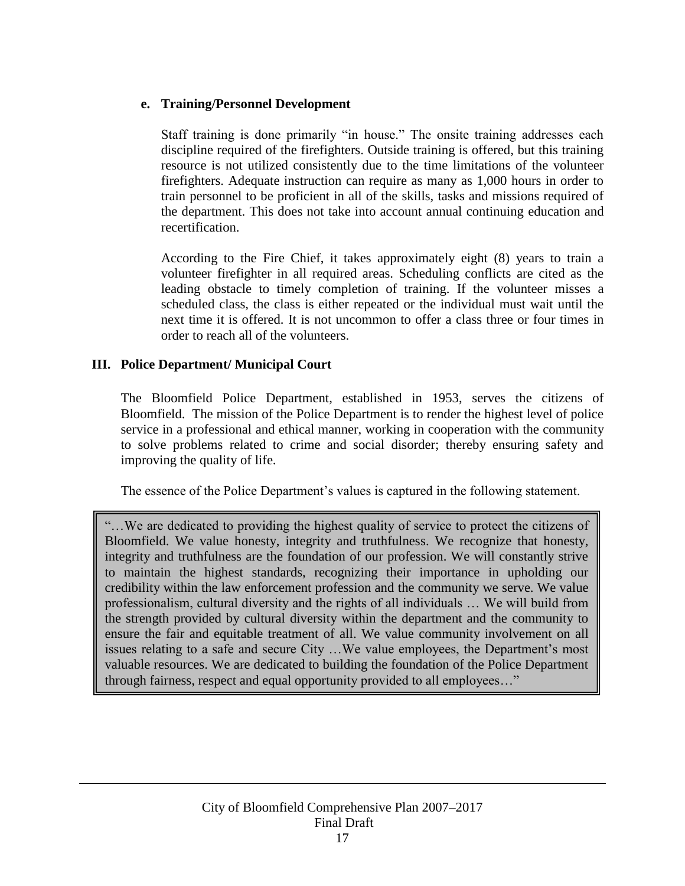### **e. Training/Personnel Development**

Staff training is done primarily "in house." The onsite training addresses each discipline required of the firefighters. Outside training is offered, but this training resource is not utilized consistently due to the time limitations of the volunteer firefighters. Adequate instruction can require as many as 1,000 hours in order to train personnel to be proficient in all of the skills, tasks and missions required of the department. This does not take into account annual continuing education and recertification.

According to the Fire Chief, it takes approximately eight (8) years to train a volunteer firefighter in all required areas. Scheduling conflicts are cited as the leading obstacle to timely completion of training. If the volunteer misses a scheduled class, the class is either repeated or the individual must wait until the next time it is offered. It is not uncommon to offer a class three or four times in order to reach all of the volunteers.

### <span id="page-17-0"></span>**III. Police Department/ Municipal Court**

The Bloomfield Police Department, established in 1953, serves the citizens of Bloomfield. The mission of the Police Department is to render the highest level of police service in a professional and ethical manner, working in cooperation with the community to solve problems related to crime and social disorder; thereby ensuring safety and improving the quality of life.

The essence of the Police Department's values is captured in the following statement.

"…We are dedicated to providing the highest quality of service to protect the citizens of Bloomfield. We value honesty, integrity and truthfulness. We recognize that honesty, integrity and truthfulness are the foundation of our profession. We will constantly strive to maintain the highest standards, recognizing their importance in upholding our credibility within the law enforcement profession and the community we serve. We value professionalism, cultural diversity and the rights of all individuals … We will build from the strength provided by cultural diversity within the department and the community to ensure the fair and equitable treatment of all. We value community involvement on all issues relating to a safe and secure City …We value employees, the Department's most valuable resources. We are dedicated to building the foundation of the Police Department through fairness, respect and equal opportunity provided to all employees…"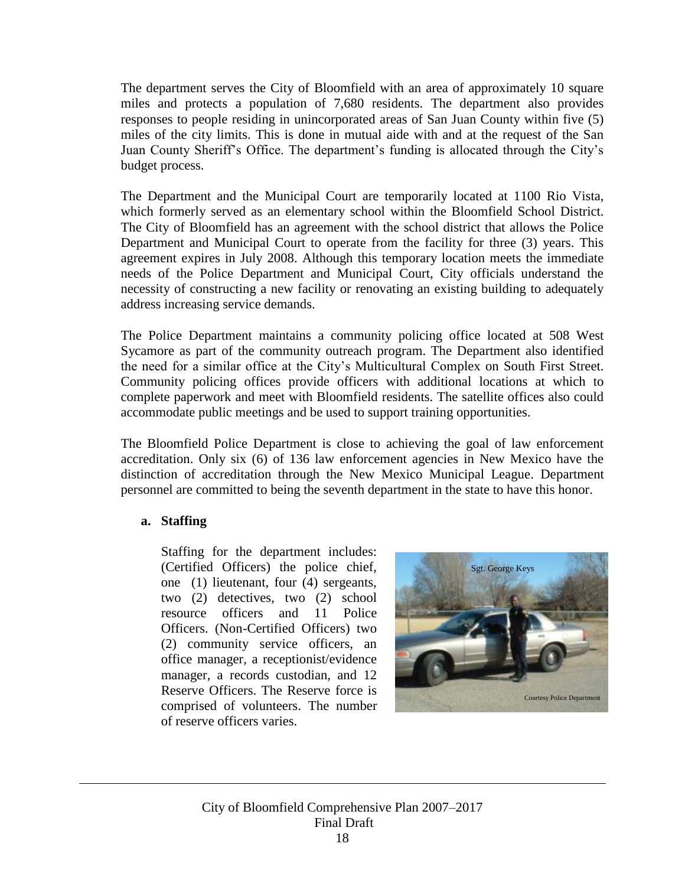The department serves the City of Bloomfield with an area of approximately 10 square miles and protects a population of 7,680 residents. The department also provides responses to people residing in unincorporated areas of San Juan County within five (5) miles of the city limits. This is done in mutual aide with and at the request of the San Juan County Sheriff's Office. The department's funding is allocated through the City's budget process.

The Department and the Municipal Court are temporarily located at 1100 Rio Vista, which formerly served as an elementary school within the Bloomfield School District. The City of Bloomfield has an agreement with the school district that allows the Police Department and Municipal Court to operate from the facility for three (3) years. This agreement expires in July 2008. Although this temporary location meets the immediate needs of the Police Department and Municipal Court, City officials understand the necessity of constructing a new facility or renovating an existing building to adequately address increasing service demands.

The Police Department maintains a community policing office located at 508 West Sycamore as part of the community outreach program. The Department also identified the need for a similar office at the City's Multicultural Complex on South First Street. Community policing offices provide officers with additional locations at which to complete paperwork and meet with Bloomfield residents. The satellite offices also could accommodate public meetings and be used to support training opportunities.

The Bloomfield Police Department is close to achieving the goal of law enforcement accreditation. Only six (6) of 136 law enforcement agencies in New Mexico have the distinction of accreditation through the New Mexico Municipal League. Department personnel are committed to being the seventh department in the state to have this honor.

### **a. Staffing**

Staffing for the department includes: (Certified Officers) the police chief, one (1) lieutenant, four (4) sergeants, two (2) detectives, two (2) school resource officers and 11 Police Officers. (Non-Certified Officers) two (2) community service officers, an office manager, a receptionist/evidence manager, a records custodian, and 12 Reserve Officers. The Reserve force is comprised of volunteers. The number of reserve officers varies.

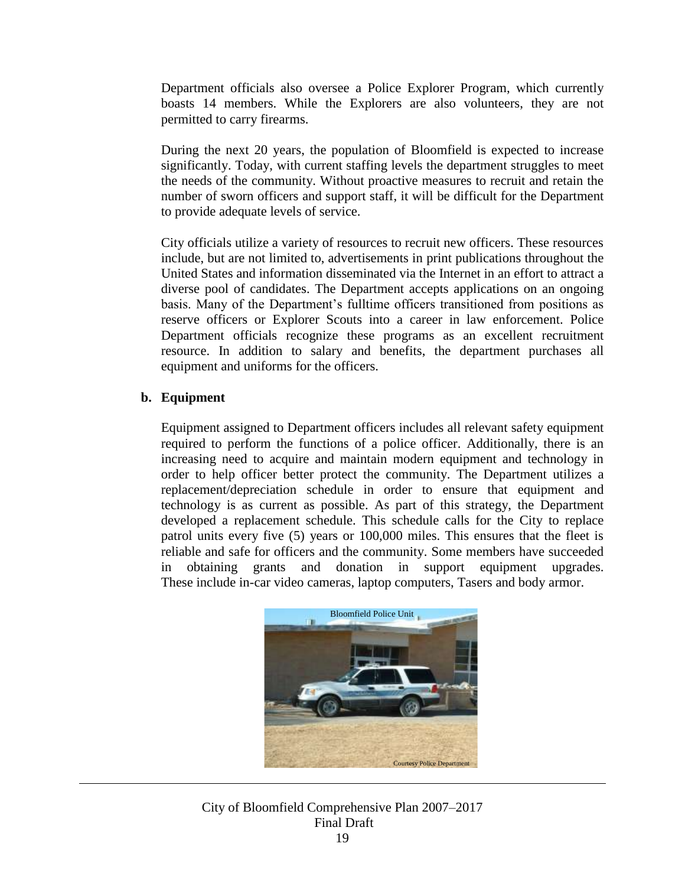Department officials also oversee a Police Explorer Program, which currently boasts 14 members. While the Explorers are also volunteers, they are not permitted to carry firearms.

During the next 20 years, the population of Bloomfield is expected to increase significantly. Today, with current staffing levels the department struggles to meet the needs of the community. Without proactive measures to recruit and retain the number of sworn officers and support staff, it will be difficult for the Department to provide adequate levels of service.

City officials utilize a variety of resources to recruit new officers. These resources include, but are not limited to, advertisements in print publications throughout the United States and information disseminated via the Internet in an effort to attract a diverse pool of candidates. The Department accepts applications on an ongoing basis. Many of the Department's fulltime officers transitioned from positions as reserve officers or Explorer Scouts into a career in law enforcement. Police Department officials recognize these programs as an excellent recruitment resource. In addition to salary and benefits, the department purchases all equipment and uniforms for the officers.

### **b. Equipment**

Equipment assigned to Department officers includes all relevant safety equipment required to perform the functions of a police officer. Additionally, there is an increasing need to acquire and maintain modern equipment and technology in order to help officer better protect the community. The Department utilizes a replacement/depreciation schedule in order to ensure that equipment and technology is as current as possible. As part of this strategy, the Department developed a replacement schedule. This schedule calls for the City to replace patrol units every five (5) years or 100,000 miles. This ensures that the fleet is reliable and safe for officers and the community. Some members have succeeded in obtaining grants and donation in support equipment upgrades. These include in-car video cameras, laptop computers, Tasers and body armor.



### City of Bloomfield Comprehensive Plan 2007–2017 Final Draft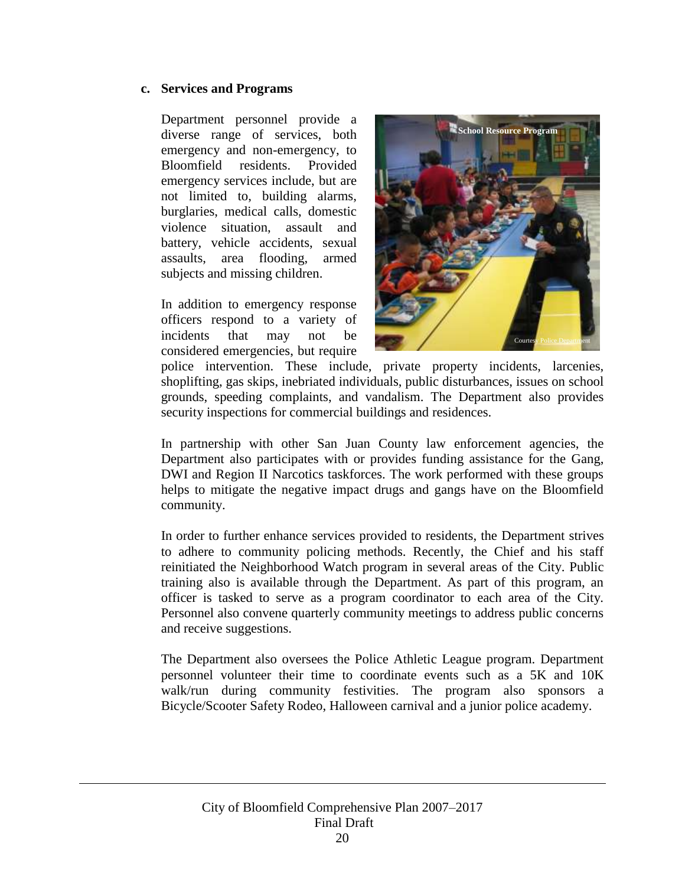### **c. Services and Programs**

Department personnel provide a diverse range of services, both emergency and non-emergency, to Bloomfield residents. Provided emergency services include, but are not limited to, building alarms, burglaries, medical calls, domestic violence situation, assault and battery, vehicle accidents, sexual assaults, area flooding, armed subjects and missing children.

In addition to emergency response officers respond to a variety of incidents that may not be considered emergencies, but require



police intervention. These include, private property incidents, larcenies, shoplifting, gas skips, inebriated individuals, public disturbances, issues on school grounds, speeding complaints, and vandalism. The Department also provides security inspections for commercial buildings and residences.

In partnership with other San Juan County law enforcement agencies, the Department also participates with or provides funding assistance for the Gang, DWI and Region II Narcotics taskforces. The work performed with these groups helps to mitigate the negative impact drugs and gangs have on the Bloomfield community.

In order to further enhance services provided to residents, the Department strives to adhere to community policing methods. Recently, the Chief and his staff reinitiated the Neighborhood Watch program in several areas of the City. Public training also is available through the Department. As part of this program, an officer is tasked to serve as a program coordinator to each area of the City. Personnel also convene quarterly community meetings to address public concerns and receive suggestions.

The Department also oversees the Police Athletic League program. Department personnel volunteer their time to coordinate events such as a 5K and 10K walk/run during community festivities. The program also sponsors a Bicycle/Scooter Safety Rodeo, Halloween carnival and a junior police academy.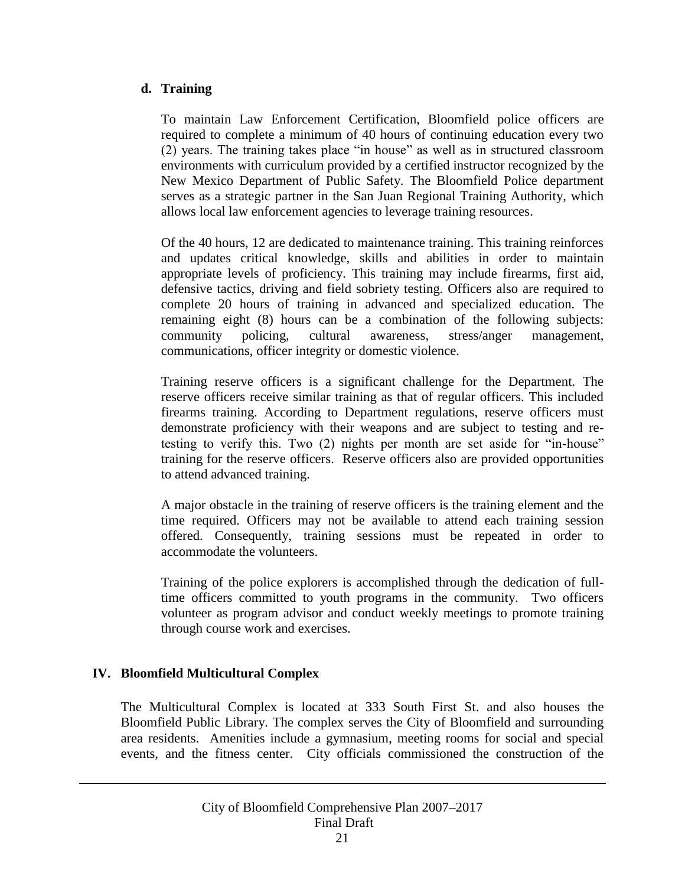### **d. Training**

To maintain Law Enforcement Certification, Bloomfield police officers are required to complete a minimum of 40 hours of continuing education every two (2) years. The training takes place "in house" as well as in structured classroom environments with curriculum provided by a certified instructor recognized by the New Mexico Department of Public Safety. The Bloomfield Police department serves as a strategic partner in the San Juan Regional Training Authority, which allows local law enforcement agencies to leverage training resources.

Of the 40 hours, 12 are dedicated to maintenance training. This training reinforces and updates critical knowledge, skills and abilities in order to maintain appropriate levels of proficiency. This training may include firearms, first aid, defensive tactics, driving and field sobriety testing. Officers also are required to complete 20 hours of training in advanced and specialized education. The remaining eight (8) hours can be a combination of the following subjects: community policing, cultural awareness, stress/anger management, communications, officer integrity or domestic violence.

Training reserve officers is a significant challenge for the Department. The reserve officers receive similar training as that of regular officers. This included firearms training. According to Department regulations, reserve officers must demonstrate proficiency with their weapons and are subject to testing and retesting to verify this. Two (2) nights per month are set aside for "in-house" training for the reserve officers. Reserve officers also are provided opportunities to attend advanced training.

A major obstacle in the training of reserve officers is the training element and the time required. Officers may not be available to attend each training session offered. Consequently, training sessions must be repeated in order to accommodate the volunteers.

Training of the police explorers is accomplished through the dedication of fulltime officers committed to youth programs in the community. Two officers volunteer as program advisor and conduct weekly meetings to promote training through course work and exercises.

### <span id="page-21-0"></span>**IV. Bloomfield Multicultural Complex**

The Multicultural Complex is located at 333 South First St. and also houses the Bloomfield Public Library. The complex serves the City of Bloomfield and surrounding area residents. Amenities include a gymnasium, meeting rooms for social and special events, and the fitness center. City officials commissioned the construction of the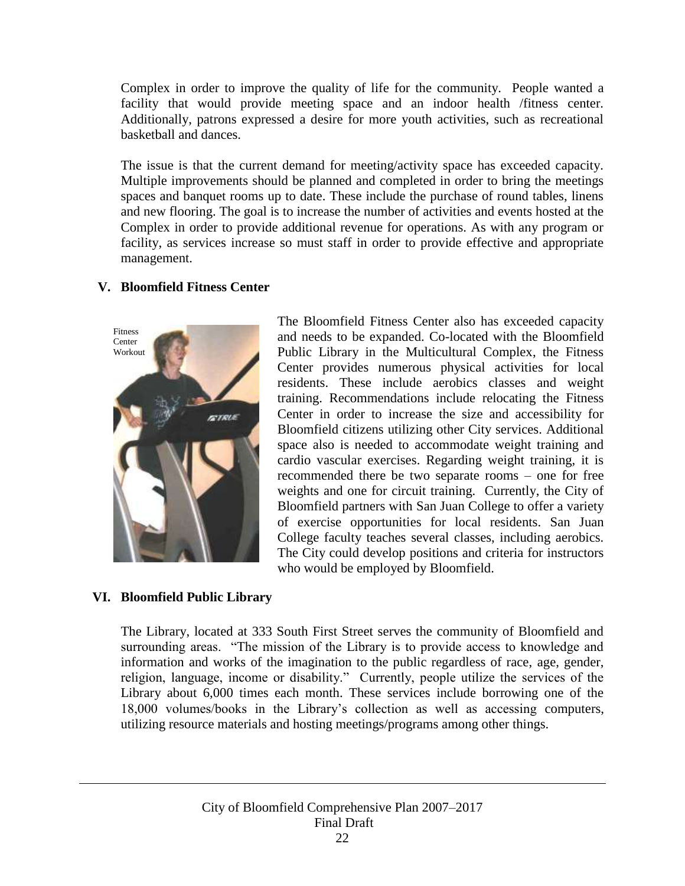Complex in order to improve the quality of life for the community. People wanted a facility that would provide meeting space and an indoor health /fitness center. Additionally, patrons expressed a desire for more youth activities, such as recreational basketball and dances.

The issue is that the current demand for meeting/activity space has exceeded capacity. Multiple improvements should be planned and completed in order to bring the meetings spaces and banquet rooms up to date. These include the purchase of round tables, linens and new flooring. The goal is to increase the number of activities and events hosted at the Complex in order to provide additional revenue for operations. As with any program or facility, as services increase so must staff in order to provide effective and appropriate management.

### <span id="page-22-0"></span>**V. Bloomfield Fitness Center**



The Bloomfield Fitness Center also has exceeded capacity and needs to be expanded. Co-located with the Bloomfield Public Library in the Multicultural Complex, the Fitness Center provides numerous physical activities for local residents. These include aerobics classes and weight training. Recommendations include relocating the Fitness Center in order to increase the size and accessibility for Bloomfield citizens utilizing other City services. Additional space also is needed to accommodate weight training and cardio vascular exercises. Regarding weight training, it is recommended there be two separate rooms – one for free weights and one for circuit training. Currently, the City of Bloomfield partners with San Juan College to offer a variety of exercise opportunities for local residents. San Juan College faculty teaches several classes, including aerobics. The City could develop positions and criteria for instructors who would be employed by Bloomfield.

### <span id="page-22-1"></span>**VI. Bloomfield Public Library**

The Library, located at 333 South First Street serves the community of Bloomfield and surrounding areas. "The mission of the Library is to provide access to knowledge and information and works of the imagination to the public regardless of race, age, gender, religion, language, income or disability." Currently, people utilize the services of the Library about 6,000 times each month. These services include borrowing one of the 18,000 volumes/books in the Library's collection as well as accessing computers, utilizing resource materials and hosting meetings/programs among other things.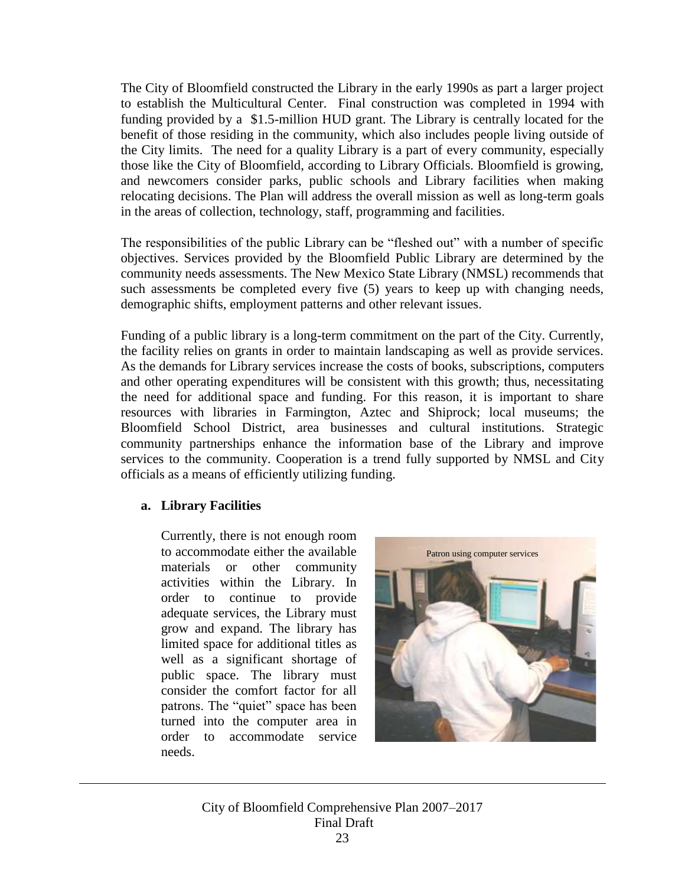The City of Bloomfield constructed the Library in the early 1990s as part a larger project to establish the Multicultural Center. Final construction was completed in 1994 with funding provided by a \$1.5-million HUD grant. The Library is centrally located for the benefit of those residing in the community, which also includes people living outside of the City limits. The need for a quality Library is a part of every community, especially those like the City of Bloomfield, according to Library Officials. Bloomfield is growing, and newcomers consider parks, public schools and Library facilities when making relocating decisions. The Plan will address the overall mission as well as long-term goals in the areas of collection, technology, staff, programming and facilities.

The responsibilities of the public Library can be "fleshed out" with a number of specific objectives. Services provided by the Bloomfield Public Library are determined by the community needs assessments. The New Mexico State Library (NMSL) recommends that such assessments be completed every five (5) years to keep up with changing needs, demographic shifts, employment patterns and other relevant issues.

Funding of a public library is a long-term commitment on the part of the City. Currently, the facility relies on grants in order to maintain landscaping as well as provide services. As the demands for Library services increase the costs of books, subscriptions, computers and other operating expenditures will be consistent with this growth; thus, necessitating the need for additional space and funding. For this reason, it is important to share resources with libraries in Farmington, Aztec and Shiprock; local museums; the Bloomfield School District, area businesses and cultural institutions. Strategic community partnerships enhance the information base of the Library and improve services to the community. Cooperation is a trend fully supported by NMSL and City officials as a means of efficiently utilizing funding.

### **a. Library Facilities**

Currently, there is not enough room to accommodate either the available materials or other community activities within the Library. In order to continue to provide adequate services, the Library must grow and expand. The library has limited space for additional titles as well as a significant shortage of public space. The library must consider the comfort factor for all patrons. The "quiet" space has been turned into the computer area in order to accommodate service needs.



City of Bloomfield Comprehensive Plan 2007–2017 Final Draft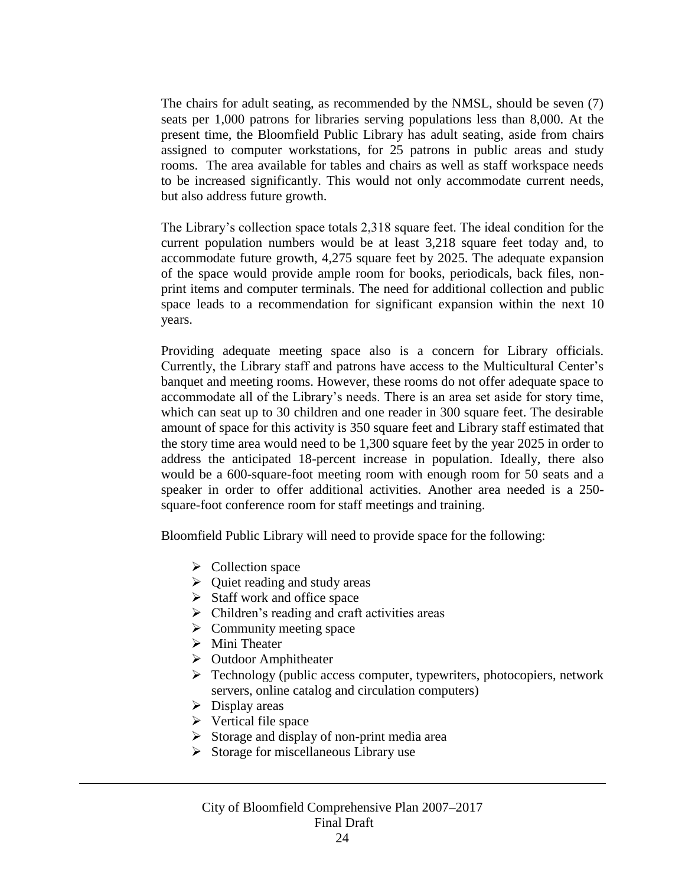The chairs for adult seating, as recommended by the NMSL, should be seven (7) seats per 1,000 patrons for libraries serving populations less than 8,000. At the present time, the Bloomfield Public Library has adult seating, aside from chairs assigned to computer workstations, for 25 patrons in public areas and study rooms. The area available for tables and chairs as well as staff workspace needs to be increased significantly. This would not only accommodate current needs, but also address future growth.

The Library's collection space totals 2,318 square feet. The ideal condition for the current population numbers would be at least 3,218 square feet today and, to accommodate future growth, 4,275 square feet by 2025. The adequate expansion of the space would provide ample room for books, periodicals, back files, nonprint items and computer terminals. The need for additional collection and public space leads to a recommendation for significant expansion within the next 10 years.

Providing adequate meeting space also is a concern for Library officials. Currently, the Library staff and patrons have access to the Multicultural Center's banquet and meeting rooms. However, these rooms do not offer adequate space to accommodate all of the Library's needs. There is an area set aside for story time, which can seat up to 30 children and one reader in 300 square feet. The desirable amount of space for this activity is 350 square feet and Library staff estimated that the story time area would need to be 1,300 square feet by the year 2025 in order to address the anticipated 18-percent increase in population. Ideally, there also would be a 600-square-foot meeting room with enough room for 50 seats and a speaker in order to offer additional activities. Another area needed is a 250 square-foot conference room for staff meetings and training.

Bloomfield Public Library will need to provide space for the following:

- $\triangleright$  Collection space
- $\triangleright$  Quiet reading and study areas
- $\triangleright$  Staff work and office space
- $\triangleright$  Children's reading and craft activities areas
- $\triangleright$  Community meeting space
- > Mini Theater
- $\triangleright$  Outdoor Amphitheater
- $\triangleright$  Technology (public access computer, typewriters, photocopiers, network servers, online catalog and circulation computers)
- $\triangleright$  Display areas
- $\triangleright$  Vertical file space
- $\triangleright$  Storage and display of non-print media area
- $\triangleright$  Storage for miscellaneous Library use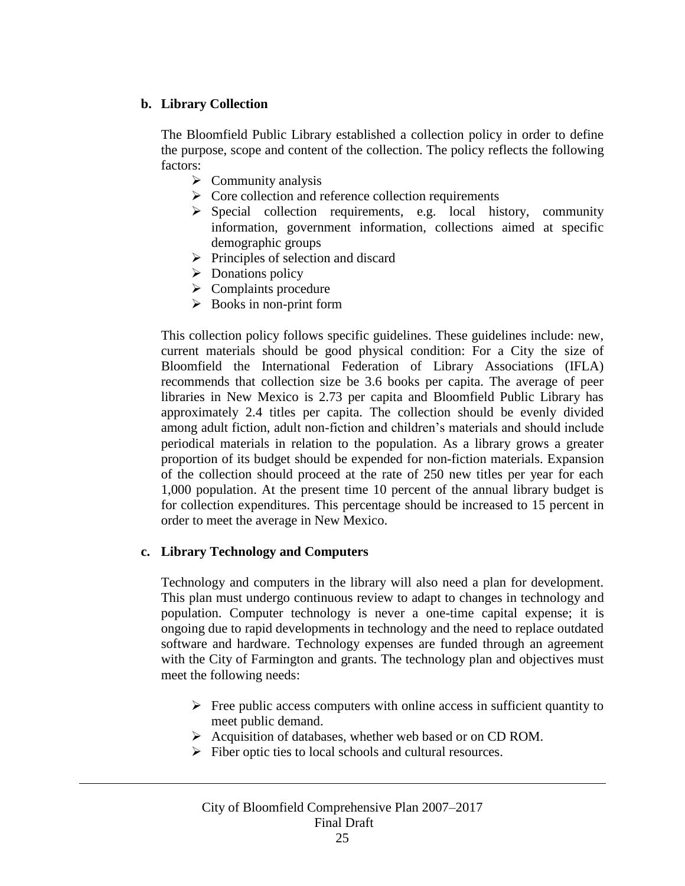### **b. Library Collection**

The Bloomfield Public Library established a collection policy in order to define the purpose, scope and content of the collection. The policy reflects the following factors:

- $\triangleright$  Community analysis
- $\triangleright$  Core collection and reference collection requirements
- $\triangleright$  Special collection requirements, e.g. local history, community information, government information, collections aimed at specific demographic groups
- $\triangleright$  Principles of selection and discard
- $\triangleright$  Donations policy
- $\triangleright$  Complaints procedure
- $\triangleright$  Books in non-print form

This collection policy follows specific guidelines. These guidelines include: new, current materials should be good physical condition: For a City the size of Bloomfield the International Federation of Library Associations (IFLA) recommends that collection size be 3.6 books per capita. The average of peer libraries in New Mexico is 2.73 per capita and Bloomfield Public Library has approximately 2.4 titles per capita. The collection should be evenly divided among adult fiction, adult non-fiction and children's materials and should include periodical materials in relation to the population. As a library grows a greater proportion of its budget should be expended for non-fiction materials. Expansion of the collection should proceed at the rate of 250 new titles per year for each 1,000 population. At the present time 10 percent of the annual library budget is for collection expenditures. This percentage should be increased to 15 percent in order to meet the average in New Mexico.

### **c. Library Technology and Computers**

Technology and computers in the library will also need a plan for development. This plan must undergo continuous review to adapt to changes in technology and population. Computer technology is never a one-time capital expense; it is ongoing due to rapid developments in technology and the need to replace outdated software and hardware. Technology expenses are funded through an agreement with the City of Farmington and grants. The technology plan and objectives must meet the following needs:

- $\triangleright$  Free public access computers with online access in sufficient quantity to meet public demand.
- Acquisition of databases, whether web based or on CD ROM.
- $\triangleright$  Fiber optic ties to local schools and cultural resources.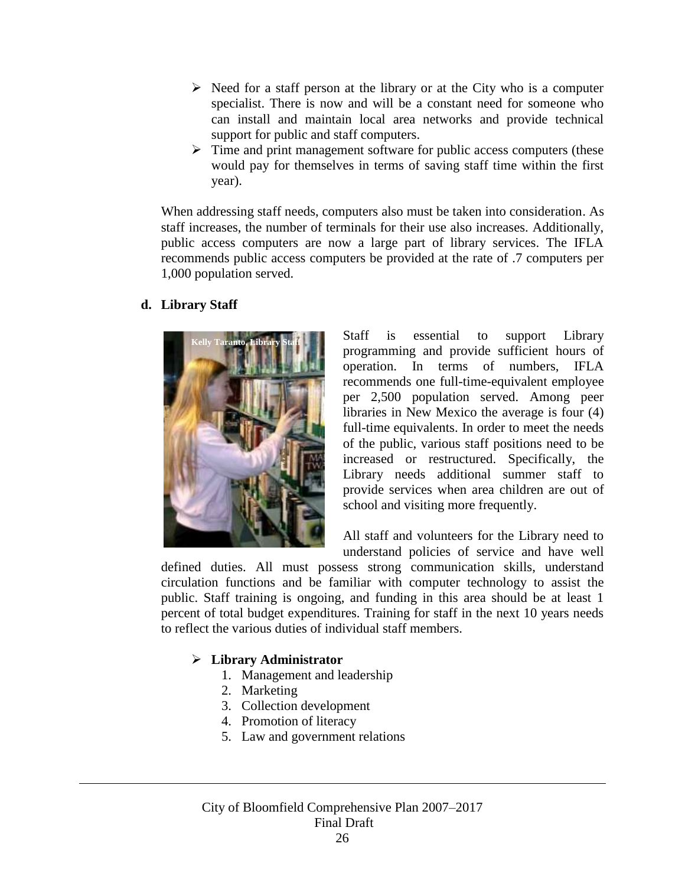- $\triangleright$  Need for a staff person at the library or at the City who is a computer specialist. There is now and will be a constant need for someone who can install and maintain local area networks and provide technical support for public and staff computers.
- $\triangleright$  Time and print management software for public access computers (these would pay for themselves in terms of saving staff time within the first year).

When addressing staff needs, computers also must be taken into consideration. As staff increases, the number of terminals for their use also increases. Additionally, public access computers are now a large part of library services. The IFLA recommends public access computers be provided at the rate of .7 computers per 1,000 population served.

### **d. Library Staff**



Staff is essential to support Library programming and provide sufficient hours of operation. In terms of numbers, IFLA recommends one full-time-equivalent employee per 2,500 population served. Among peer libraries in New Mexico the average is four (4) full-time equivalents. In order to meet the needs of the public, various staff positions need to be increased or restructured. Specifically, the Library needs additional summer staff to provide services when area children are out of school and visiting more frequently.

All staff and volunteers for the Library need to understand policies of service and have well

defined duties. All must possess strong communication skills, understand circulation functions and be familiar with computer technology to assist the public. Staff training is ongoing, and funding in this area should be at least 1 percent of total budget expenditures. Training for staff in the next 10 years needs to reflect the various duties of individual staff members.

### **Library Administrator**

- 1. Management and leadership
- 2. Marketing
- 3. Collection development
- 4. Promotion of literacy
- 5. Law and government relations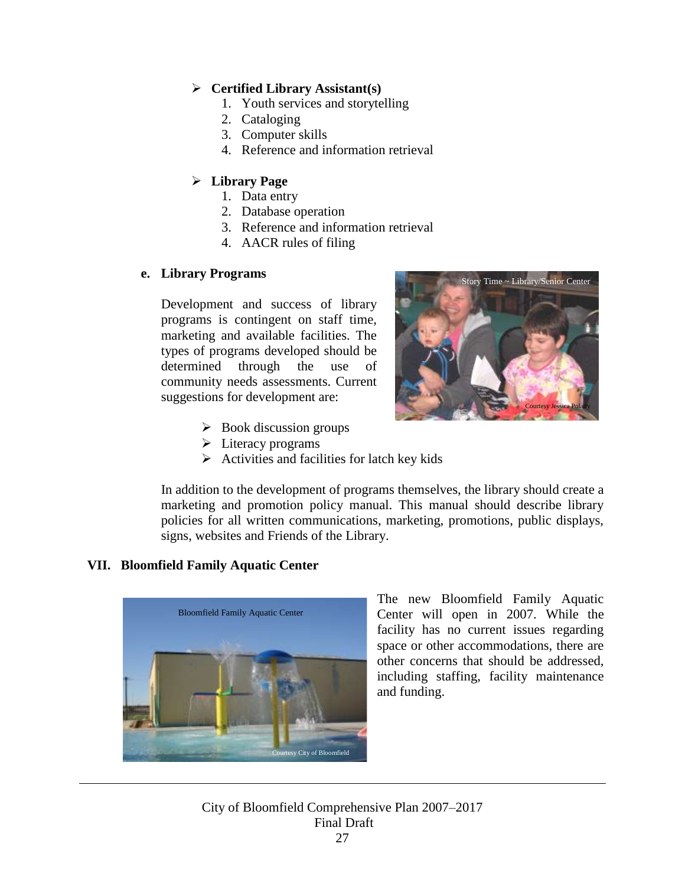### **Certified Library Assistant(s)**

- 1. Youth services and storytelling
- 2. Cataloging
- 3. Computer skills
- 4. Reference and information retrieval

### **Library Page**

- 1. Data entry
- 2. Database operation
- 3. Reference and information retrieval
- 4. AACR rules of filing

### **e. Library Programs**

Development and success of library programs is contingent on staff time, marketing and available facilities. The types of programs developed should be determined through the use of community needs assessments. Current suggestions for development are:

- $\triangleright$  Book discussion groups
- $\triangleright$  Literacy programs
- $\triangleright$  Activities and facilities for latch key kids



### <span id="page-27-0"></span>**VII. Bloomfield Family Aquatic Center**



The new Bloomfield Family Aquatic Center will open in 2007. While the facility has no current issues regarding space or other accommodations, there are other concerns that should be addressed, including staffing, facility maintenance and funding.

Story Time ~ Library/Senior Center

Courtesy Jessica Polatty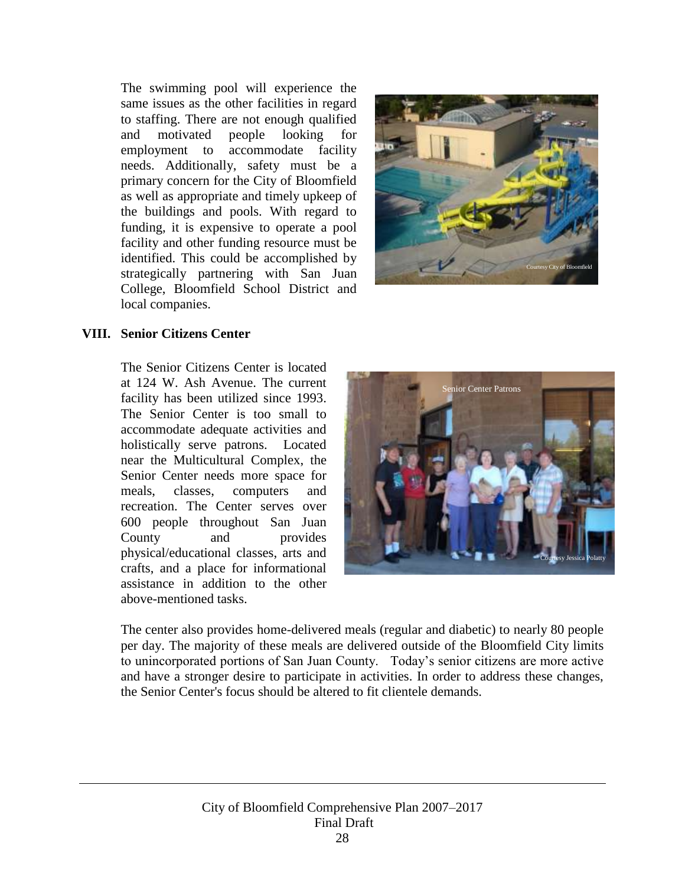The swimming pool will experience the same issues as the other facilities in regard to staffing. There are not enough qualified and motivated people looking for employment to accommodate facility needs. Additionally, safety must be a primary concern for the City of Bloomfield as well as appropriate and timely upkeep of the buildings and pools. With regard to funding, it is expensive to operate a pool facility and other funding resource must be identified. This could be accomplished by strategically partnering with San Juan College, Bloomfield School District and local companies.



#### <span id="page-28-0"></span>**VIII. Senior Citizens Center**

The Senior Citizens Center is located at 124 W. Ash Avenue. The current facility has been utilized since 1993. The Senior Center is too small to accommodate adequate activities and holistically serve patrons. Located near the Multicultural Complex, the Senior Center needs more space for meals, classes, computers and recreation. The Center serves over 600 people throughout San Juan County and provides physical/educational classes, arts and crafts, and a place for informational assistance in addition to the other above-mentioned tasks.



The center also provides home-delivered meals (regular and diabetic) to nearly 80 people per day. The majority of these meals are delivered outside of the Bloomfield City limits to unincorporated portions of San Juan County. Today's senior citizens are more active and have a stronger desire to participate in activities. In order to address these changes, the Senior Center's focus should be altered to fit clientele demands.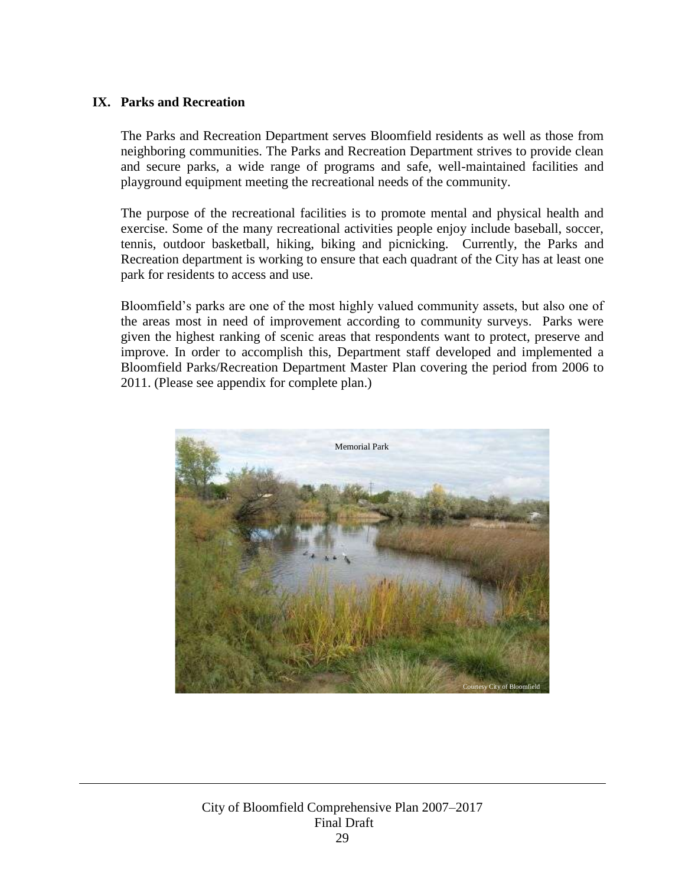### <span id="page-29-0"></span>**IX. Parks and Recreation**

The Parks and Recreation Department serves Bloomfield residents as well as those from neighboring communities. The Parks and Recreation Department strives to provide clean and secure parks, a wide range of programs and safe, well-maintained facilities and playground equipment meeting the recreational needs of the community.

The purpose of the recreational facilities is to promote mental and physical health and exercise. Some of the many recreational activities people enjoy include baseball, soccer, tennis, outdoor basketball, hiking, biking and picnicking. Currently, the Parks and Recreation department is working to ensure that each quadrant of the City has at least one park for residents to access and use.

Bloomfield's parks are one of the most highly valued community assets, but also one of the areas most in need of improvement according to community surveys. Parks were given the highest ranking of scenic areas that respondents want to protect, preserve and improve. In order to accomplish this, Department staff developed and implemented a Bloomfield Parks/Recreation Department Master Plan covering the period from 2006 to 2011. (Please see appendix for complete plan.)

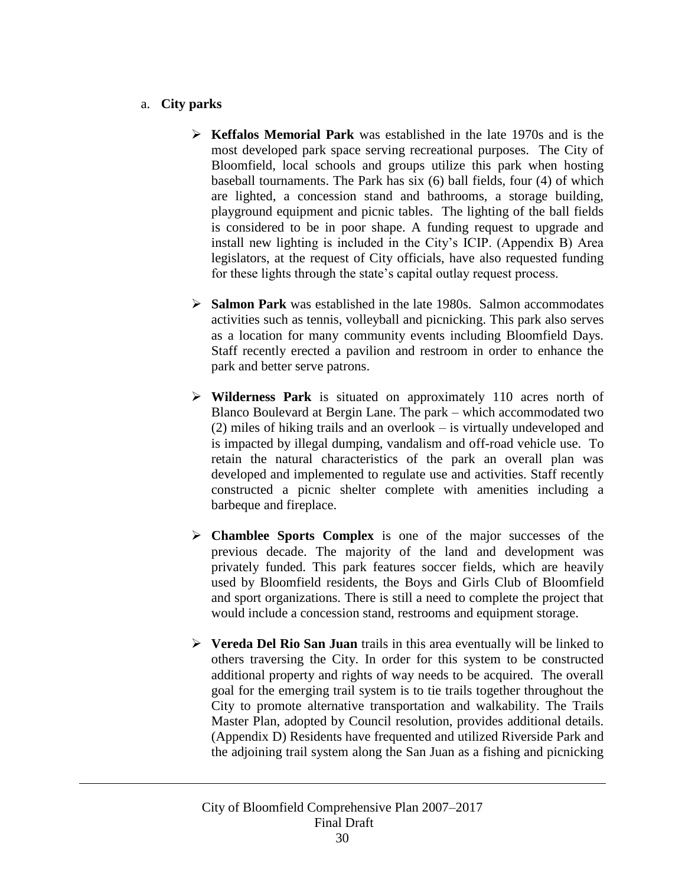### a. **City parks**

- **Keffalos Memorial Park** was established in the late 1970s and is the most developed park space serving recreational purposes. The City of Bloomfield, local schools and groups utilize this park when hosting baseball tournaments. The Park has six (6) ball fields, four (4) of which are lighted, a concession stand and bathrooms, a storage building, playground equipment and picnic tables. The lighting of the ball fields is considered to be in poor shape. A funding request to upgrade and install new lighting is included in the City's ICIP. (Appendix B) Area legislators, at the request of City officials, have also requested funding for these lights through the state's capital outlay request process.
- **Salmon Park** was established in the late 1980s. Salmon accommodates activities such as tennis, volleyball and picnicking. This park also serves as a location for many community events including Bloomfield Days. Staff recently erected a pavilion and restroom in order to enhance the park and better serve patrons.
- **Wilderness Park** is situated on approximately 110 acres north of Blanco Boulevard at Bergin Lane. The park – which accommodated two (2) miles of hiking trails and an overlook – is virtually undeveloped and is impacted by illegal dumping, vandalism and off-road vehicle use. To retain the natural characteristics of the park an overall plan was developed and implemented to regulate use and activities. Staff recently constructed a picnic shelter complete with amenities including a barbeque and fireplace.
- **Chamblee Sports Complex** is one of the major successes of the previous decade. The majority of the land and development was privately funded. This park features soccer fields, which are heavily used by Bloomfield residents, the Boys and Girls Club of Bloomfield and sport organizations. There is still a need to complete the project that would include a concession stand, restrooms and equipment storage.
- **Vereda Del Rio San Juan** trails in this area eventually will be linked to others traversing the City. In order for this system to be constructed additional property and rights of way needs to be acquired. The overall goal for the emerging trail system is to tie trails together throughout the City to promote alternative transportation and walkability. The Trails Master Plan, adopted by Council resolution, provides additional details. (Appendix D) Residents have frequented and utilized Riverside Park and the adjoining trail system along the San Juan as a fishing and picnicking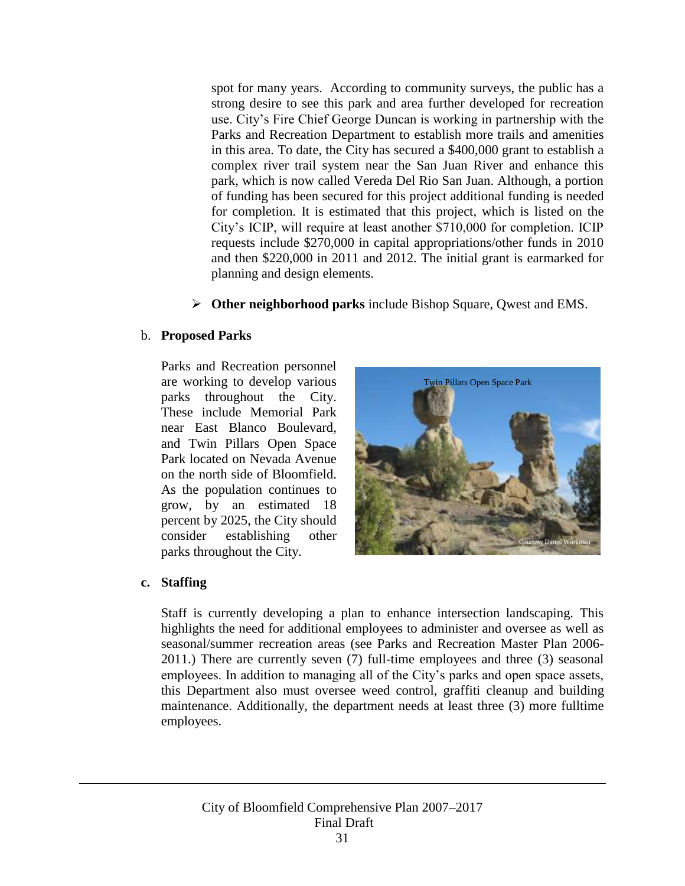spot for many years. According to community surveys, the public has a strong desire to see this park and area further developed for recreation use. City's Fire Chief George Duncan is working in partnership with the Parks and Recreation Department to establish more trails and amenities in this area. To date, the City has secured a \$400,000 grant to establish a complex river trail system near the San Juan River and enhance this park, which is now called Vereda Del Rio San Juan. Although, a portion of funding has been secured for this project additional funding is needed for completion. It is estimated that this project, which is listed on the City's ICIP, will require at least another \$710,000 for completion. ICIP requests include \$270,000 in capital appropriations/other funds in 2010 and then \$220,000 in 2011 and 2012. The initial grant is earmarked for planning and design elements.

**Other neighborhood parks** include Bishop Square, Qwest and EMS.

### b. **Proposed Parks**

Parks and Recreation personnel are working to develop various parks throughout the City. These include Memorial Park near East Blanco Boulevard, and Twin Pillars Open Space Park located on Nevada Avenue on the north side of Bloomfield. As the population continues to grow, by an estimated 18 percent by 2025, the City should consider establishing other parks throughout the City.



### **c. Staffing**

Staff is currently developing a plan to enhance intersection landscaping. This highlights the need for additional employees to administer and oversee as well as seasonal/summer recreation areas (see Parks and Recreation Master Plan 2006- 2011.) There are currently seven (7) full-time employees and three (3) seasonal employees. In addition to managing all of the City's parks and open space assets, this Department also must oversee weed control, graffiti cleanup and building maintenance. Additionally, the department needs at least three (3) more fulltime employees.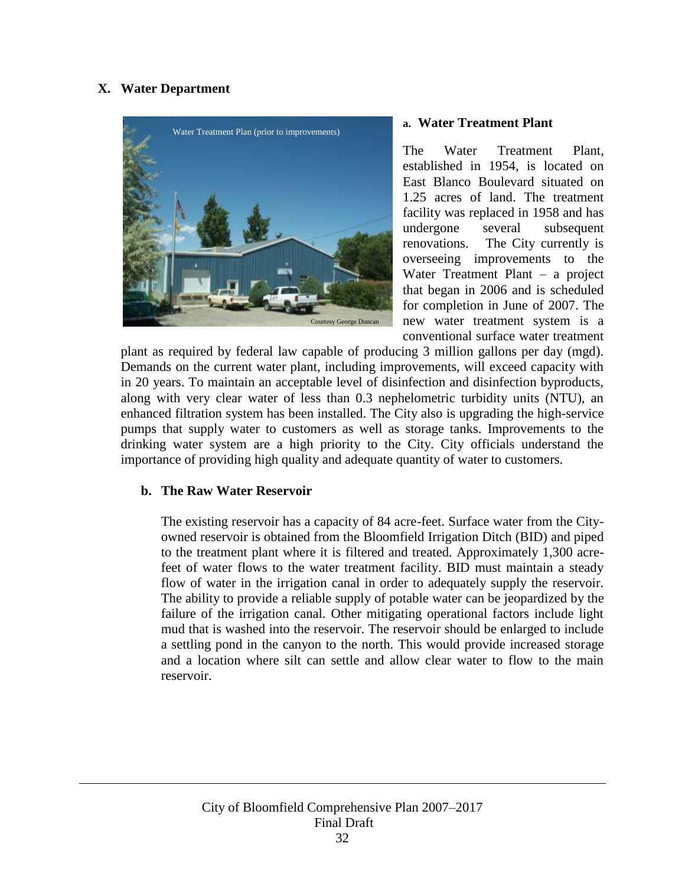### <span id="page-32-0"></span>**X. Water Department**



### **a. Water Treatment Plant**

The Water Treatment Plant, established in 1954, is located on East Blanco Boulevard situated on 1.25 acres of land. The treatment facility was replaced in 1958 and has undergone several subsequent renovations. The City currently is overseeing improvements to the Water Treatment Plant – a project that began in 2006 and is scheduled for completion in June of 2007. The new water treatment system is a conventional surface water treatment

plant as required by federal law capable of producing 3 million gallons per day (mgd). Demands on the current water plant, including improvements, will exceed capacity with in 20 years. To maintain an acceptable level of disinfection and disinfection byproducts, along with very clear water of less than 0.3 nephelometric turbidity units (NTU), an enhanced filtration system has been installed. The City also is upgrading the high-service pumps that supply water to customers as well as storage tanks. Improvements to the drinking water system are a high priority to the City. City officials understand the importance of providing high quality and adequate quantity of water to customers.

### **b. The Raw Water Reservoir**

The existing reservoir has a capacity of 84 acre-feet. Surface water from the Cityowned reservoir is obtained from the Bloomfield Irrigation Ditch (BID) and piped to the treatment plant where it is filtered and treated. Approximately 1,300 acrefeet of water flows to the water treatment facility. BID must maintain a steady flow of water in the irrigation canal in order to adequately supply the reservoir. The ability to provide a reliable supply of potable water can be jeopardized by the failure of the irrigation canal. Other mitigating operational factors include light mud that is washed into the reservoir. The reservoir should be enlarged to include a settling pond in the canyon to the north. This would provide increased storage and a location where silt can settle and allow clear water to flow to the main reservoir.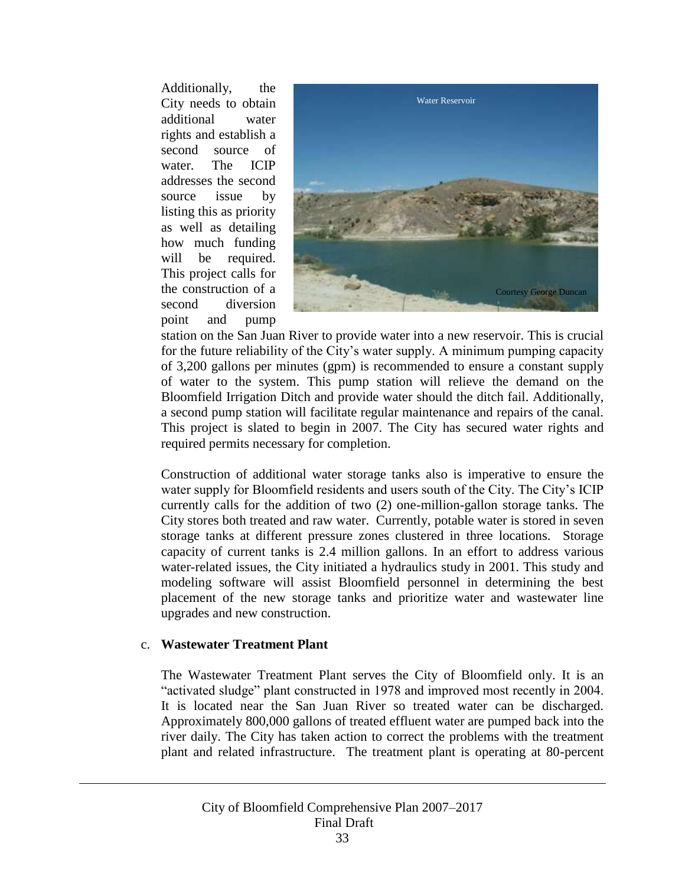Additionally, the City needs to obtain additional water rights and establish a second source of water. The ICIP addresses the second source issue by listing this as priority as well as detailing how much funding will be required. This project calls for the construction of a second diversion point and pump



station on the San Juan River to provide water into a new reservoir. This is crucial for the future reliability of the City's water supply. A minimum pumping capacity of 3,200 gallons per minutes (gpm) is recommended to ensure a constant supply of water to the system. This pump station will relieve the demand on the Bloomfield Irrigation Ditch and provide water should the ditch fail. Additionally, a second pump station will facilitate regular maintenance and repairs of the canal. This project is slated to begin in 2007. The City has secured water rights and required permits necessary for completion.

Construction of additional water storage tanks also is imperative to ensure the water supply for Bloomfield residents and users south of the City. The City's ICIP currently calls for the addition of two (2) one-million-gallon storage tanks. The City stores both treated and raw water. Currently, potable water is stored in seven storage tanks at different pressure zones clustered in three locations. Storage capacity of current tanks is 2.4 million gallons. In an effort to address various water-related issues, the City initiated a hydraulics study in 2001. This study and modeling software will assist Bloomfield personnel in determining the best placement of the new storage tanks and prioritize water and wastewater line upgrades and new construction.

### c. **Wastewater Treatment Plant**

The Wastewater Treatment Plant serves the City of Bloomfield only. It is an "activated sludge" plant constructed in 1978 and improved most recently in 2004. It is located near the San Juan River so treated water can be discharged. Approximately 800,000 gallons of treated effluent water are pumped back into the river daily. The City has taken action to correct the problems with the treatment plant and related infrastructure. The treatment plant is operating at 80-percent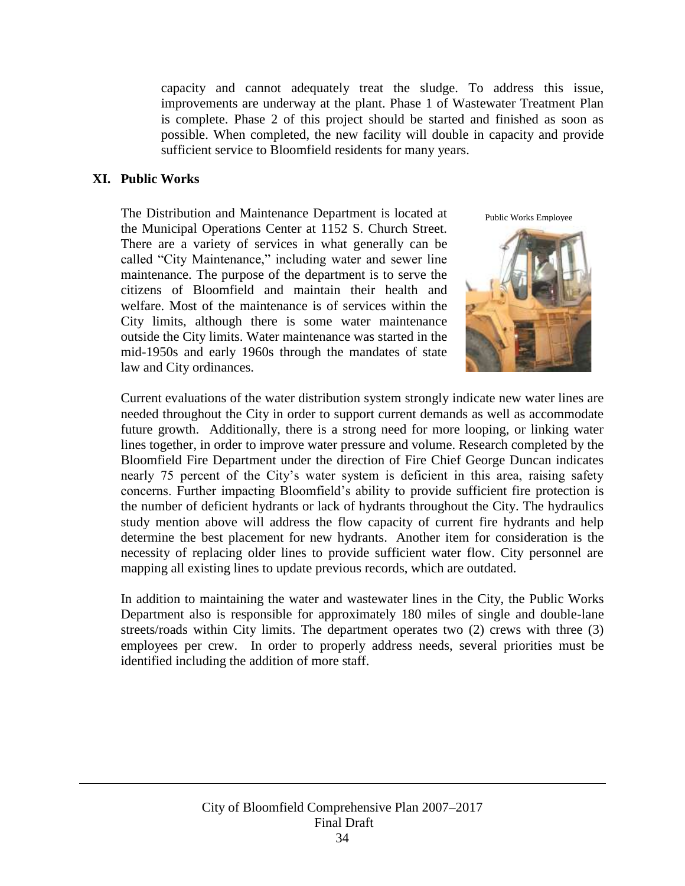capacity and cannot adequately treat the sludge. To address this issue, improvements are underway at the plant. Phase 1 of Wastewater Treatment Plan is complete. Phase 2 of this project should be started and finished as soon as possible. When completed, the new facility will double in capacity and provide sufficient service to Bloomfield residents for many years.

### <span id="page-34-0"></span>**XI. Public Works**

The Distribution and Maintenance Department is located at the Municipal Operations Center at 1152 S. Church Street. There are a variety of services in what generally can be called "City Maintenance," including water and sewer line maintenance. The purpose of the department is to serve the citizens of Bloomfield and maintain their health and welfare. Most of the maintenance is of services within the City limits, although there is some water maintenance outside the City limits. Water maintenance was started in the mid-1950s and early 1960s through the mandates of state law and City ordinances.

Public Works Employee



Current evaluations of the water distribution system strongly indicate new water lines are needed throughout the City in order to support current demands as well as accommodate future growth. Additionally, there is a strong need for more looping, or linking water lines together, in order to improve water pressure and volume. Research completed by the Bloomfield Fire Department under the direction of Fire Chief George Duncan indicates nearly 75 percent of the City's water system is deficient in this area, raising safety concerns. Further impacting Bloomfield's ability to provide sufficient fire protection is the number of deficient hydrants or lack of hydrants throughout the City. The hydraulics study mention above will address the flow capacity of current fire hydrants and help determine the best placement for new hydrants. Another item for consideration is the necessity of replacing older lines to provide sufficient water flow. City personnel are mapping all existing lines to update previous records, which are outdated.

In addition to maintaining the water and wastewater lines in the City, the Public Works Department also is responsible for approximately 180 miles of single and double-lane streets/roads within City limits. The department operates two (2) crews with three (3) employees per crew. In order to properly address needs, several priorities must be identified including the addition of more staff.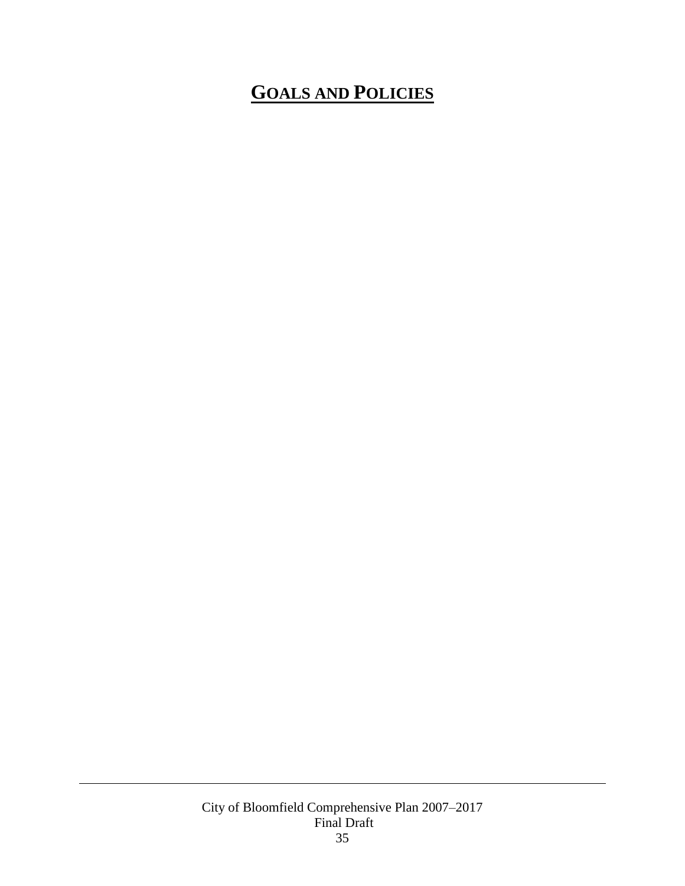# <span id="page-35-0"></span>**GOALS AND POLICIES**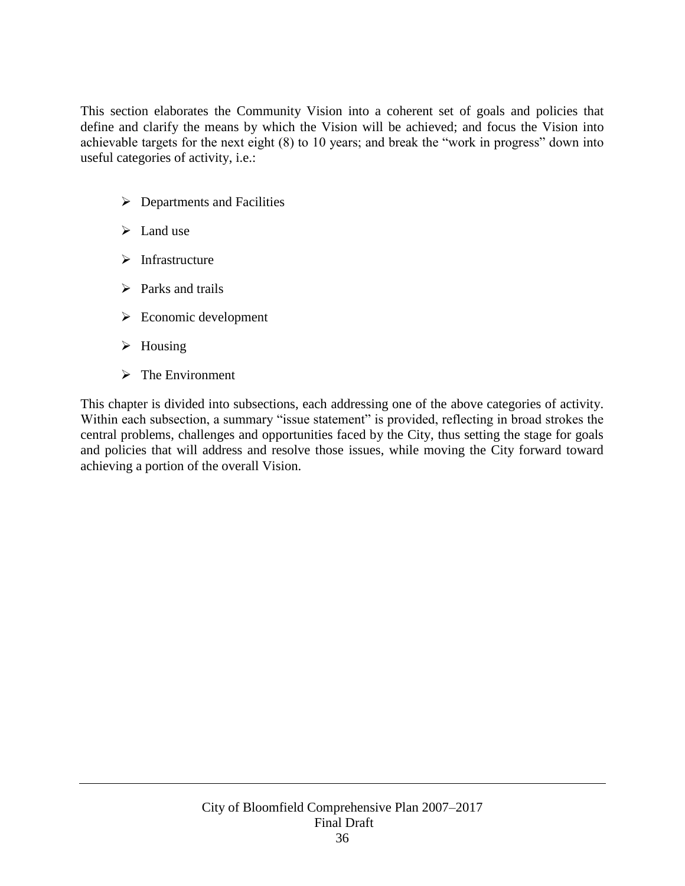This section elaborates the Community Vision into a coherent set of goals and policies that define and clarify the means by which the Vision will be achieved; and focus the Vision into achievable targets for the next eight (8) to 10 years; and break the "work in progress" down into useful categories of activity, i.e.:

- $\triangleright$  Departments and Facilities
- $\blacktriangleright$  Land use
- $\triangleright$  Infrastructure
- $\triangleright$  Parks and trails
- $\triangleright$  Economic development
- $\triangleright$  Housing
- $\triangleright$  The Environment

This chapter is divided into subsections, each addressing one of the above categories of activity. Within each subsection, a summary "issue statement" is provided, reflecting in broad strokes the central problems, challenges and opportunities faced by the City, thus setting the stage for goals and policies that will address and resolve those issues, while moving the City forward toward achieving a portion of the overall Vision.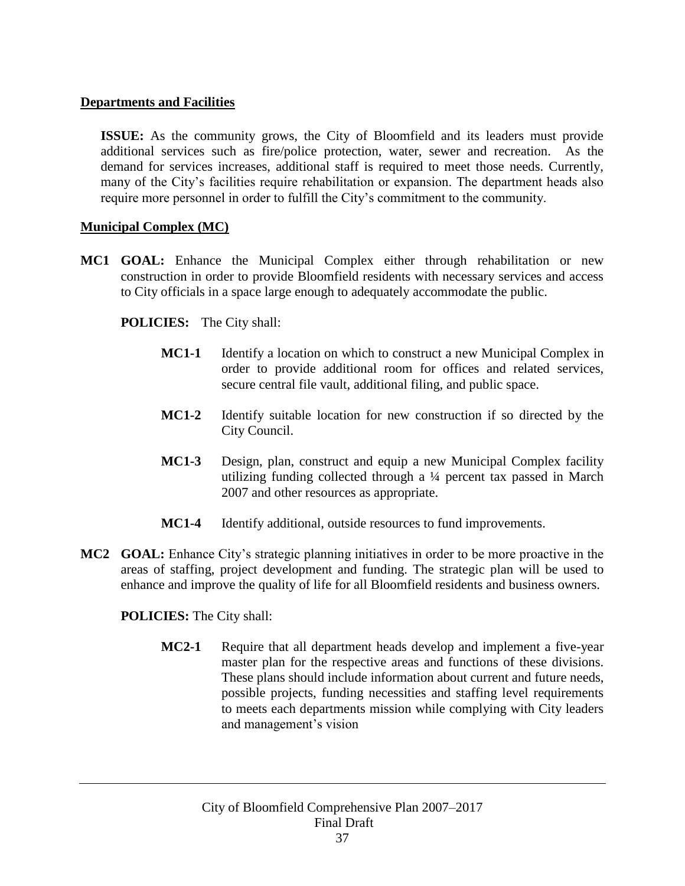### **Departments and Facilities**

**ISSUE:** As the community grows, the City of Bloomfield and its leaders must provide additional services such as fire/police protection, water, sewer and recreation. As the demand for services increases, additional staff is required to meet those needs. Currently, many of the City's facilities require rehabilitation or expansion. The department heads also require more personnel in order to fulfill the City's commitment to the community.

# **Municipal Complex (MC)**

**MC1 GOAL:** Enhance the Municipal Complex either through rehabilitation or new construction in order to provide Bloomfield residents with necessary services and access to City officials in a space large enough to adequately accommodate the public.

# **POLICIES:** The City shall:

- **MC1-1** Identify a location on which to construct a new Municipal Complex in order to provide additional room for offices and related services, secure central file vault, additional filing, and public space.
- **MC1-2** Identify suitable location for new construction if so directed by the City Council.
- **MC1-3** Design, plan, construct and equip a new Municipal Complex facility utilizing funding collected through a ¼ percent tax passed in March 2007 and other resources as appropriate.
- **MC1-4** Identify additional, outside resources to fund improvements.
- **MC2 GOAL:** Enhance City's strategic planning initiatives in order to be more proactive in the areas of staffing, project development and funding. The strategic plan will be used to enhance and improve the quality of life for all Bloomfield residents and business owners.

**POLICIES:** The City shall:

**MC2-1** Require that all department heads develop and implement a five-year master plan for the respective areas and functions of these divisions. These plans should include information about current and future needs, possible projects, funding necessities and staffing level requirements to meets each departments mission while complying with City leaders and management's vision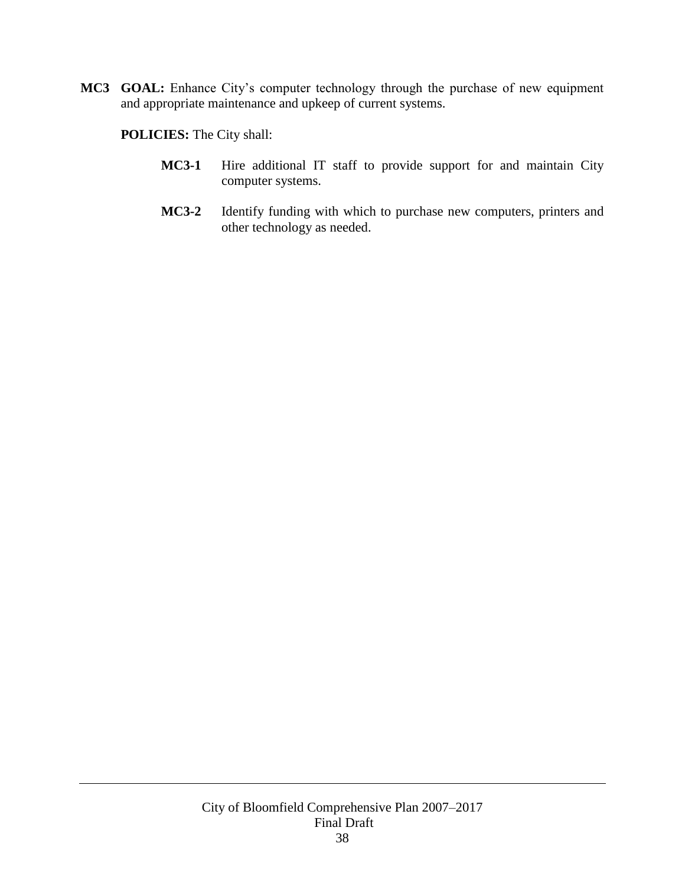**MC3 GOAL:** Enhance City's computer technology through the purchase of new equipment and appropriate maintenance and upkeep of current systems.

- **MC3-1** Hire additional IT staff to provide support for and maintain City computer systems.
- **MC3-2** Identify funding with which to purchase new computers, printers and other technology as needed.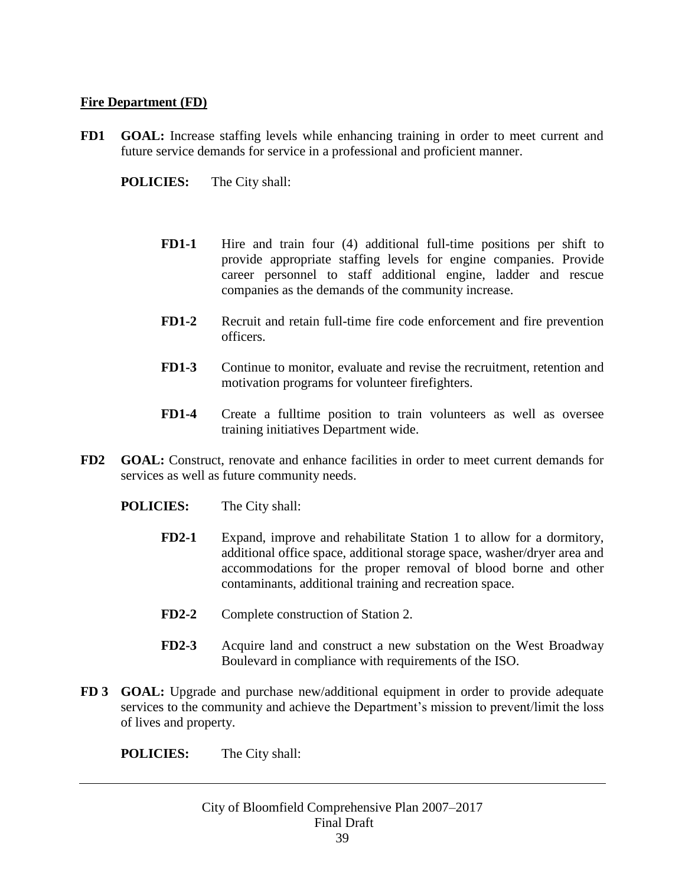#### **Fire Department (FD)**

- **FD1 GOAL:** Increase staffing levels while enhancing training in order to meet current and future service demands for service in a professional and proficient manner.
	- **POLICIES:** The City shall:
		- **FD1-1** Hire and train four (4) additional full-time positions per shift to provide appropriate staffing levels for engine companies. Provide career personnel to staff additional engine, ladder and rescue companies as the demands of the community increase.
		- **FD1-2** Recruit and retain full-time fire code enforcement and fire prevention officers.
		- **FD1-3** Continue to monitor, evaluate and revise the recruitment, retention and motivation programs for volunteer firefighters.
		- **FD1-4** Create a fulltime position to train volunteers as well as oversee training initiatives Department wide.
- **FD2 GOAL:** Construct, renovate and enhance facilities in order to meet current demands for services as well as future community needs.
	- **POLICIES:** The City shall:
		- **FD2-1** Expand, improve and rehabilitate Station 1 to allow for a dormitory, additional office space, additional storage space, washer/dryer area and accommodations for the proper removal of blood borne and other contaminants, additional training and recreation space.
		- **FD2-2** Complete construction of Station 2.
		- **FD2-3** Acquire land and construct a new substation on the West Broadway Boulevard in compliance with requirements of the ISO.
- **FD 3 GOAL:** Upgrade and purchase new/additional equipment in order to provide adequate services to the community and achieve the Department's mission to prevent/limit the loss of lives and property.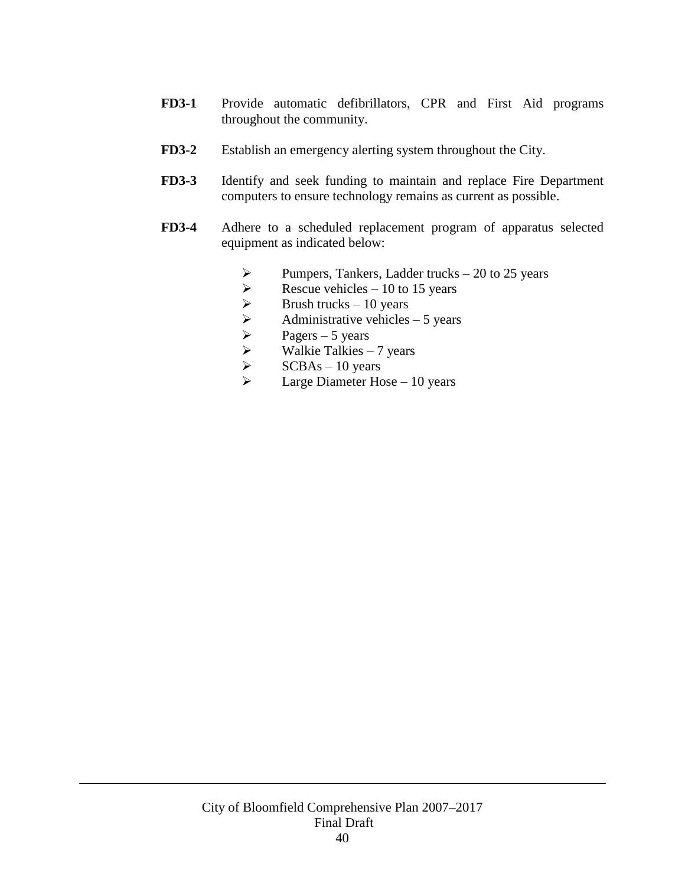- **FD3-1** Provide automatic defibrillators, CPR and First Aid programs throughout the community.
- **FD3-2** Establish an emergency alerting system throughout the City.
- **FD3-3** Identify and seek funding to maintain and replace Fire Department computers to ensure technology remains as current as possible.
- **FD3-4** Adhere to a scheduled replacement program of apparatus selected equipment as indicated below:
	- $\triangleright$  Pumpers, Tankers, Ladder trucks 20 to 25 years
	-
	- Brush trucks  $-10$  years
	- Rescue vehicles 10 to 15 years<br>  $\triangleright$  Brush trucks 10 years<br>  $\triangleright$  Administrative vehicles 5 years<br>  $\triangleright$  Pagers 5 years<br>  $\triangleright$  Walkie Talkies 7 years<br>  $\triangleright$  SCBAs 10 years Administrative vehicles  $-5$  years
	- Pagers  $-5$  years
	- Walkie Talkies 7 years
	- SCBAs 10 years
	- $\triangleright$  Large Diameter Hose 10 years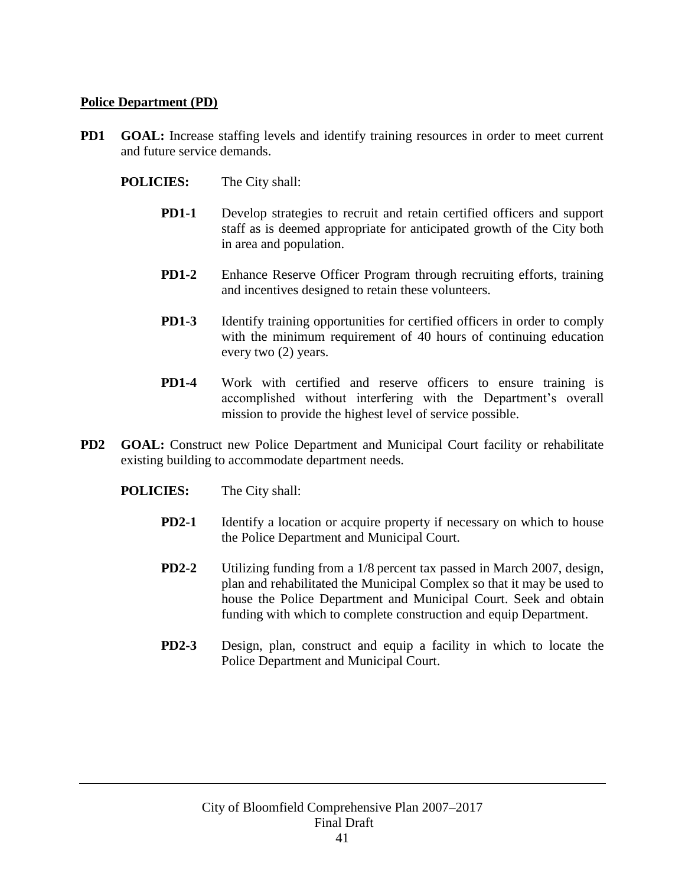## **Police Department (PD)**

- **PD1 GOAL:** Increase staffing levels and identify training resources in order to meet current and future service demands.
	- **POLICIES:** The City shall:
		- **PD1-1** Develop strategies to recruit and retain certified officers and support staff as is deemed appropriate for anticipated growth of the City both in area and population.
		- **PD1-2** Enhance Reserve Officer Program through recruiting efforts, training and incentives designed to retain these volunteers.
		- **PD1-3** Identify training opportunities for certified officers in order to comply with the minimum requirement of 40 hours of continuing education every two (2) years.
		- **PD1-4** Work with certified and reserve officers to ensure training is accomplished without interfering with the Department's overall mission to provide the highest level of service possible.
- **PD2 GOAL:** Construct new Police Department and Municipal Court facility or rehabilitate existing building to accommodate department needs.
	- **POLICIES:** The City shall:
		- **PD2-1** Identify a location or acquire property if necessary on which to house the Police Department and Municipal Court.
		- **PD2-2** Utilizing funding from a 1/8 percent tax passed in March 2007, design, plan and rehabilitated the Municipal Complex so that it may be used to house the Police Department and Municipal Court. Seek and obtain funding with which to complete construction and equip Department.
		- **PD2-3** Design, plan, construct and equip a facility in which to locate the Police Department and Municipal Court.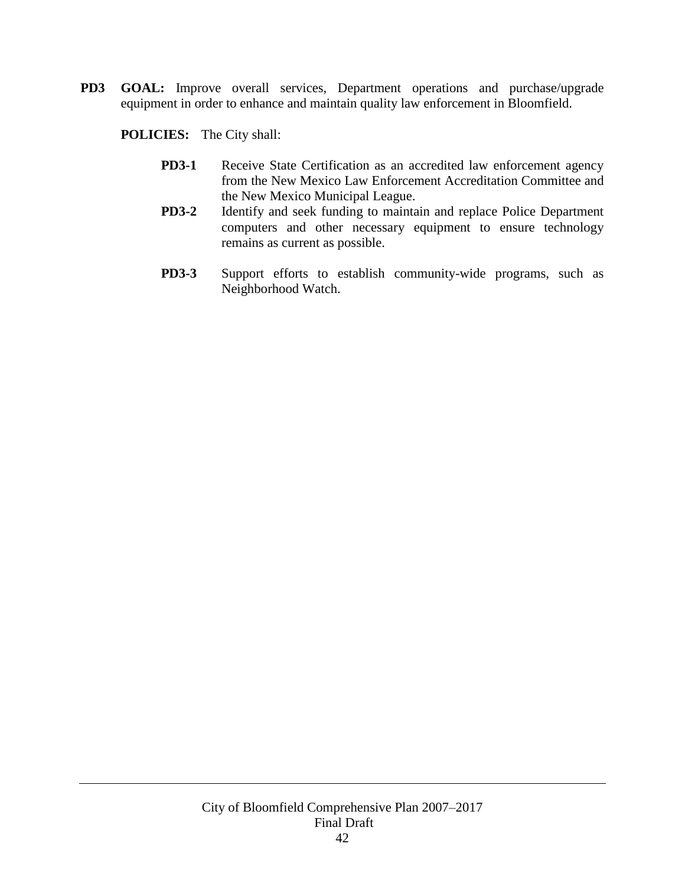**PD3 GOAL:** Improve overall services, Department operations and purchase/upgrade equipment in order to enhance and maintain quality law enforcement in Bloomfield.

- **PD3-1** Receive State Certification as an accredited law enforcement agency from the New Mexico Law Enforcement Accreditation Committee and the New Mexico Municipal League.
- **PD3-2** Identify and seek funding to maintain and replace Police Department computers and other necessary equipment to ensure technology remains as current as possible.
- **PD3-3** Support efforts to establish community-wide programs, such as Neighborhood Watch.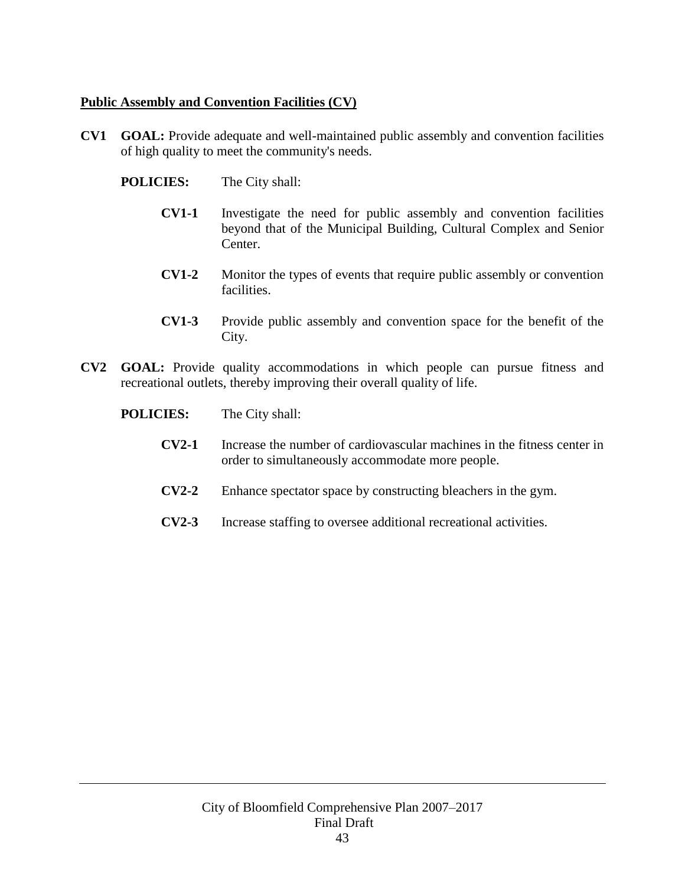# **Public Assembly and Convention Facilities (CV)**

- **CV1 GOAL:** Provide adequate and well-maintained public assembly and convention facilities of high quality to meet the community's needs.
	- **POLICIES:** The City shall:
		- **CV1-1** Investigate the need for public assembly and convention facilities beyond that of the Municipal Building, Cultural Complex and Senior Center.
		- **CV1-2** Monitor the types of events that require public assembly or convention **facilities**
		- **CV1-3** Provide public assembly and convention space for the benefit of the City.
- **CV2 GOAL:** Provide quality accommodations in which people can pursue fitness and recreational outlets, thereby improving their overall quality of life.
	- **POLICIES:** The City shall:
		- **CV2-1** Increase the number of cardiovascular machines in the fitness center in order to simultaneously accommodate more people.
		- **CV2-2** Enhance spectator space by constructing bleachers in the gym.
		- **CV2-3** Increase staffing to oversee additional recreational activities.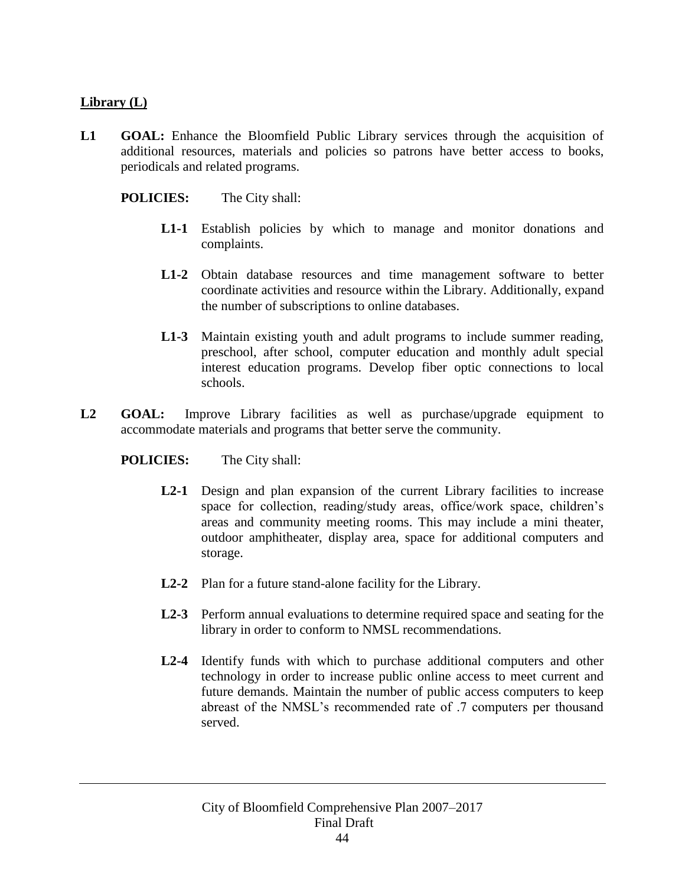# **Library (L)**

L1 **GOAL:** Enhance the Bloomfield Public Library services through the acquisition of additional resources, materials and policies so patrons have better access to books, periodicals and related programs.

### **POLICIES:** The City shall:

- **L1-1** Establish policies by which to manage and monitor donations and complaints.
- **L1-2** Obtain database resources and time management software to better coordinate activities and resource within the Library. Additionally, expand the number of subscriptions to online databases.
- **L1-3** Maintain existing youth and adult programs to include summer reading, preschool, after school, computer education and monthly adult special interest education programs. Develop fiber optic connections to local schools.
- **L2 GOAL:** Improve Library facilities as well as purchase/upgrade equipment to accommodate materials and programs that better serve the community.

- L2-1 Design and plan expansion of the current Library facilities to increase space for collection, reading/study areas, office/work space, children's areas and community meeting rooms. This may include a mini theater, outdoor amphitheater, display area, space for additional computers and storage.
- **L2-2** Plan for a future stand-alone facility for the Library.
- **L2-3** Perform annual evaluations to determine required space and seating for the library in order to conform to NMSL recommendations.
- **L2-4** Identify funds with which to purchase additional computers and other technology in order to increase public online access to meet current and future demands. Maintain the number of public access computers to keep abreast of the NMSL's recommended rate of .7 computers per thousand served.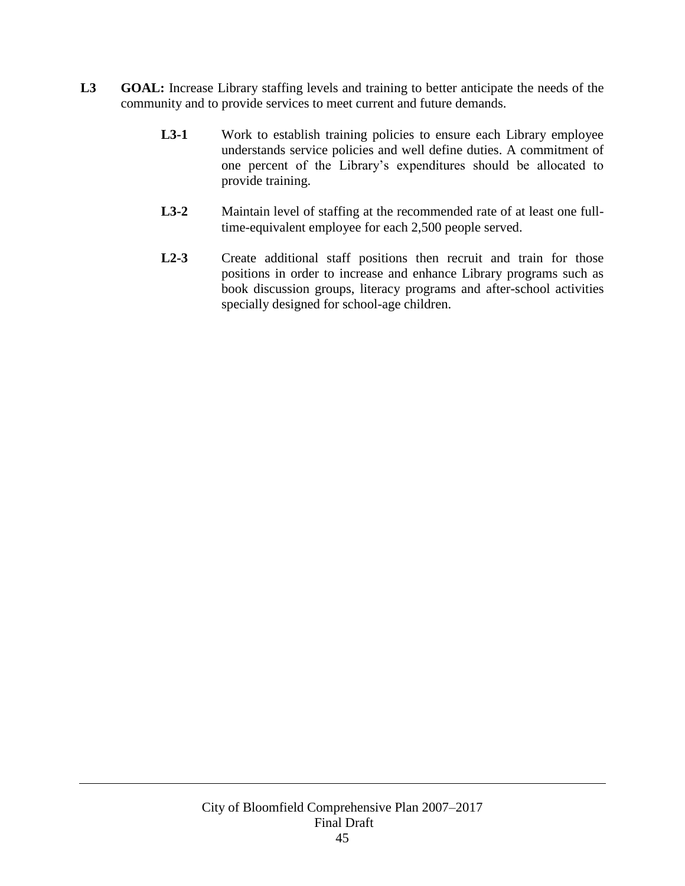- **L3 GOAL:** Increase Library staffing levels and training to better anticipate the needs of the community and to provide services to meet current and future demands.
	- L3-1 Work to establish training policies to ensure each Library employee understands service policies and well define duties. A commitment of one percent of the Library's expenditures should be allocated to provide training.
	- **L3-2** Maintain level of staffing at the recommended rate of at least one fulltime-equivalent employee for each 2,500 people served.
	- L2-3 Create additional staff positions then recruit and train for those positions in order to increase and enhance Library programs such as book discussion groups, literacy programs and after-school activities specially designed for school-age children.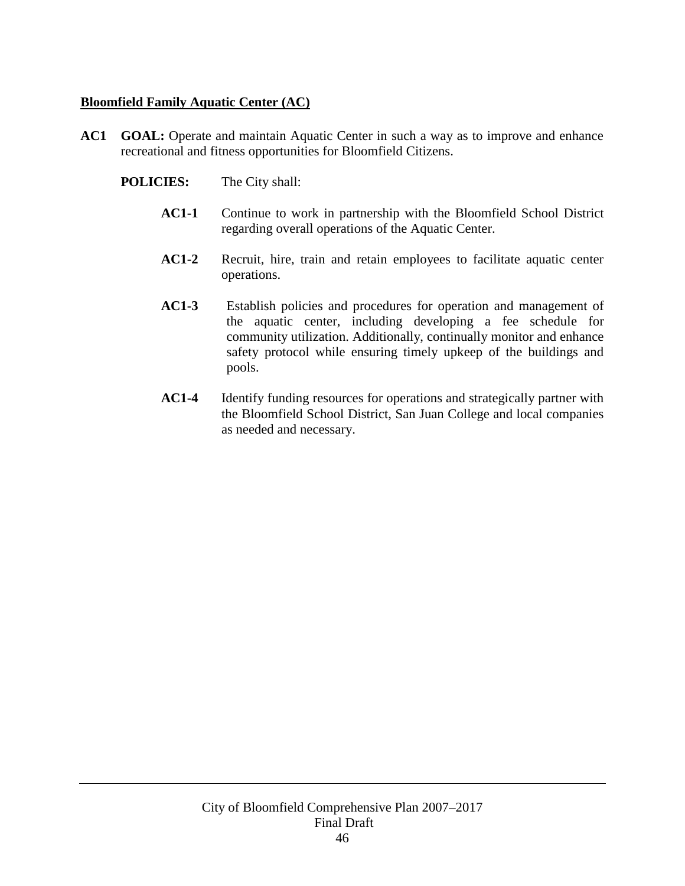# **Bloomfield Family Aquatic Center (AC)**

- **AC1 GOAL:** Operate and maintain Aquatic Center in such a way as to improve and enhance recreational and fitness opportunities for Bloomfield Citizens.
	- **POLICIES:** The City shall:
		- **AC1-1** Continue to work in partnership with the Bloomfield School District regarding overall operations of the Aquatic Center.
		- **AC1-2** Recruit, hire, train and retain employees to facilitate aquatic center operations.
		- **AC1-3** Establish policies and procedures for operation and management of the aquatic center, including developing a fee schedule for community utilization. Additionally, continually monitor and enhance safety protocol while ensuring timely upkeep of the buildings and pools.
		- **AC1-4** Identify funding resources for operations and strategically partner with the Bloomfield School District, San Juan College and local companies as needed and necessary.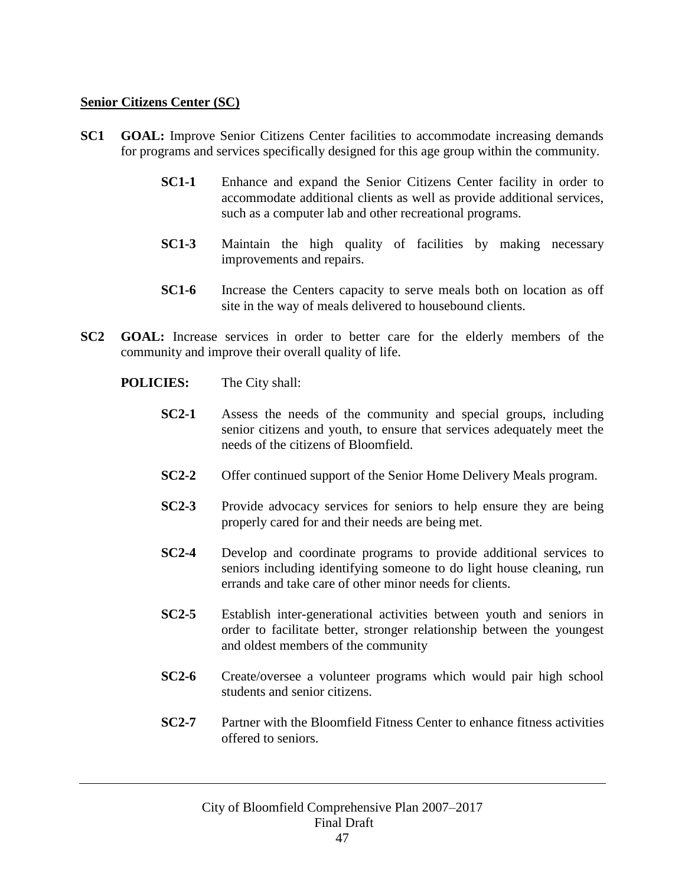#### **Senior Citizens Center (SC)**

- **SC1 GOAL:** Improve Senior Citizens Center facilities to accommodate increasing demands for programs and services specifically designed for this age group within the community.
	- **SC1-1** Enhance and expand the Senior Citizens Center facility in order to accommodate additional clients as well as provide additional services, such as a computer lab and other recreational programs.
	- **SC1-3** Maintain the high quality of facilities by making necessary improvements and repairs.
	- **SC1-6** Increase the Centers capacity to serve meals both on location as off site in the way of meals delivered to housebound clients.
- **SC2 GOAL:** Increase services in order to better care for the elderly members of the community and improve their overall quality of life.
	- **POLICIES:** The City shall:
		- **SC2-1** Assess the needs of the community and special groups, including senior citizens and youth, to ensure that services adequately meet the needs of the citizens of Bloomfield.
		- **SC2-2** Offer continued support of the Senior Home Delivery Meals program.
		- **SC2-3** Provide advocacy services for seniors to help ensure they are being properly cared for and their needs are being met.
		- **SC2-4** Develop and coordinate programs to provide additional services to seniors including identifying someone to do light house cleaning, run errands and take care of other minor needs for clients.
		- **SC2-5** Establish inter-generational activities between youth and seniors in order to facilitate better, stronger relationship between the youngest and oldest members of the community
		- **SC2-6** Create/oversee a volunteer programs which would pair high school students and senior citizens.
		- **SC2-7** Partner with the Bloomfield Fitness Center to enhance fitness activities offered to seniors.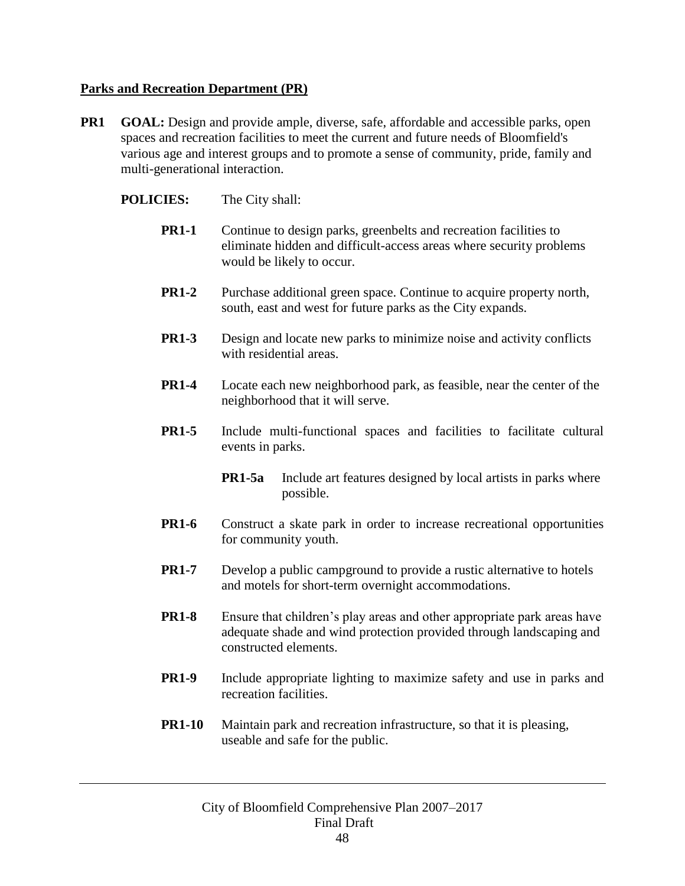# **Parks and Recreation Department (PR)**

- **PR1 GOAL:** Design and provide ample, diverse, safe, affordable and accessible parks, open spaces and recreation facilities to meet the current and future needs of Bloomfield's various age and interest groups and to promote a sense of community, pride, family and multi-generational interaction.
	- **POLICIES:** The City shall:
		- **PR1-1** Continue to design parks, greenbelts and recreation facilities to eliminate hidden and difficult-access areas where security problems would be likely to occur.
		- **PR1-2** Purchase additional green space. Continue to acquire property north, south, east and west for future parks as the City expands.
		- **PR1-3** Design and locate new parks to minimize noise and activity conflicts with residential areas.
		- **PR1-4** Locate each new neighborhood park, as feasible, near the center of the neighborhood that it will serve.
		- **PR1-5** Include multi-functional spaces and facilities to facilitate cultural events in parks.
			- **PR1-5a** Include art features designed by local artists in parks where possible.
		- **PR1-6** Construct a skate park in order to increase recreational opportunities for community youth.
		- **PR1-7** Develop a public campground to provide a rustic alternative to hotels and motels for short-term overnight accommodations.
		- **PR1-8** Ensure that children's play areas and other appropriate park areas have adequate shade and wind protection provided through landscaping and constructed elements.
		- **PR1-9** Include appropriate lighting to maximize safety and use in parks and recreation facilities.
		- **PR1-10** Maintain park and recreation infrastructure, so that it is pleasing, useable and safe for the public.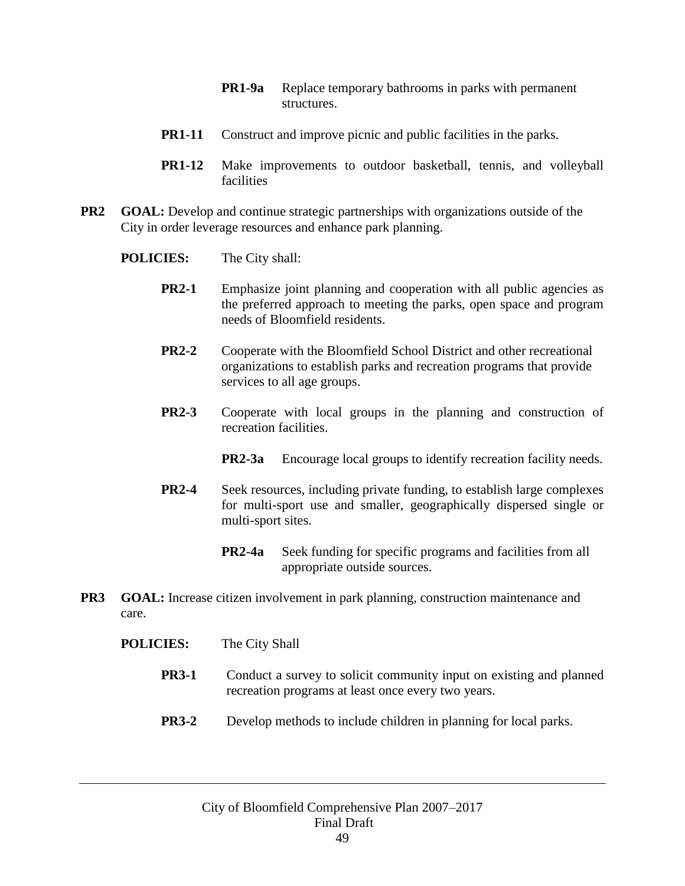- **PR1-9a** Replace temporary bathrooms in parks with permanent structures.
- **PR1-11** Construct and improve picnic and public facilities in the parks.
- **PR1-12** Make improvements to outdoor basketball, tennis, and volleyball facilities
- **PR2 GOAL:** Develop and continue strategic partnerships with organizations outside of the City in order leverage resources and enhance park planning.
	- **POLICIES:** The City shall:
		- **PR2-1** Emphasize joint planning and cooperation with all public agencies as the preferred approach to meeting the parks, open space and program needs of Bloomfield residents.
		- **PR2-2** Cooperate with the Bloomfield School District and other recreational organizations to establish parks and recreation programs that provide services to all age groups.
		- **PR2-3** Cooperate with local groups in the planning and construction of recreation facilities.
			- **PR2-3a** Encourage local groups to identify recreation facility needs.
		- **PR2-4** Seek resources, including private funding, to establish large complexes for multi-sport use and smaller, geographically dispersed single or multi-sport sites.
			- **PR2-4a** Seek funding for specific programs and facilities from all appropriate outside sources.
- **PR3 GOAL:** Increase citizen involvement in park planning, construction maintenance and care.
	- **POLICIES:** The City Shall
		- **PR3-1** Conduct a survey to solicit community input on existing and planned recreation programs at least once every two years.
		- **PR3-2** Develop methods to include children in planning for local parks.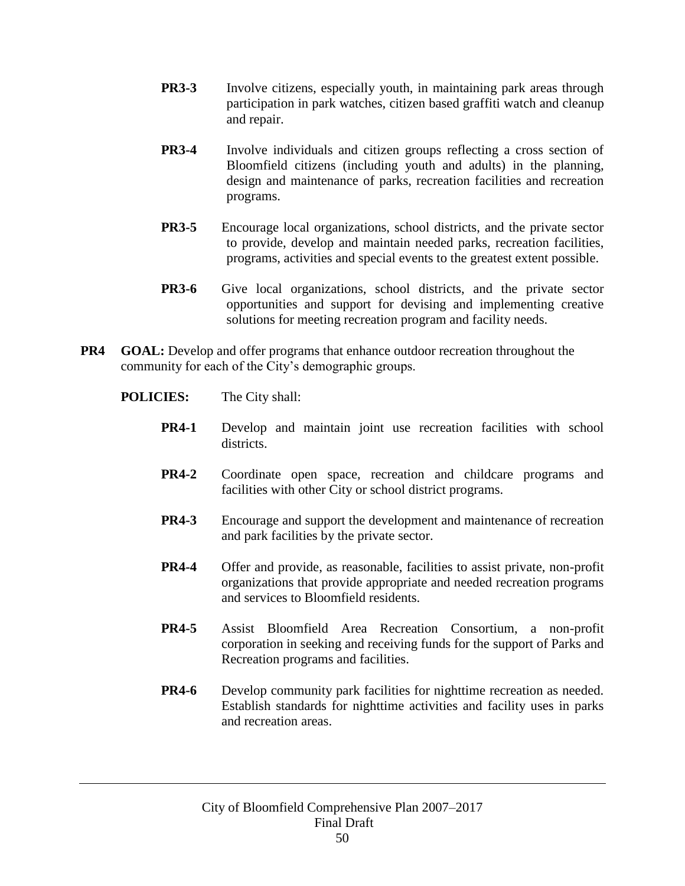- **PR3-3** Involve citizens, especially youth, in maintaining park areas through participation in park watches, citizen based graffiti watch and cleanup and repair.
- **PR3-4** Involve individuals and citizen groups reflecting a cross section of Bloomfield citizens (including youth and adults) in the planning, design and maintenance of parks, recreation facilities and recreation programs.
- **PR3-5** Encourage local organizations, school districts, and the private sector to provide, develop and maintain needed parks, recreation facilities, programs, activities and special events to the greatest extent possible.
- **PR3-6** Give local organizations, school districts, and the private sector opportunities and support for devising and implementing creative solutions for meeting recreation program and facility needs.
- **PR4 GOAL:** Develop and offer programs that enhance outdoor recreation throughout the community for each of the City's demographic groups.
	- **POLICIES:** The City shall:
		- **PR4-1** Develop and maintain joint use recreation facilities with school districts.
		- **PR4-2** Coordinate open space, recreation and childcare programs and facilities with other City or school district programs.
		- **PR4-3** Encourage and support the development and maintenance of recreation and park facilities by the private sector.
		- **PR4-4** Offer and provide, as reasonable, facilities to assist private, non-profit organizations that provide appropriate and needed recreation programs and services to Bloomfield residents.
		- **PR4-5** Assist Bloomfield Area Recreation Consortium, a non-profit corporation in seeking and receiving funds for the support of Parks and Recreation programs and facilities.
		- **PR4-6** Develop community park facilities for nighttime recreation as needed. Establish standards for nighttime activities and facility uses in parks and recreation areas.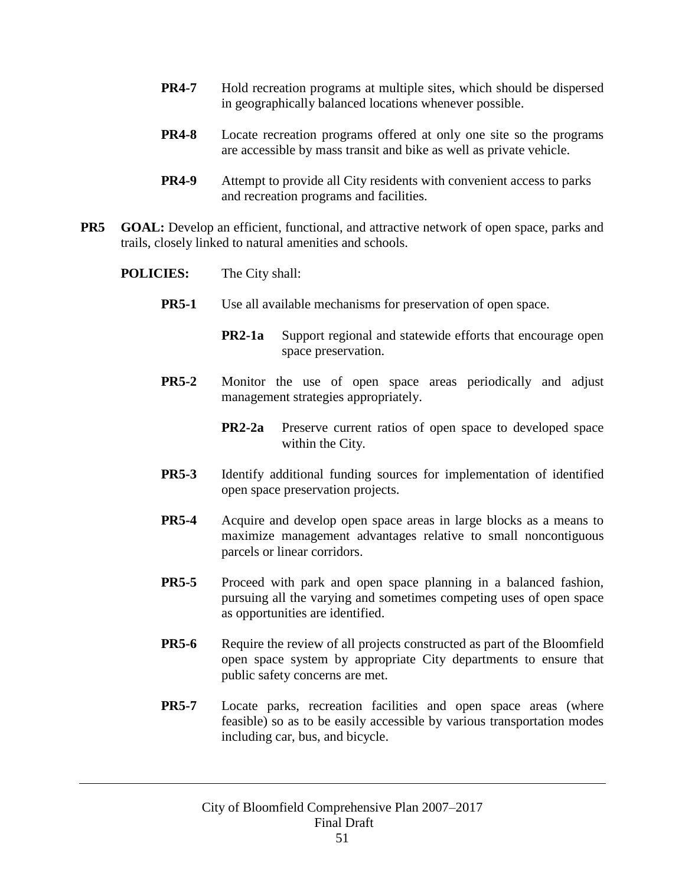- **PR4-7** Hold recreation programs at multiple sites, which should be dispersed in geographically balanced locations whenever possible.
- **PR4-8** Locate recreation programs offered at only one site so the programs are accessible by mass transit and bike as well as private vehicle.
- **PR4-9** Attempt to provide all City residents with convenient access to parks and recreation programs and facilities.
- **PR5 GOAL:** Develop an efficient, functional, and attractive network of open space, parks and trails, closely linked to natural amenities and schools.
	- **POLICIES:** The City shall:
		- **PR5-1** Use all available mechanisms for preservation of open space.
			- **PR2-1a** Support regional and statewide efforts that encourage open space preservation.
		- **PR5-2** Monitor the use of open space areas periodically and adjust management strategies appropriately.
			- **PR2-2a** Preserve current ratios of open space to developed space within the City.
		- **PR5-3** Identify additional funding sources for implementation of identified open space preservation projects.
		- **PR5-4** Acquire and develop open space areas in large blocks as a means to maximize management advantages relative to small noncontiguous parcels or linear corridors.
		- **PR5-5** Proceed with park and open space planning in a balanced fashion, pursuing all the varying and sometimes competing uses of open space as opportunities are identified.
		- **PR5-6** Require the review of all projects constructed as part of the Bloomfield open space system by appropriate City departments to ensure that public safety concerns are met.
		- **PR5-7** Locate parks, recreation facilities and open space areas (where feasible) so as to be easily accessible by various transportation modes including car, bus, and bicycle.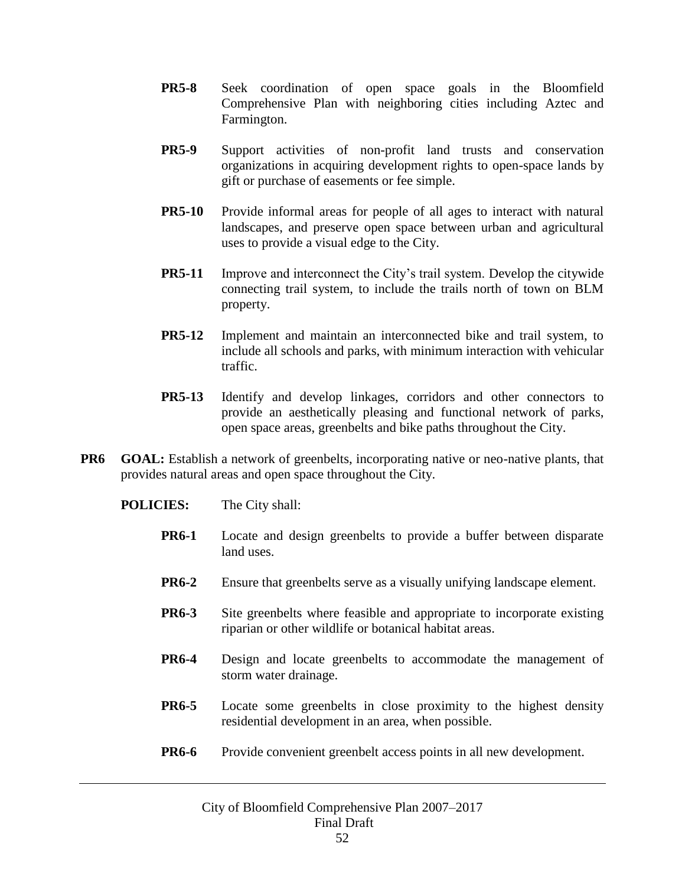- **PR5-8** Seek coordination of open space goals in the Bloomfield Comprehensive Plan with neighboring cities including Aztec and Farmington.
- **PR5-9** Support activities of non-profit land trusts and conservation organizations in acquiring development rights to open-space lands by gift or purchase of easements or fee simple.
- **PR5-10** Provide informal areas for people of all ages to interact with natural landscapes, and preserve open space between urban and agricultural uses to provide a visual edge to the City.
- **PR5-11** Improve and interconnect the City's trail system. Develop the citywide connecting trail system, to include the trails north of town on BLM property.
- **PR5-12** Implement and maintain an interconnected bike and trail system, to include all schools and parks, with minimum interaction with vehicular traffic.
- **PR5-13** Identify and develop linkages, corridors and other connectors to provide an aesthetically pleasing and functional network of parks, open space areas, greenbelts and bike paths throughout the City.
- **PR6 GOAL:** Establish a network of greenbelts, incorporating native or neo-native plants, that provides natural areas and open space throughout the City.
	- **POLICIES:** The City shall:
		- **PR6-1** Locate and design greenbelts to provide a buffer between disparate land uses.
		- **PR6-2** Ensure that greenbelts serve as a visually unifying landscape element.
		- **PR6-3** Site greenbelts where feasible and appropriate to incorporate existing riparian or other wildlife or botanical habitat areas.
		- **PR6-4** Design and locate greenbelts to accommodate the management of storm water drainage.
		- **PR6-5** Locate some greenbelts in close proximity to the highest density residential development in an area, when possible.
		- **PR6-6** Provide convenient greenbelt access points in all new development.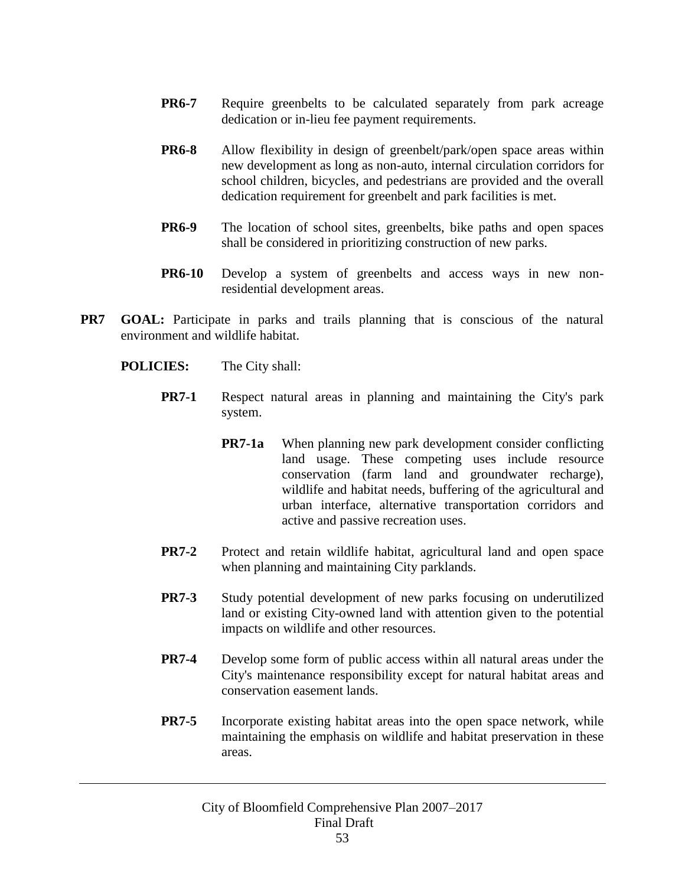- **PR6-7** Require greenbelts to be calculated separately from park acreage dedication or in-lieu fee payment requirements.
- **PR6-8** Allow flexibility in design of greenbelt/park/open space areas within new development as long as non-auto, internal circulation corridors for school children, bicycles, and pedestrians are provided and the overall dedication requirement for greenbelt and park facilities is met.
- **PR6-9** The location of school sites, greenbelts, bike paths and open spaces shall be considered in prioritizing construction of new parks.
- **PR6-10** Develop a system of greenbelts and access ways in new nonresidential development areas.
- **PR7 GOAL:** Participate in parks and trails planning that is conscious of the natural environment and wildlife habitat.
	- **POLICIES:** The City shall:
		- **PR7-1** Respect natural areas in planning and maintaining the City's park system.
			- **PR7-1a** When planning new park development consider conflicting land usage. These competing uses include resource conservation (farm land and groundwater recharge), wildlife and habitat needs, buffering of the agricultural and urban interface, alternative transportation corridors and active and passive recreation uses.
		- **PR7-2** Protect and retain wildlife habitat, agricultural land and open space when planning and maintaining City parklands.
		- **PR7-3** Study potential development of new parks focusing on underutilized land or existing City-owned land with attention given to the potential impacts on wildlife and other resources.
		- **PR7-4** Develop some form of public access within all natural areas under the City's maintenance responsibility except for natural habitat areas and conservation easement lands.
		- **PR7-5** Incorporate existing habitat areas into the open space network, while maintaining the emphasis on wildlife and habitat preservation in these areas.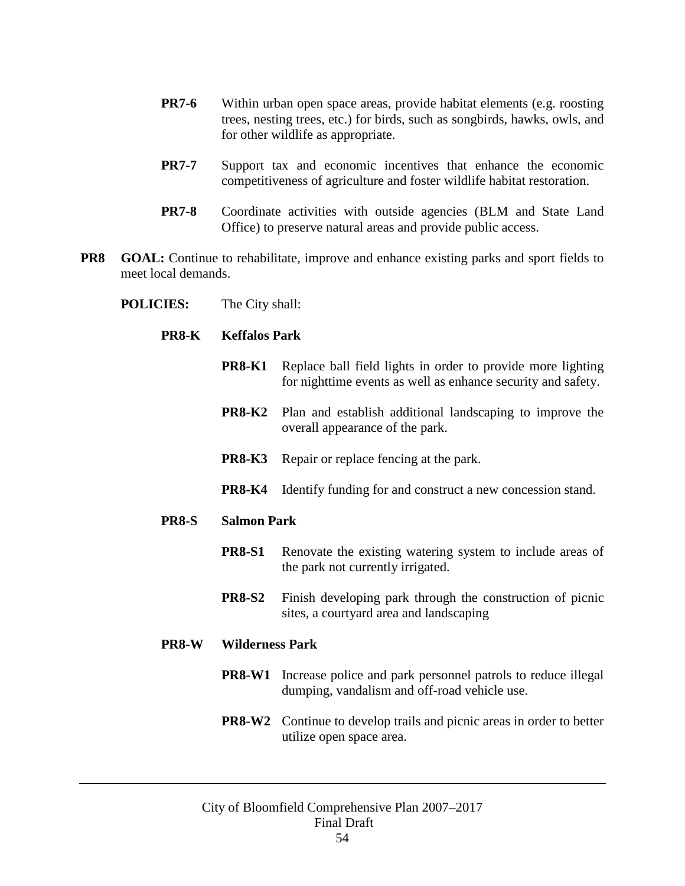- **PR7-6** Within urban open space areas, provide habitat elements (e.g. roosting trees, nesting trees, etc.) for birds, such as songbirds, hawks, owls, and for other wildlife as appropriate.
- **PR7-7** Support tax and economic incentives that enhance the economic competitiveness of agriculture and foster wildlife habitat restoration.
- **PR7-8** Coordinate activities with outside agencies (BLM and State Land Office) to preserve natural areas and provide public access.
- **PR8 GOAL:** Continue to rehabilitate, improve and enhance existing parks and sport fields to meet local demands.
	- **POLICIES:** The City shall:
		- **PR8-K Keffalos Park**
			- **PR8-K1** Replace ball field lights in order to provide more lighting for nighttime events as well as enhance security and safety.
			- **PR8-K2** Plan and establish additional landscaping to improve the overall appearance of the park.
			- **PR8-K3** Repair or replace fencing at the park.
			- **PR8-K4** Identify funding for and construct a new concession stand.

#### **PR8-S Salmon Park**

- **PR8-S1** Renovate the existing watering system to include areas of the park not currently irrigated.
- **PR8-S2** Finish developing park through the construction of picnic sites, a courtyard area and landscaping

#### **PR8-W Wilderness Park**

- **PR8-W1** Increase police and park personnel patrols to reduce illegal dumping, vandalism and off-road vehicle use.
- **PR8-W2** Continue to develop trails and picnic areas in order to better utilize open space area.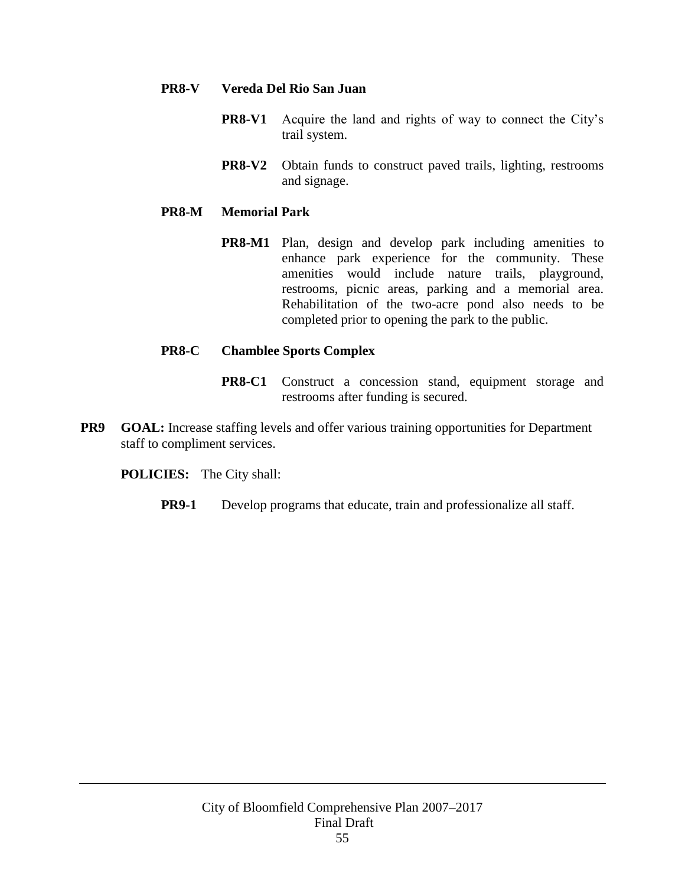### **PR8-V Vereda Del Rio San Juan**

- **PR8-V1** Acquire the land and rights of way to connect the City's trail system.
- **PR8-V2** Obtain funds to construct paved trails, lighting, restrooms and signage.

# **PR8-M Memorial Park**

**PR8-M1** Plan, design and develop park including amenities to enhance park experience for the community. These amenities would include nature trails, playground, restrooms, picnic areas, parking and a memorial area. Rehabilitation of the two-acre pond also needs to be completed prior to opening the park to the public.

# **PR8-C Chamblee Sports Complex**

- **PR8-C1** Construct a concession stand, equipment storage and restrooms after funding is secured.
- **PR9 GOAL:** Increase staffing levels and offer various training opportunities for Department staff to compliment services.

**POLICIES:** The City shall:

**PR9-1** Develop programs that educate, train and professionalize all staff.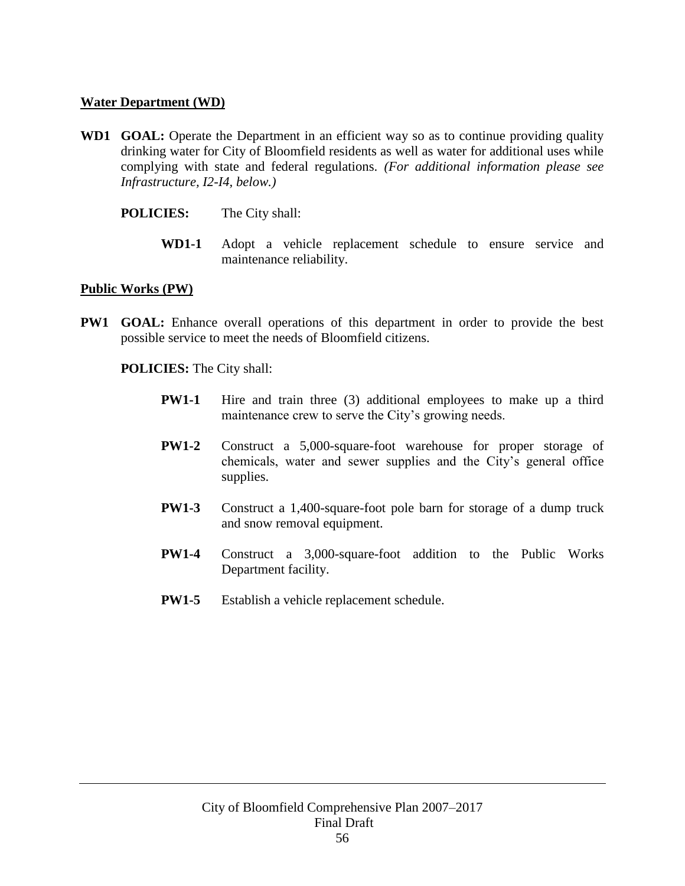#### **Water Department (WD)**

- **WD1 GOAL:** Operate the Department in an efficient way so as to continue providing quality drinking water for City of Bloomfield residents as well as water for additional uses while complying with state and federal regulations. *(For additional information please see Infrastructure, I2-I4, below.)*
	- **POLICIES:** The City shall:
		- **WD1-1** Adopt a vehicle replacement schedule to ensure service and maintenance reliability.

#### **Public Works (PW)**

**PW1 GOAL:** Enhance overall operations of this department in order to provide the best possible service to meet the needs of Bloomfield citizens.

- **PW1-1** Hire and train three (3) additional employees to make up a third maintenance crew to serve the City's growing needs.
- **PW1-2** Construct a 5,000-square-foot warehouse for proper storage of chemicals, water and sewer supplies and the City's general office supplies.
- **PW1-3** Construct a 1,400-square-foot pole barn for storage of a dump truck and snow removal equipment.
- **PW1-4** Construct a 3,000-square-foot addition to the Public Works Department facility.
- **PW1-5** Establish a vehicle replacement schedule.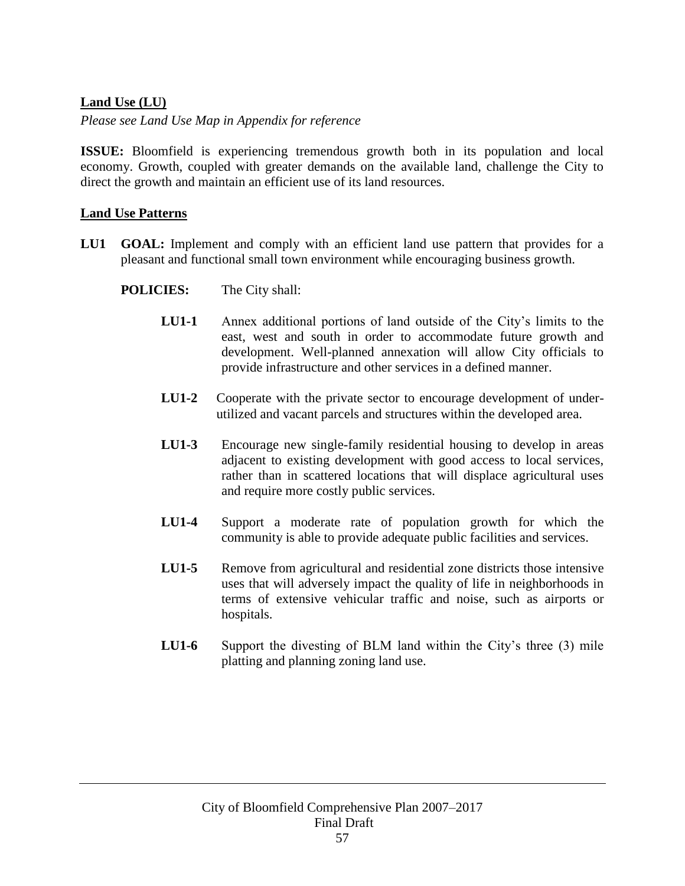# **Land Use (LU)**

*Please see Land Use Map in Appendix for reference*

**ISSUE:** Bloomfield is experiencing tremendous growth both in its population and local economy. Growth, coupled with greater demands on the available land, challenge the City to direct the growth and maintain an efficient use of its land resources.

### **Land Use Patterns**

- **LU1 GOAL:** Implement and comply with an efficient land use pattern that provides for a pleasant and functional small town environment while encouraging business growth.
	- **POLICIES:** The City shall:
		- **LU1-1** Annex additional portions of land outside of the City's limits to the east, west and south in order to accommodate future growth and development. Well-planned annexation will allow City officials to provide infrastructure and other services in a defined manner.
		- **LU1-2** Cooperate with the private sector to encourage development of underutilized and vacant parcels and structures within the developed area.
		- **LU1-3** Encourage new single-family residential housing to develop in areas adjacent to existing development with good access to local services, rather than in scattered locations that will displace agricultural uses and require more costly public services.
		- **LU1-4** Support a moderate rate of population growth for which the community is able to provide adequate public facilities and services.
		- **LU1-5** Remove from agricultural and residential zone districts those intensive uses that will adversely impact the quality of life in neighborhoods in terms of extensive vehicular traffic and noise, such as airports or hospitals.
		- **LU1-6** Support the divesting of BLM land within the City's three (3) mile platting and planning zoning land use.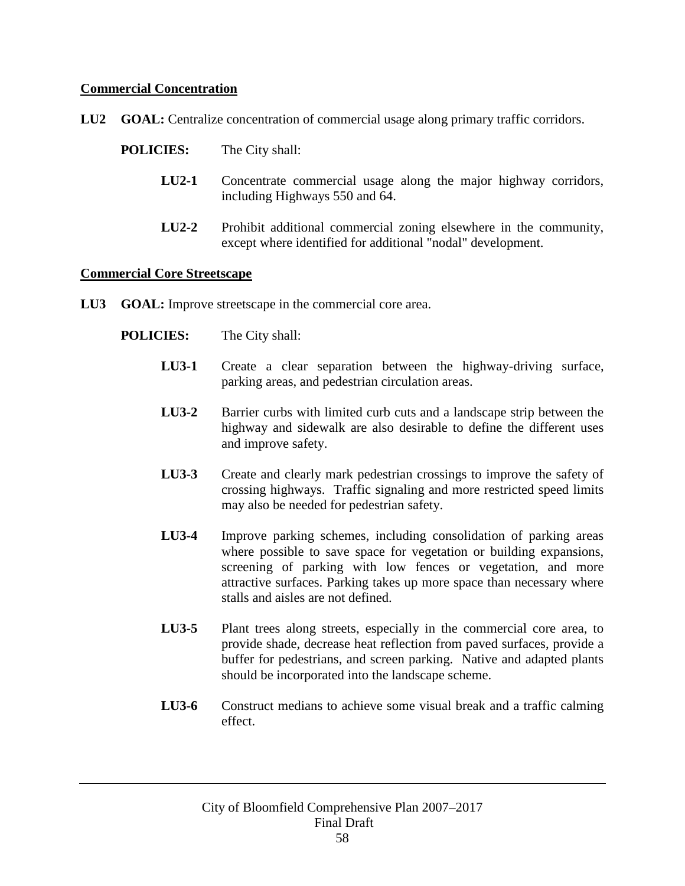## **Commercial Concentration**

**LU2 GOAL:** Centralize concentration of commercial usage along primary traffic corridors.

- **LU2-1** Concentrate commercial usage along the major highway corridors, including Highways 550 and 64.
- **LU2-2** Prohibit additional commercial zoning elsewhere in the community, except where identified for additional "nodal" development.

#### **Commercial Core Streetscape**

- **LU3 GOAL:** Improve streetscape in the commercial core area.
	- **POLICIES:** The City shall:
		- **LU3-1** Create a clear separation between the highway-driving surface, parking areas, and pedestrian circulation areas.
		- **LU3-2** Barrier curbs with limited curb cuts and a landscape strip between the highway and sidewalk are also desirable to define the different uses and improve safety.
		- **LU3-3** Create and clearly mark pedestrian crossings to improve the safety of crossing highways. Traffic signaling and more restricted speed limits may also be needed for pedestrian safety.
		- **LU3-4** Improve parking schemes, including consolidation of parking areas where possible to save space for vegetation or building expansions, screening of parking with low fences or vegetation, and more attractive surfaces. Parking takes up more space than necessary where stalls and aisles are not defined.
		- **LU3-5** Plant trees along streets, especially in the commercial core area, to provide shade, decrease heat reflection from paved surfaces, provide a buffer for pedestrians, and screen parking. Native and adapted plants should be incorporated into the landscape scheme.
		- **LU3-6** Construct medians to achieve some visual break and a traffic calming effect.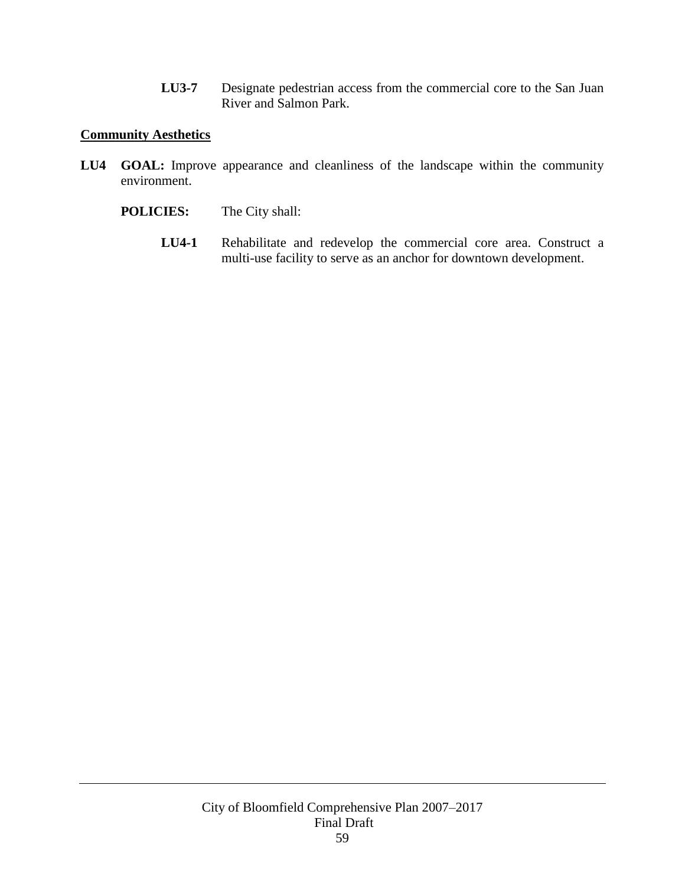**LU3-7** Designate pedestrian access from the commercial core to the San Juan River and Salmon Park.

### **Community Aesthetics**

- LU4 **GOAL:** Improve appearance and cleanliness of the landscape within the community environment.
	- **POLICIES:** The City shall:
		- **LU4-1** Rehabilitate and redevelop the commercial core area. Construct a multi-use facility to serve as an anchor for downtown development.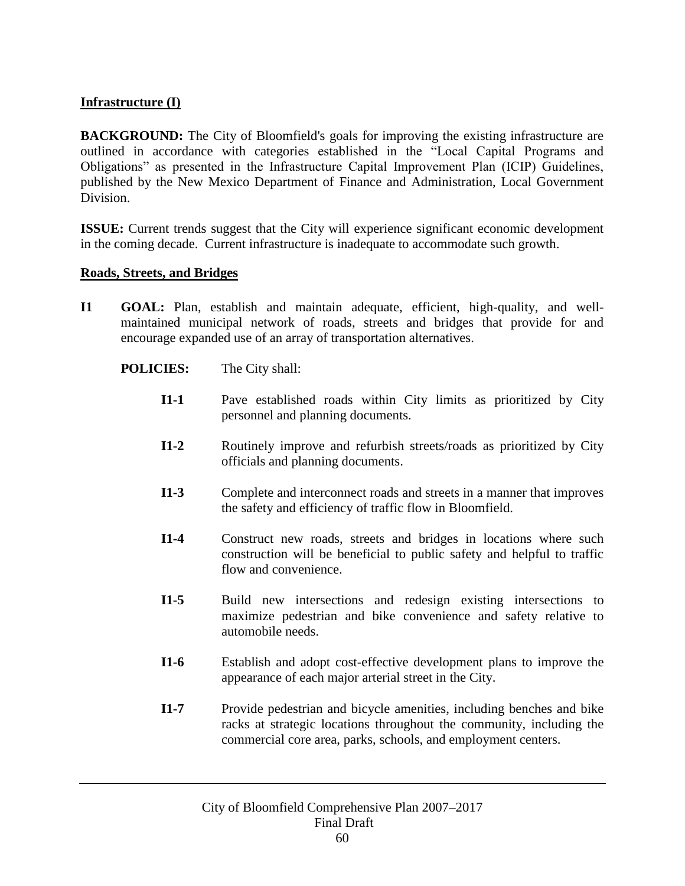# **Infrastructure (I)**

**BACKGROUND:** The City of Bloomfield's goals for improving the existing infrastructure are outlined in accordance with categories established in the "Local Capital Programs and Obligations" as presented in the Infrastructure Capital Improvement Plan (ICIP) Guidelines, published by the New Mexico Department of Finance and Administration, Local Government Division.

**ISSUE:** Current trends suggest that the City will experience significant economic development in the coming decade. Current infrastructure is inadequate to accommodate such growth.

#### **Roads, Streets, and Bridges**

**I1 GOAL:** Plan, establish and maintain adequate, efficient, high-quality, and wellmaintained municipal network of roads, streets and bridges that provide for and encourage expanded use of an array of transportation alternatives.

- **I1-1** Pave established roads within City limits as prioritized by City personnel and planning documents.
- **I1-2** Routinely improve and refurbish streets/roads as prioritized by City officials and planning documents.
- **I1-3** Complete and interconnect roads and streets in a manner that improves the safety and efficiency of traffic flow in Bloomfield.
- **I1-4** Construct new roads, streets and bridges in locations where such construction will be beneficial to public safety and helpful to traffic flow and convenience.
- **I1-5** Build new intersections and redesign existing intersections to maximize pedestrian and bike convenience and safety relative to automobile needs.
- **I1-6** Establish and adopt cost-effective development plans to improve the appearance of each major arterial street in the City.
- **I1-7** Provide pedestrian and bicycle amenities, including benches and bike racks at strategic locations throughout the community, including the commercial core area, parks, schools, and employment centers.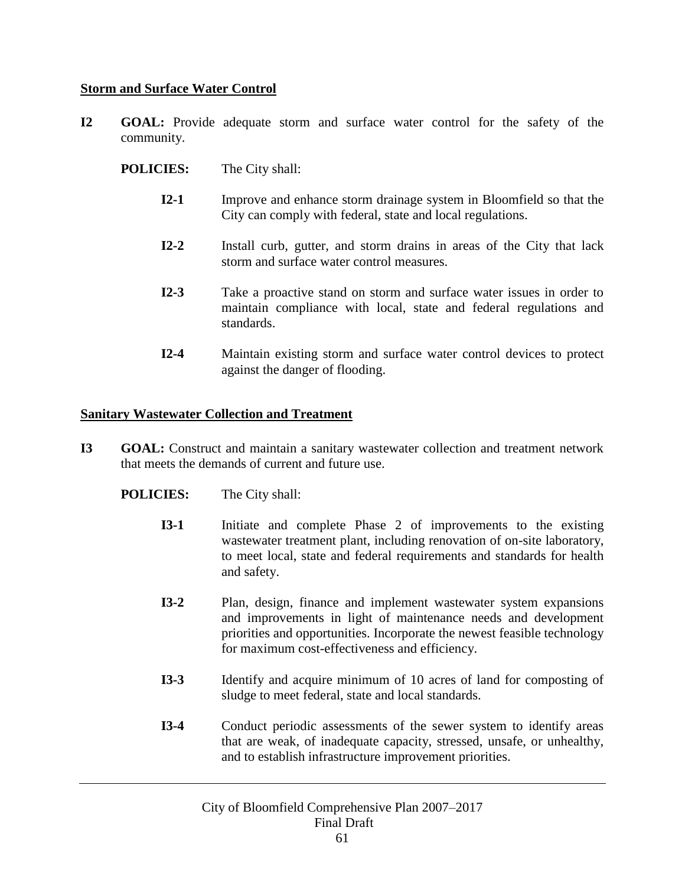### **Storm and Surface Water Control**

**I2 GOAL:** Provide adequate storm and surface water control for the safety of the community.

**POLICIES:** The City shall:

- **I2-1** Improve and enhance storm drainage system in Bloomfield so that the City can comply with federal, state and local regulations.
- **I2-2** Install curb, gutter, and storm drains in areas of the City that lack storm and surface water control measures.
- **I2-3** Take a proactive stand on storm and surface water issues in order to maintain compliance with local, state and federal regulations and standards.
- **I2-4** Maintain existing storm and surface water control devices to protect against the danger of flooding.

#### **Sanitary Wastewater Collection and Treatment**

- **I3 GOAL:** Construct and maintain a sanitary wastewater collection and treatment network that meets the demands of current and future use.
	- **POLICIES:** The City shall:
		- **I3-1** Initiate and complete Phase 2 of improvements to the existing wastewater treatment plant, including renovation of on-site laboratory, to meet local, state and federal requirements and standards for health and safety.
		- **I3-2** Plan, design, finance and implement wastewater system expansions and improvements in light of maintenance needs and development priorities and opportunities. Incorporate the newest feasible technology for maximum cost-effectiveness and efficiency.
		- **I3-3** Identify and acquire minimum of 10 acres of land for composting of sludge to meet federal, state and local standards.
		- **I3-4** Conduct periodic assessments of the sewer system to identify areas that are weak, of inadequate capacity, stressed, unsafe, or unhealthy, and to establish infrastructure improvement priorities.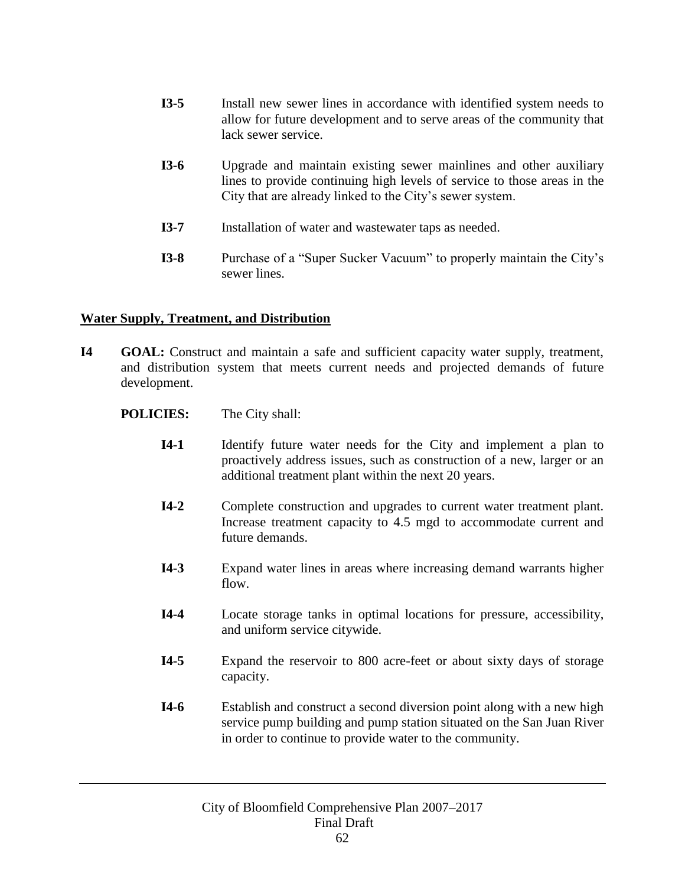- **I3-5** Install new sewer lines in accordance with identified system needs to allow for future development and to serve areas of the community that lack sewer service.
- **I3-6** Upgrade and maintain existing sewer mainlines and other auxiliary lines to provide continuing high levels of service to those areas in the City that are already linked to the City's sewer system.
- **I3-7** Installation of water and wastewater taps as needed.
- **I3-8** Purchase of a "Super Sucker Vacuum" to properly maintain the City's sewer lines.

# **Water Supply, Treatment, and Distribution**

- **I4 GOAL:** Construct and maintain a safe and sufficient capacity water supply, treatment, and distribution system that meets current needs and projected demands of future development.
	- **POLICIES:** The City shall:
		- **I4-1** Identify future water needs for the City and implement a plan to proactively address issues, such as construction of a new, larger or an additional treatment plant within the next 20 years.
		- **I4-2** Complete construction and upgrades to current water treatment plant. Increase treatment capacity to 4.5 mgd to accommodate current and future demands.
		- **I4-3** Expand water lines in areas where increasing demand warrants higher flow.
		- **I4-4** Locate storage tanks in optimal locations for pressure, accessibility, and uniform service citywide.
		- **I4-5** Expand the reservoir to 800 acre-feet or about sixty days of storage capacity.
		- **I4-6** Establish and construct a second diversion point along with a new high service pump building and pump station situated on the San Juan River in order to continue to provide water to the community.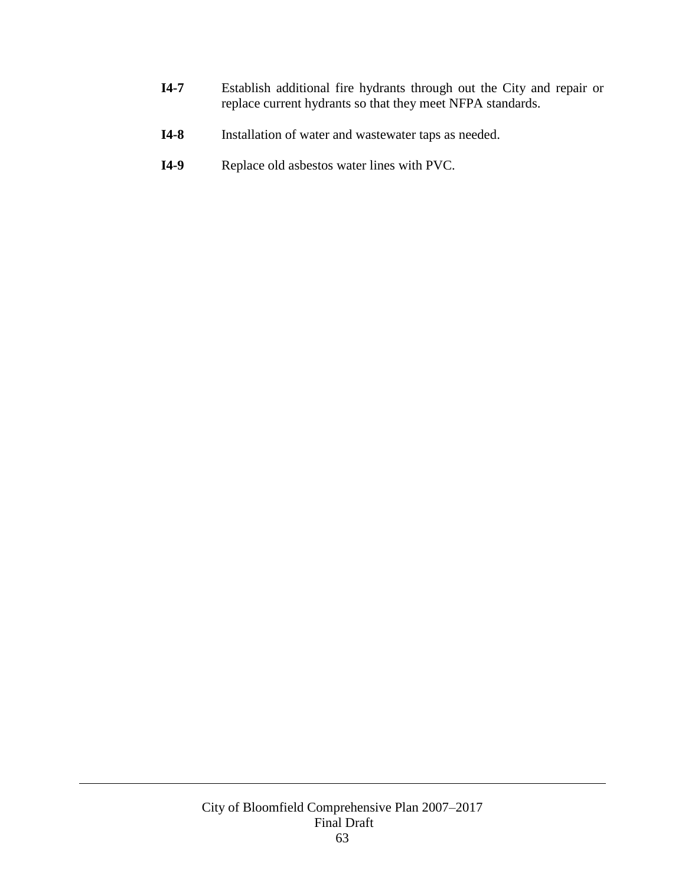- **I4-7** Establish additional fire hydrants through out the City and repair or replace current hydrants so that they meet NFPA standards.
- **I4-8** Installation of water and wastewater taps as needed.
- **I4-9** Replace old asbestos water lines with PVC.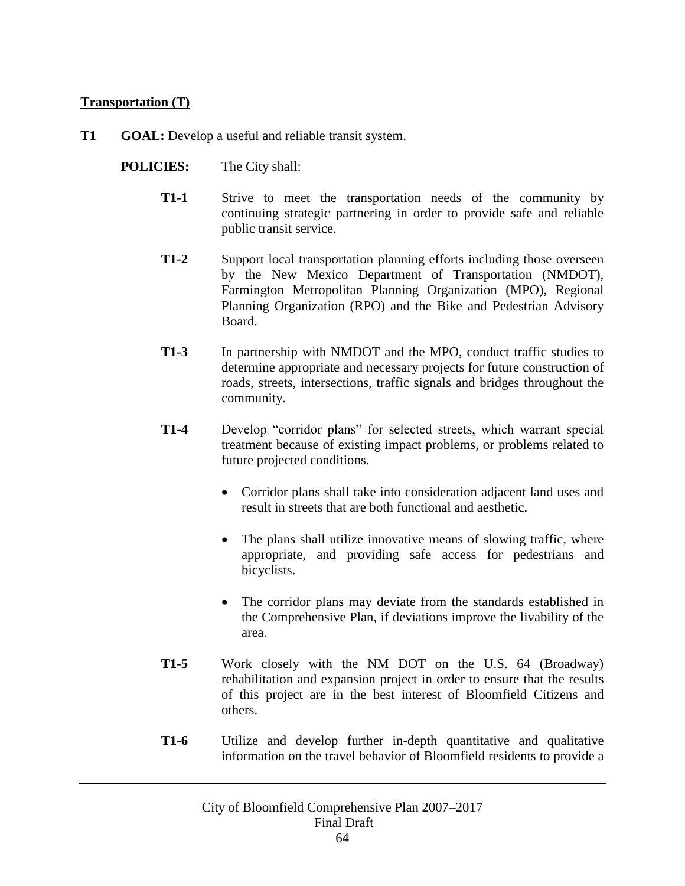# **Transportation (T)**

- **T1 GOAL:** Develop a useful and reliable transit system.
	- **POLICIES:** The City shall:
		- **T1-1** Strive to meet the transportation needs of the community by continuing strategic partnering in order to provide safe and reliable public transit service.
		- **T1-2** Support local transportation planning efforts including those overseen by the New Mexico Department of Transportation (NMDOT), Farmington Metropolitan Planning Organization (MPO), Regional Planning Organization (RPO) and the Bike and Pedestrian Advisory Board.
		- **T1-3** In partnership with NMDOT and the MPO, conduct traffic studies to determine appropriate and necessary projects for future construction of roads, streets, intersections, traffic signals and bridges throughout the community.
		- **T1-4** Develop "corridor plans" for selected streets, which warrant special treatment because of existing impact problems, or problems related to future projected conditions.
			- Corridor plans shall take into consideration adjacent land uses and result in streets that are both functional and aesthetic.
			- The plans shall utilize innovative means of slowing traffic, where appropriate, and providing safe access for pedestrians and bicyclists.
			- The corridor plans may deviate from the standards established in the Comprehensive Plan, if deviations improve the livability of the area.
		- **T1-5** Work closely with the NM DOT on the U.S. 64 (Broadway) rehabilitation and expansion project in order to ensure that the results of this project are in the best interest of Bloomfield Citizens and others.
		- **T1-6** Utilize and develop further in-depth quantitative and qualitative information on the travel behavior of Bloomfield residents to provide a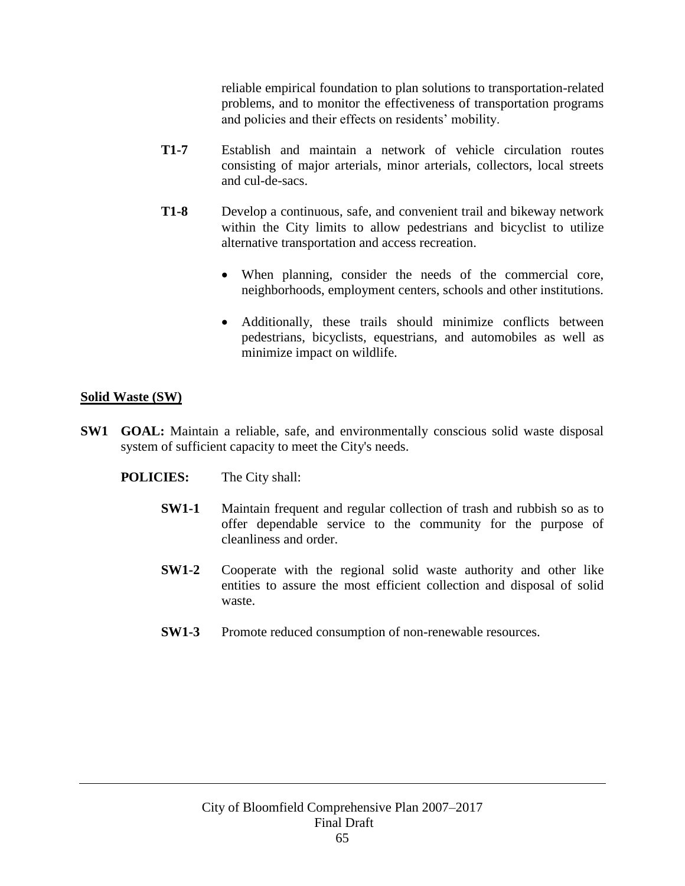reliable empirical foundation to plan solutions to transportation-related problems, and to monitor the effectiveness of transportation programs and policies and their effects on residents' mobility.

- **T1-7** Establish and maintain a network of vehicle circulation routes consisting of major arterials, minor arterials, collectors, local streets and cul-de-sacs.
- **T1-8** Develop a continuous, safe, and convenient trail and bikeway network within the City limits to allow pedestrians and bicyclist to utilize alternative transportation and access recreation.
	- When planning, consider the needs of the commercial core, neighborhoods, employment centers, schools and other institutions.
	- Additionally, these trails should minimize conflicts between pedestrians, bicyclists, equestrians, and automobiles as well as minimize impact on wildlife.

# **Solid Waste (SW)**

- **SW1 GOAL:** Maintain a reliable, safe, and environmentally conscious solid waste disposal system of sufficient capacity to meet the City's needs.
	- **POLICIES:** The City shall:
		- **SW1-1** Maintain frequent and regular collection of trash and rubbish so as to offer dependable service to the community for the purpose of cleanliness and order.
		- **SW1-2** Cooperate with the regional solid waste authority and other like entities to assure the most efficient collection and disposal of solid waste.
		- **SW1-3** Promote reduced consumption of non-renewable resources.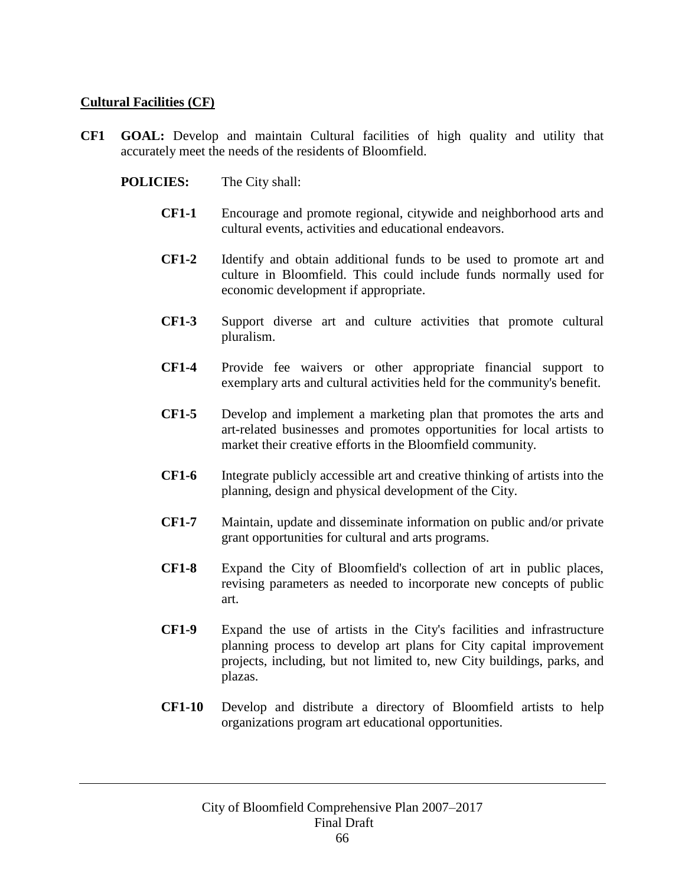### **Cultural Facilities (CF)**

- **CF1 GOAL:** Develop and maintain Cultural facilities of high quality and utility that accurately meet the needs of the residents of Bloomfield.
	- **POLICIES:** The City shall:
		- **CF1-1** Encourage and promote regional, citywide and neighborhood arts and cultural events, activities and educational endeavors.
		- **CF1-2** Identify and obtain additional funds to be used to promote art and culture in Bloomfield. This could include funds normally used for economic development if appropriate.
		- **CF1-3** Support diverse art and culture activities that promote cultural pluralism.
		- **CF1-4** Provide fee waivers or other appropriate financial support to exemplary arts and cultural activities held for the community's benefit.
		- **CF1-5** Develop and implement a marketing plan that promotes the arts and art-related businesses and promotes opportunities for local artists to market their creative efforts in the Bloomfield community.
		- **CF1-6** Integrate publicly accessible art and creative thinking of artists into the planning, design and physical development of the City.
		- **CF1-7** Maintain, update and disseminate information on public and/or private grant opportunities for cultural and arts programs.
		- **CF1-8** Expand the City of Bloomfield's collection of art in public places, revising parameters as needed to incorporate new concepts of public art.
		- **CF1-9** Expand the use of artists in the City's facilities and infrastructure planning process to develop art plans for City capital improvement projects, including, but not limited to, new City buildings, parks, and plazas.
		- **CF1-10** Develop and distribute a directory of Bloomfield artists to help organizations program art educational opportunities.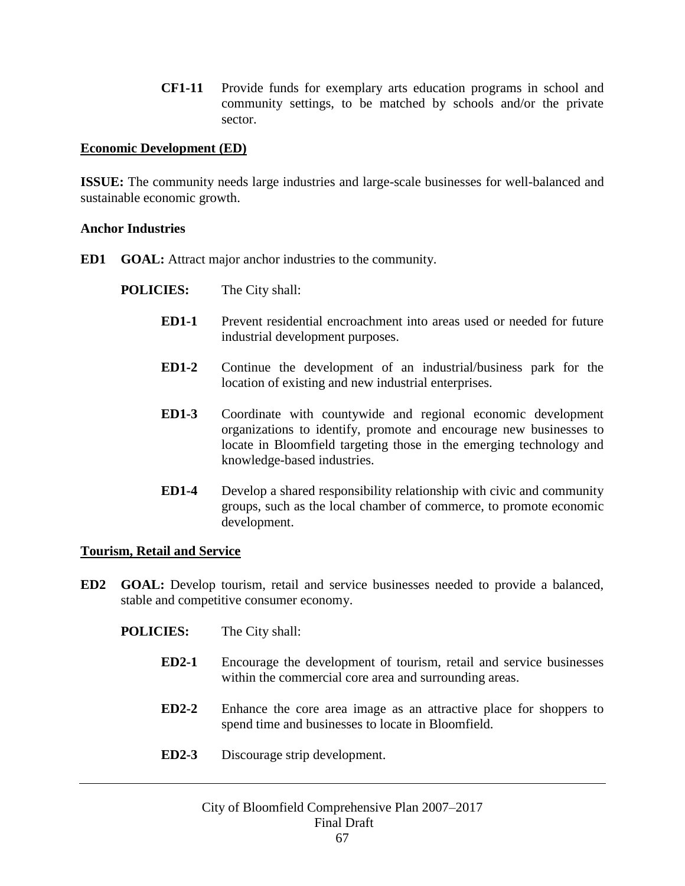**CF1-11** Provide funds for exemplary arts education programs in school and community settings, to be matched by schools and/or the private sector.

### **Economic Development (ED)**

**ISSUE:** The community needs large industries and large-scale businesses for well-balanced and sustainable economic growth.

#### **Anchor Industries**

- **ED1 GOAL:** Attract major anchor industries to the community.
	- **POLICIES:** The City shall:
		- **ED1-1** Prevent residential encroachment into areas used or needed for future industrial development purposes.
		- **ED1-2** Continue the development of an industrial/business park for the location of existing and new industrial enterprises.
		- **ED1-3** Coordinate with countywide and regional economic development organizations to identify, promote and encourage new businesses to locate in Bloomfield targeting those in the emerging technology and knowledge-based industries.
		- **ED1-4** Develop a shared responsibility relationship with civic and community groups, such as the local chamber of commerce, to promote economic development.

#### **Tourism, Retail and Service**

- **ED2 GOAL:** Develop tourism, retail and service businesses needed to provide a balanced, stable and competitive consumer economy.
	- **POLICIES:** The City shall:
		- **ED2-1** Encourage the development of tourism, retail and service businesses within the commercial core area and surrounding areas.
		- **ED2-2** Enhance the core area image as an attractive place for shoppers to spend time and businesses to locate in Bloomfield.
		- **ED2-3** Discourage strip development.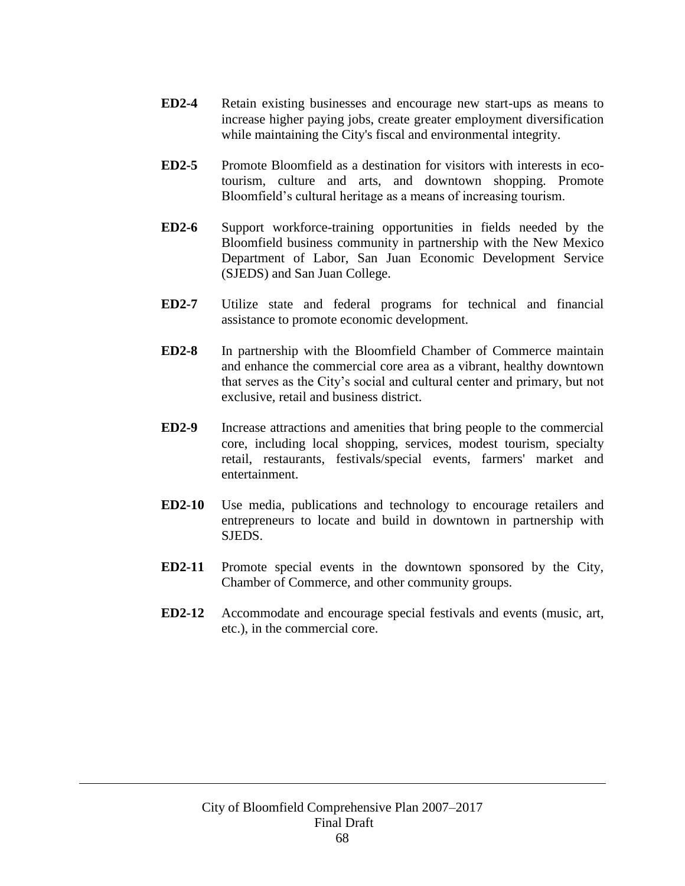- **ED2-4** Retain existing businesses and encourage new start-ups as means to increase higher paying jobs, create greater employment diversification while maintaining the City's fiscal and environmental integrity.
- **ED2-5** Promote Bloomfield as a destination for visitors with interests in ecotourism, culture and arts, and downtown shopping. Promote Bloomfield's cultural heritage as a means of increasing tourism.
- **ED2-6** Support workforce-training opportunities in fields needed by the Bloomfield business community in partnership with the New Mexico Department of Labor, San Juan Economic Development Service (SJEDS) and San Juan College.
- **ED2-7** Utilize state and federal programs for technical and financial assistance to promote economic development.
- **ED2-8** In partnership with the Bloomfield Chamber of Commerce maintain and enhance the commercial core area as a vibrant, healthy downtown that serves as the City's social and cultural center and primary, but not exclusive, retail and business district.
- **ED2-9** Increase attractions and amenities that bring people to the commercial core, including local shopping, services, modest tourism, specialty retail, restaurants, festivals/special events, farmers' market and entertainment.
- **ED2-10** Use media, publications and technology to encourage retailers and entrepreneurs to locate and build in downtown in partnership with SJEDS.
- **ED2-11** Promote special events in the downtown sponsored by the City, Chamber of Commerce, and other community groups.
- **ED2-12** Accommodate and encourage special festivals and events (music, art, etc.), in the commercial core.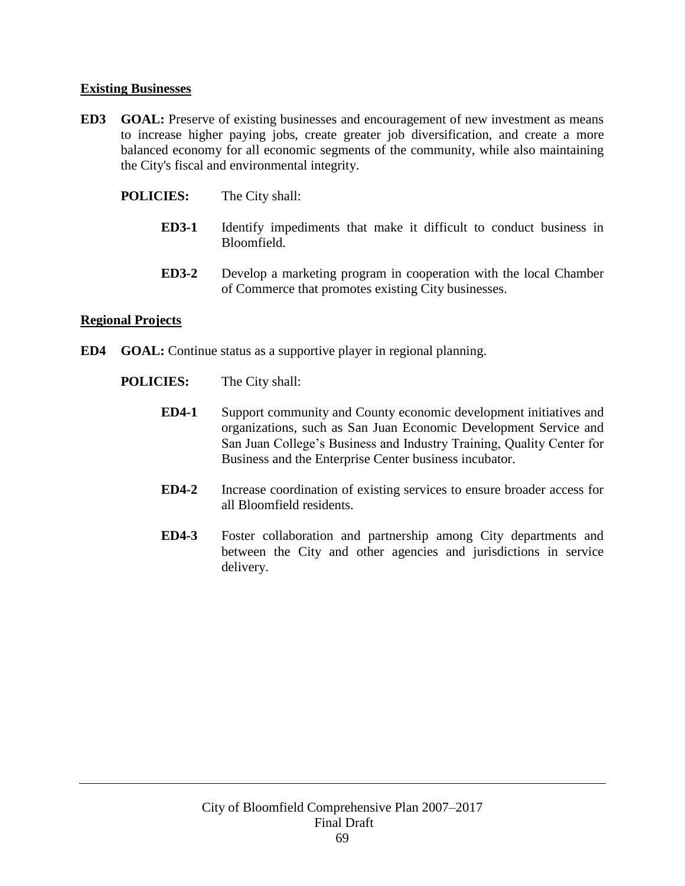## **Existing Businesses**

- **ED3 GOAL:** Preserve of existing businesses and encouragement of new investment as means to increase higher paying jobs, create greater job diversification, and create a more balanced economy for all economic segments of the community, while also maintaining the City's fiscal and environmental integrity.
	- **POLICIES:** The City shall:
		- **ED3-1** Identify impediments that make it difficult to conduct business in Bloomfield.
		- **ED3-2** Develop a marketing program in cooperation with the local Chamber of Commerce that promotes existing City businesses.

#### **Regional Projects**

- **ED4 GOAL:** Continue status as a supportive player in regional planning.
	- **POLICIES:** The City shall:
		- **ED4-1** Support community and County economic development initiatives and organizations, such as San Juan Economic Development Service and San Juan College's Business and Industry Training, Quality Center for Business and the Enterprise Center business incubator.
		- **ED4-2** Increase coordination of existing services to ensure broader access for all Bloomfield residents.
		- **ED4-3** Foster collaboration and partnership among City departments and between the City and other agencies and jurisdictions in service delivery.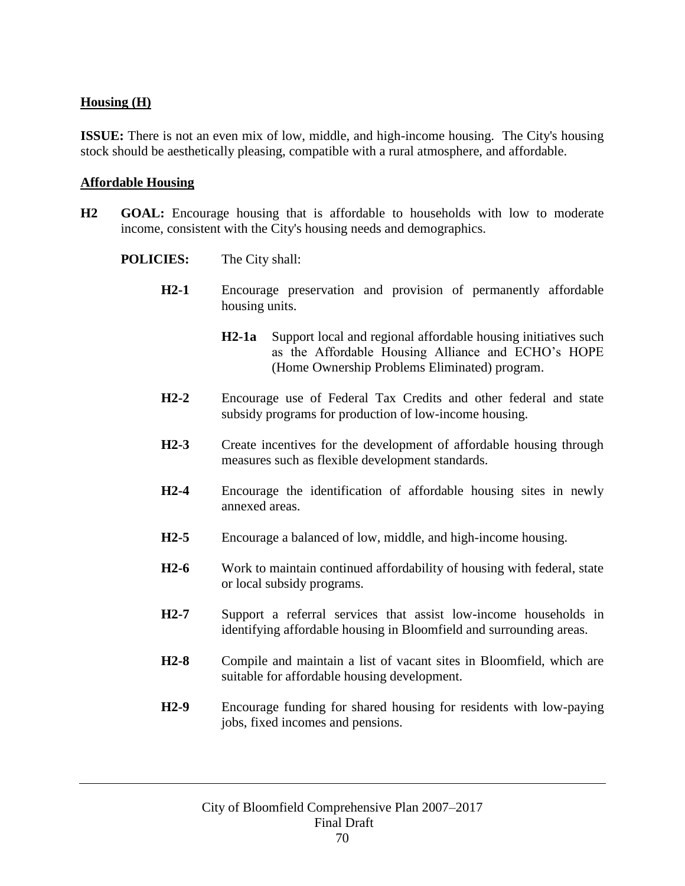# **Housing (H)**

**ISSUE:** There is not an even mix of low, middle, and high-income housing. The City's housing stock should be aesthetically pleasing, compatible with a rural atmosphere, and affordable.

#### **Affordable Housing**

- **H2 GOAL:** Encourage housing that is affordable to households with low to moderate income, consistent with the City's housing needs and demographics.
	- **POLICIES:** The City shall:
		- **H2-1** Encourage preservation and provision of permanently affordable housing units.
			- **H2-1a** Support local and regional affordable housing initiatives such as the Affordable Housing Alliance and ECHO's HOPE (Home Ownership Problems Eliminated) program.
		- **H2-2** Encourage use of Federal Tax Credits and other federal and state subsidy programs for production of low-income housing.
		- **H2-3** Create incentives for the development of affordable housing through measures such as flexible development standards.
		- **H2-4** Encourage the identification of affordable housing sites in newly annexed areas.
		- **H2-5** Encourage a balanced of low, middle, and high-income housing.
		- **H2-6** Work to maintain continued affordability of housing with federal, state or local subsidy programs.
		- **H2-7** Support a referral services that assist low-income households in identifying affordable housing in Bloomfield and surrounding areas.
		- **H2-8** Compile and maintain a list of vacant sites in Bloomfield, which are suitable for affordable housing development.
		- **H2-9** Encourage funding for shared housing for residents with low-paying jobs, fixed incomes and pensions.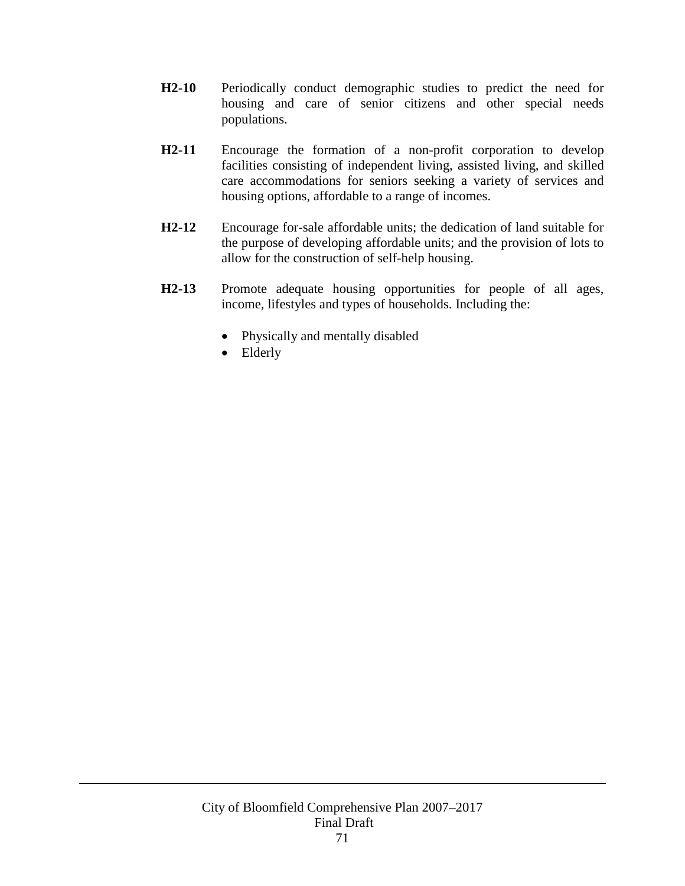- **H2-10** Periodically conduct demographic studies to predict the need for housing and care of senior citizens and other special needs populations.
- **H2-11** Encourage the formation of a non-profit corporation to develop facilities consisting of independent living, assisted living, and skilled care accommodations for seniors seeking a variety of services and housing options, affordable to a range of incomes.
- **H2-12** Encourage for-sale affordable units; the dedication of land suitable for the purpose of developing affordable units; and the provision of lots to allow for the construction of self-help housing.
- **H2-13** Promote adequate housing opportunities for people of all ages, income, lifestyles and types of households. Including the:
	- Physically and mentally disabled
	- Elderly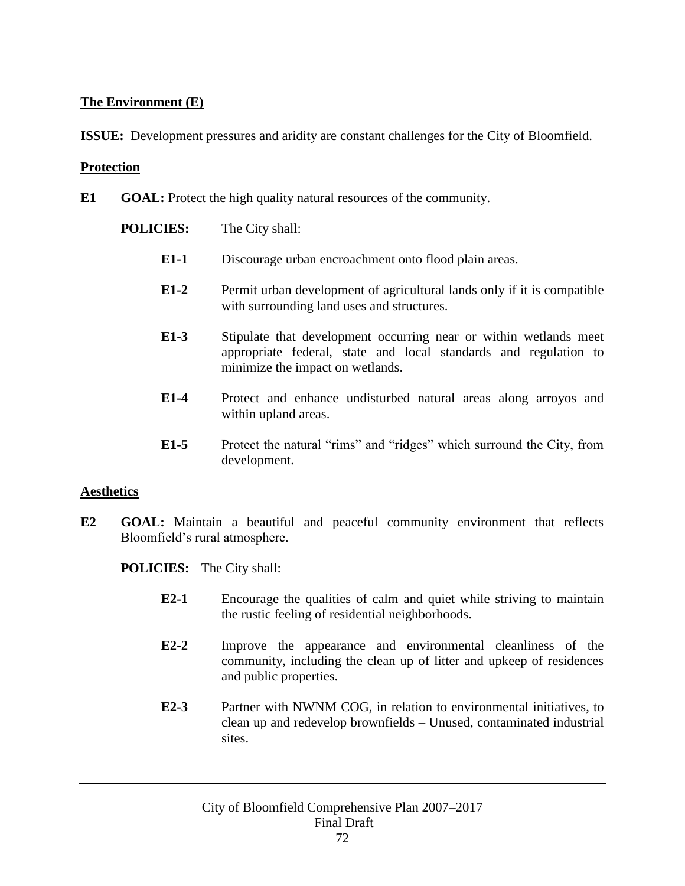### **The Environment (E)**

**ISSUE:** Development pressures and aridity are constant challenges for the City of Bloomfield.

### **Protection**

**E1 GOAL:** Protect the high quality natural resources of the community.

**POLICIES:** The City shall:

- **E1-1** Discourage urban encroachment onto flood plain areas.
- **E1-2** Permit urban development of agricultural lands only if it is compatible with surrounding land uses and structures.
- **E1-3** Stipulate that development occurring near or within wetlands meet appropriate federal, state and local standards and regulation to minimize the impact on wetlands.
- **E1-4** Protect and enhance undisturbed natural areas along arroyos and within upland areas.
- **E1-5** Protect the natural "rims" and "ridges" which surround the City, from development.

### **Aesthetics**

**E2 GOAL:** Maintain a beautiful and peaceful community environment that reflects Bloomfield's rural atmosphere.

**POLICIES:** The City shall:

- **E2-1** Encourage the qualities of calm and quiet while striving to maintain the rustic feeling of residential neighborhoods.
- **E2-2** Improve the appearance and environmental cleanliness of the community, including the clean up of litter and upkeep of residences and public properties.
- **E2-3** Partner with NWNM COG, in relation to environmental initiatives, to clean up and redevelop brownfields – Unused, contaminated industrial sites.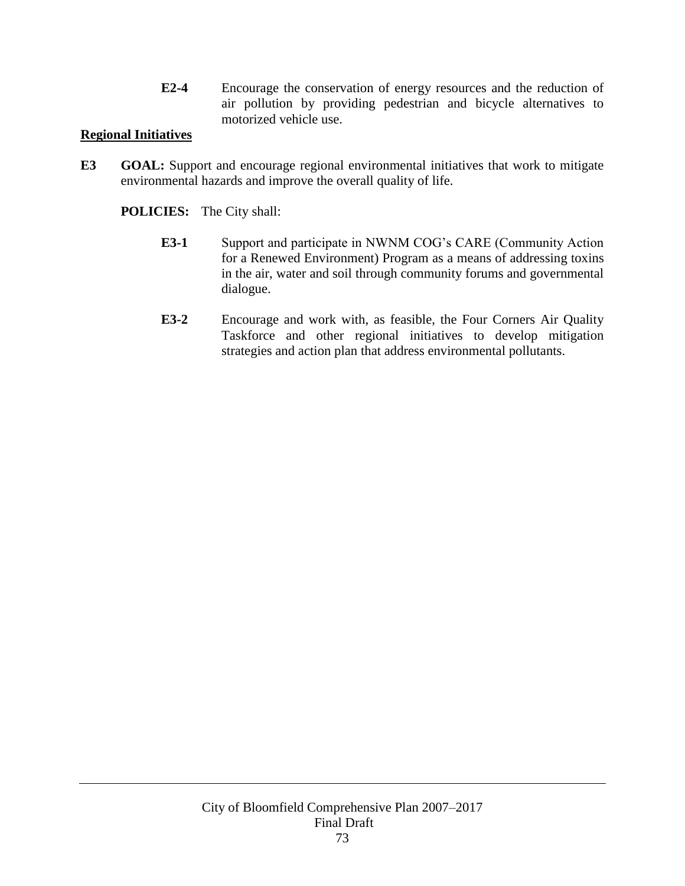**E2-4** Encourage the conservation of energy resources and the reduction of air pollution by providing pedestrian and bicycle alternatives to motorized vehicle use.

### **Regional Initiatives**

**E3 GOAL:** Support and encourage regional environmental initiatives that work to mitigate environmental hazards and improve the overall quality of life.

**POLICIES:** The City shall:

- **E3-1** Support and participate in NWNM COG's CARE (Community Action for a Renewed Environment) Program as a means of addressing toxins in the air, water and soil through community forums and governmental dialogue.
- **E3-2** Encourage and work with, as feasible, the Four Corners Air Quality Taskforce and other regional initiatives to develop mitigation strategies and action plan that address environmental pollutants.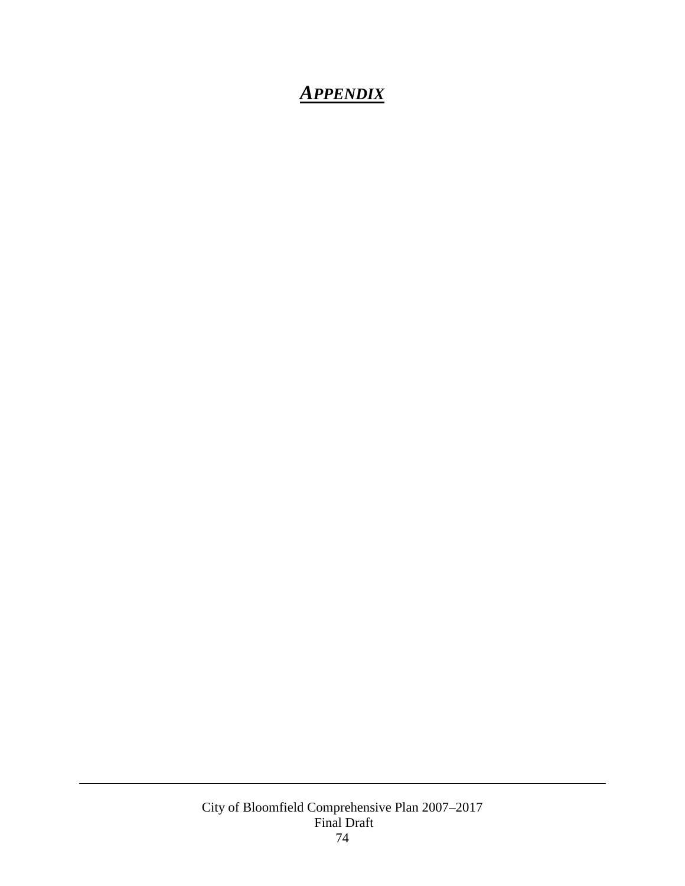### *APPENDIX*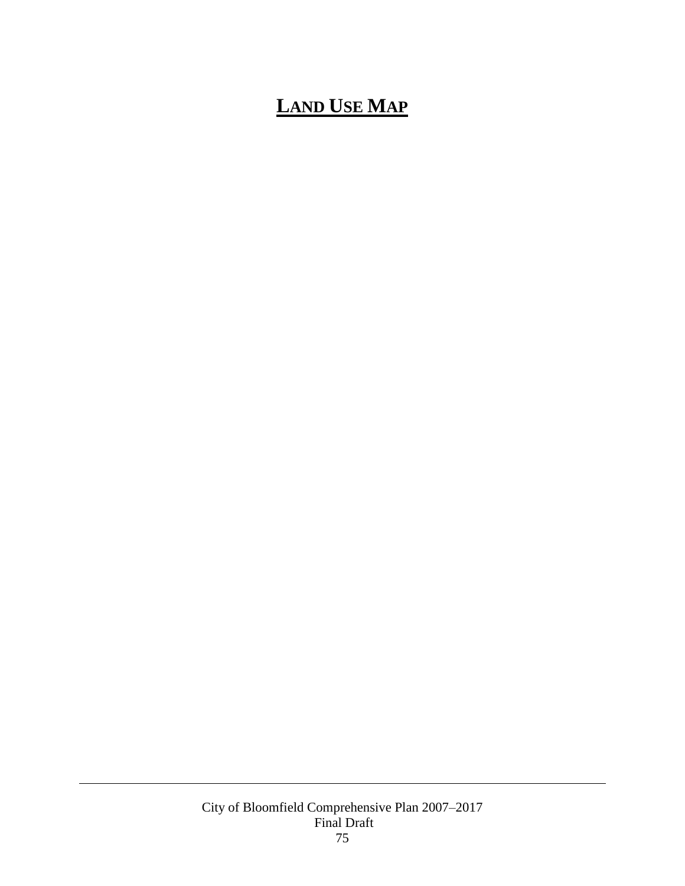# $\overline{\text{LAND}}$  **USE MAP**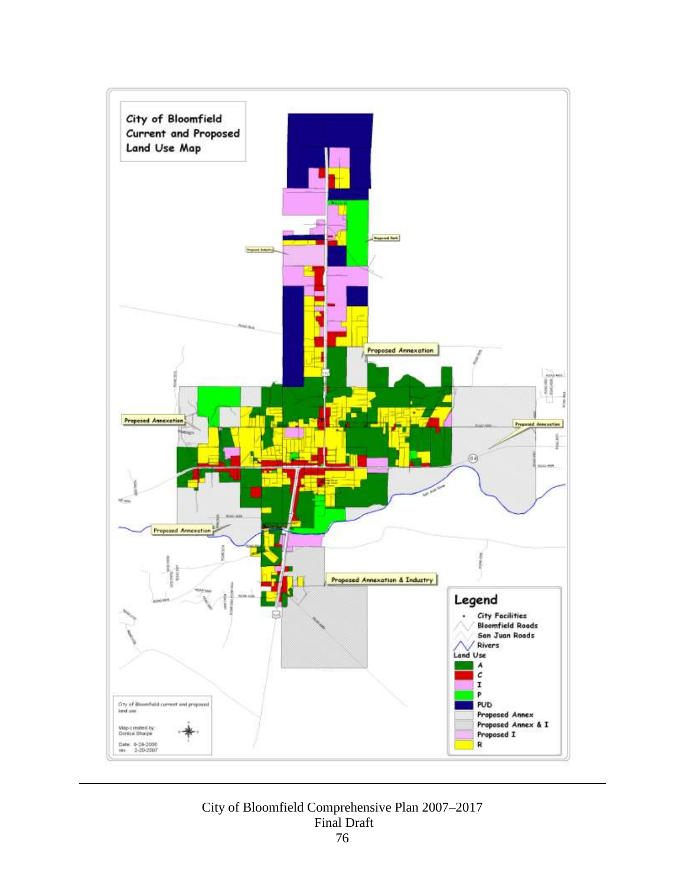

City of Bloomfield Comprehensive Plan 2007–2017 Final Draft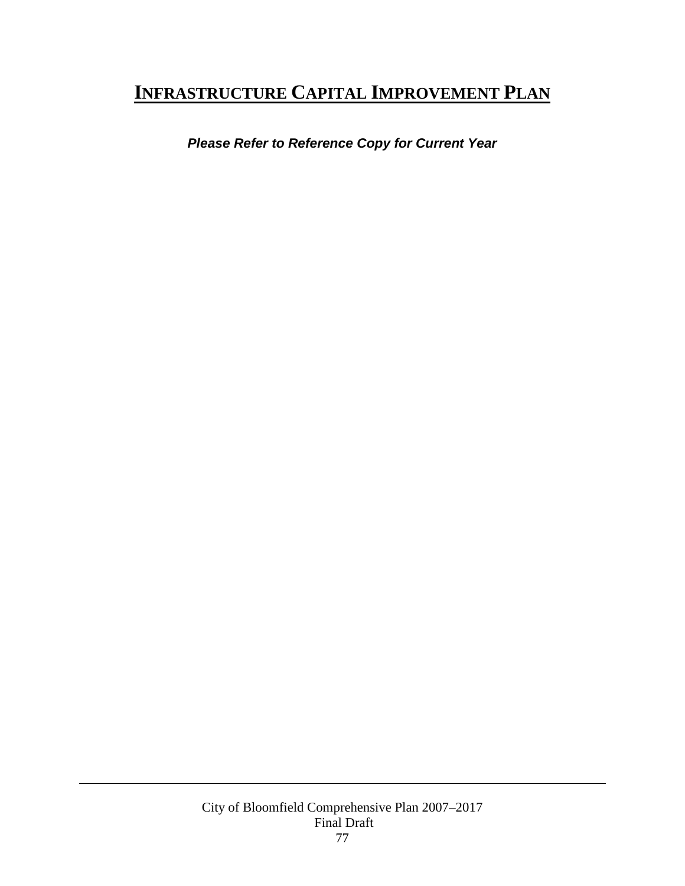### **INFRASTRUCTURE CAPITAL IMPROVEMENT PLAN**

*Please Refer to Reference Copy for Current Year*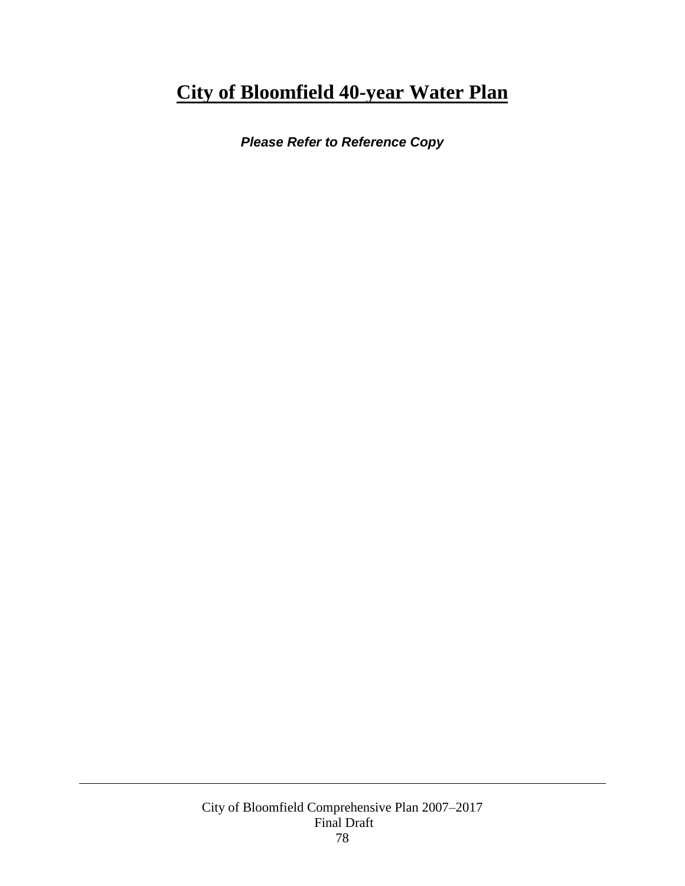## **City of Bloomfield 40-year Water Plan**

*Please Refer to Reference Copy*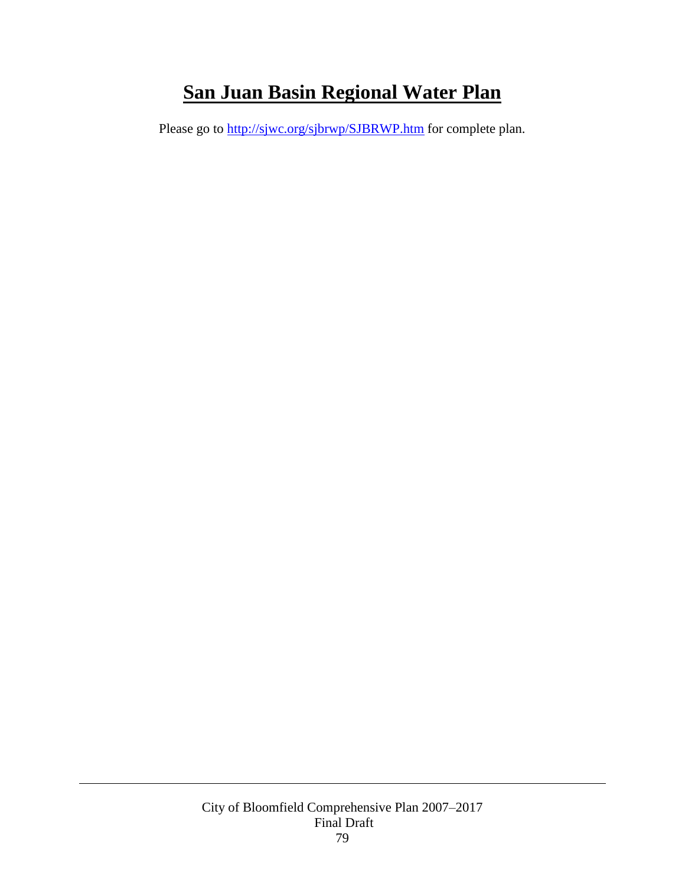# **San Juan Basin Regional Water Plan**

Please go to<http://sjwc.org/sjbrwp/SJBRWP.htm> for complete plan.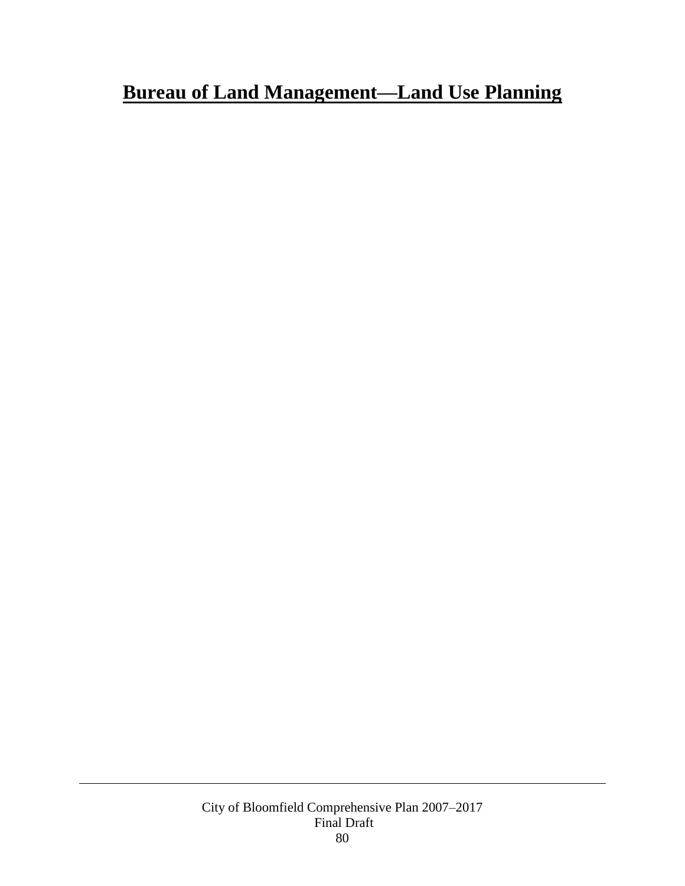# **Bureau of Land Management—Land Use Planning**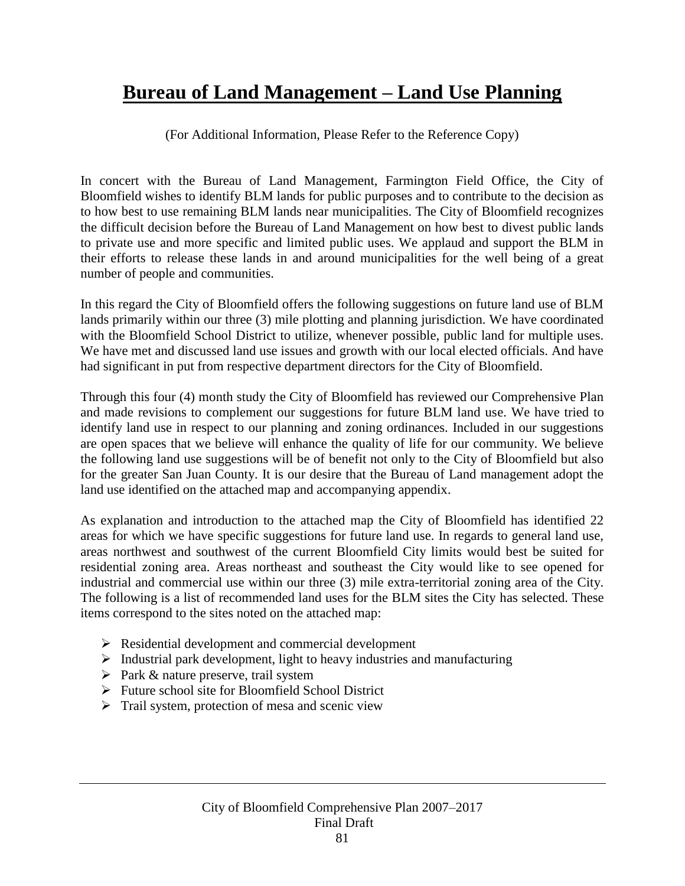### **Bureau of Land Management – Land Use Planning**

(For Additional Information, Please Refer to the Reference Copy)

In concert with the Bureau of Land Management, Farmington Field Office, the City of Bloomfield wishes to identify BLM lands for public purposes and to contribute to the decision as to how best to use remaining BLM lands near municipalities. The City of Bloomfield recognizes the difficult decision before the Bureau of Land Management on how best to divest public lands to private use and more specific and limited public uses. We applaud and support the BLM in their efforts to release these lands in and around municipalities for the well being of a great number of people and communities.

In this regard the City of Bloomfield offers the following suggestions on future land use of BLM lands primarily within our three (3) mile plotting and planning jurisdiction. We have coordinated with the Bloomfield School District to utilize, whenever possible, public land for multiple uses. We have met and discussed land use issues and growth with our local elected officials. And have had significant in put from respective department directors for the City of Bloomfield.

Through this four (4) month study the City of Bloomfield has reviewed our Comprehensive Plan and made revisions to complement our suggestions for future BLM land use. We have tried to identify land use in respect to our planning and zoning ordinances. Included in our suggestions are open spaces that we believe will enhance the quality of life for our community. We believe the following land use suggestions will be of benefit not only to the City of Bloomfield but also for the greater San Juan County. It is our desire that the Bureau of Land management adopt the land use identified on the attached map and accompanying appendix.

As explanation and introduction to the attached map the City of Bloomfield has identified 22 areas for which we have specific suggestions for future land use. In regards to general land use, areas northwest and southwest of the current Bloomfield City limits would best be suited for residential zoning area. Areas northeast and southeast the City would like to see opened for industrial and commercial use within our three (3) mile extra-territorial zoning area of the City. The following is a list of recommended land uses for the BLM sites the City has selected. These items correspond to the sites noted on the attached map:

- $\triangleright$  Residential development and commercial development
- $\triangleright$  Industrial park development, light to heavy industries and manufacturing
- $\triangleright$  Park & nature preserve, trail system
- $\triangleright$  Future school site for Bloomfield School District
- $\triangleright$  Trail system, protection of mesa and scenic view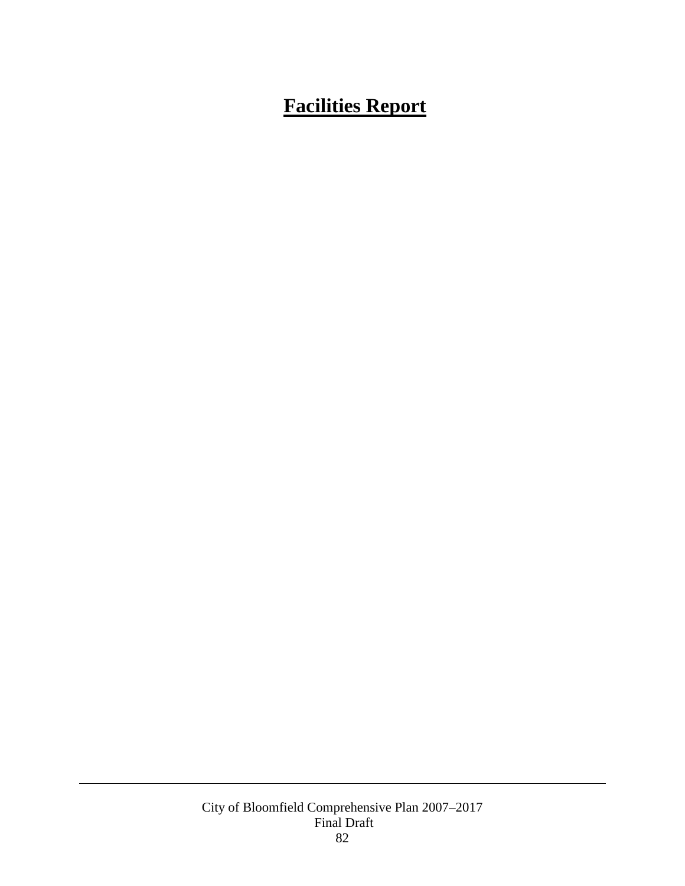# **Facilities Report**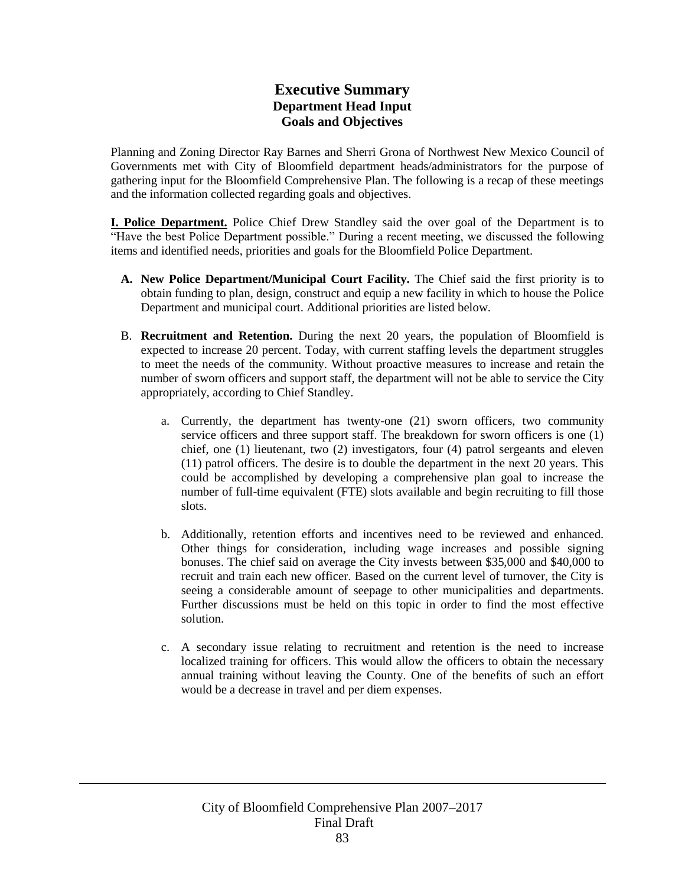### **Executive Summary Department Head Input Goals and Objectives**

Planning and Zoning Director Ray Barnes and Sherri Grona of Northwest New Mexico Council of Governments met with City of Bloomfield department heads/administrators for the purpose of gathering input for the Bloomfield Comprehensive Plan. The following is a recap of these meetings and the information collected regarding goals and objectives.

**I. Police Department.** Police Chief Drew Standley said the over goal of the Department is to "Have the best Police Department possible." During a recent meeting, we discussed the following items and identified needs, priorities and goals for the Bloomfield Police Department.

- **A. New Police Department/Municipal Court Facility.** The Chief said the first priority is to obtain funding to plan, design, construct and equip a new facility in which to house the Police Department and municipal court. Additional priorities are listed below.
- B. **Recruitment and Retention.** During the next 20 years, the population of Bloomfield is expected to increase 20 percent. Today, with current staffing levels the department struggles to meet the needs of the community. Without proactive measures to increase and retain the number of sworn officers and support staff, the department will not be able to service the City appropriately, according to Chief Standley.
	- a. Currently, the department has twenty-one (21) sworn officers, two community service officers and three support staff. The breakdown for sworn officers is one (1) chief, one (1) lieutenant, two (2) investigators, four (4) patrol sergeants and eleven (11) patrol officers. The desire is to double the department in the next 20 years. This could be accomplished by developing a comprehensive plan goal to increase the number of full-time equivalent (FTE) slots available and begin recruiting to fill those slots.
	- b. Additionally, retention efforts and incentives need to be reviewed and enhanced. Other things for consideration, including wage increases and possible signing bonuses. The chief said on average the City invests between \$35,000 and \$40,000 to recruit and train each new officer. Based on the current level of turnover, the City is seeing a considerable amount of seepage to other municipalities and departments. Further discussions must be held on this topic in order to find the most effective solution.
	- c. A secondary issue relating to recruitment and retention is the need to increase localized training for officers. This would allow the officers to obtain the necessary annual training without leaving the County. One of the benefits of such an effort would be a decrease in travel and per diem expenses.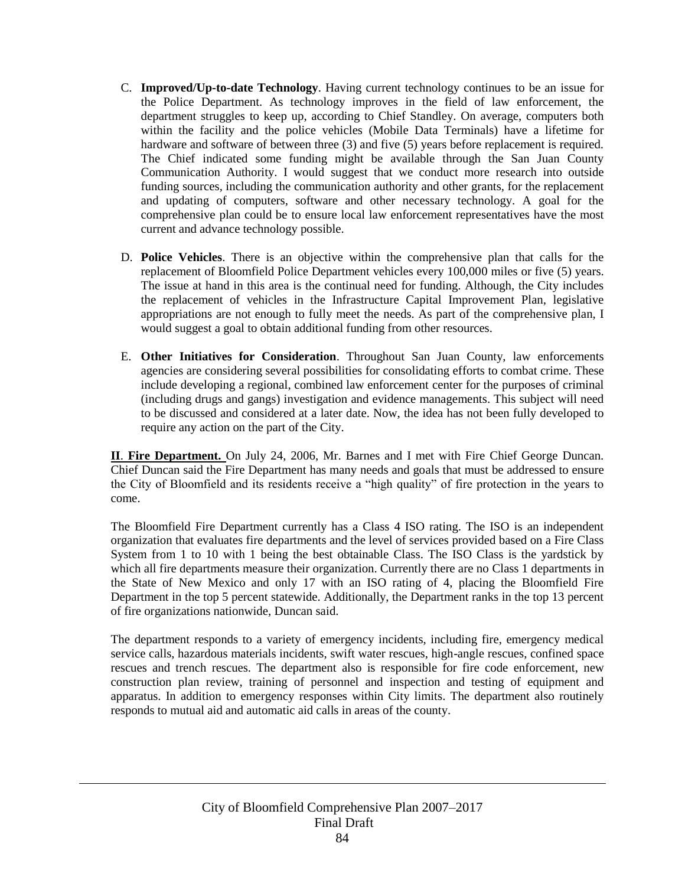- C. **Improved/Up-to-date Technology**. Having current technology continues to be an issue for the Police Department. As technology improves in the field of law enforcement, the department struggles to keep up, according to Chief Standley. On average, computers both within the facility and the police vehicles (Mobile Data Terminals) have a lifetime for hardware and software of between three (3) and five (5) years before replacement is required. The Chief indicated some funding might be available through the San Juan County Communication Authority. I would suggest that we conduct more research into outside funding sources, including the communication authority and other grants, for the replacement and updating of computers, software and other necessary technology. A goal for the comprehensive plan could be to ensure local law enforcement representatives have the most current and advance technology possible.
- D. **Police Vehicles**. There is an objective within the comprehensive plan that calls for the replacement of Bloomfield Police Department vehicles every 100,000 miles or five (5) years. The issue at hand in this area is the continual need for funding. Although, the City includes the replacement of vehicles in the Infrastructure Capital Improvement Plan, legislative appropriations are not enough to fully meet the needs. As part of the comprehensive plan, I would suggest a goal to obtain additional funding from other resources.
- E. **Other Initiatives for Consideration**. Throughout San Juan County, law enforcements agencies are considering several possibilities for consolidating efforts to combat crime. These include developing a regional, combined law enforcement center for the purposes of criminal (including drugs and gangs) investigation and evidence managements. This subject will need to be discussed and considered at a later date. Now, the idea has not been fully developed to require any action on the part of the City.

**II**. **Fire Department.** On July 24, 2006, Mr. Barnes and I met with Fire Chief George Duncan. Chief Duncan said the Fire Department has many needs and goals that must be addressed to ensure the City of Bloomfield and its residents receive a "high quality" of fire protection in the years to come.

The Bloomfield Fire Department currently has a Class 4 ISO rating. The ISO is an independent organization that evaluates fire departments and the level of services provided based on a Fire Class System from 1 to 10 with 1 being the best obtainable Class. The ISO Class is the yardstick by which all fire departments measure their organization. Currently there are no Class 1 departments in the State of New Mexico and only 17 with an ISO rating of 4, placing the Bloomfield Fire Department in the top 5 percent statewide. Additionally, the Department ranks in the top 13 percent of fire organizations nationwide, Duncan said.

The department responds to a variety of emergency incidents, including fire, emergency medical service calls, hazardous materials incidents, swift water rescues, high-angle rescues, confined space rescues and trench rescues. The department also is responsible for fire code enforcement, new construction plan review, training of personnel and inspection and testing of equipment and apparatus. In addition to emergency responses within City limits. The department also routinely responds to mutual aid and automatic aid calls in areas of the county.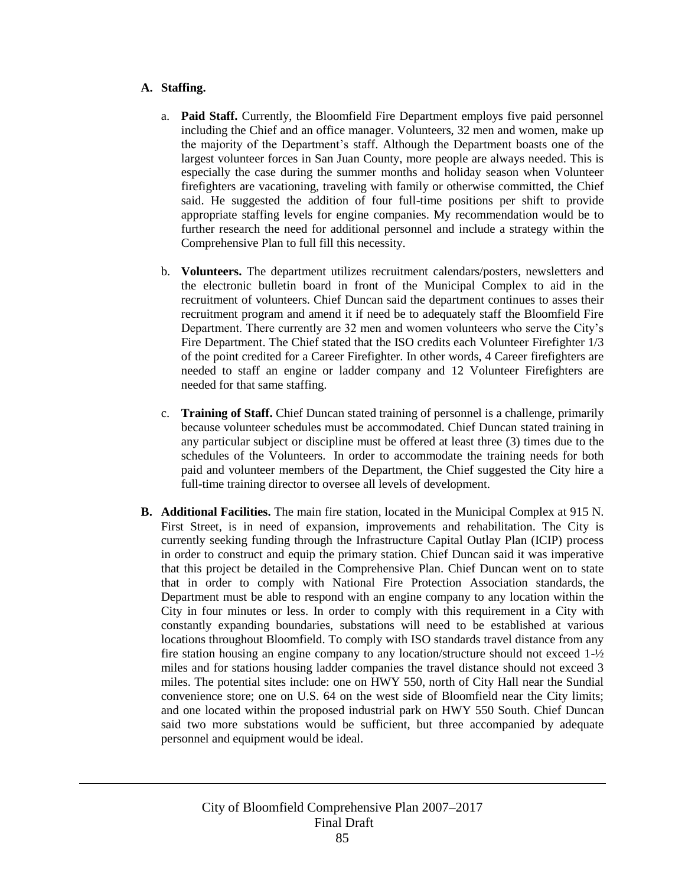#### **A. Staffing.**

- a. **Paid Staff.** Currently, the Bloomfield Fire Department employs five paid personnel including the Chief and an office manager. Volunteers, 32 men and women, make up the majority of the Department's staff. Although the Department boasts one of the largest volunteer forces in San Juan County, more people are always needed. This is especially the case during the summer months and holiday season when Volunteer firefighters are vacationing, traveling with family or otherwise committed, the Chief said. He suggested the addition of four full-time positions per shift to provide appropriate staffing levels for engine companies. My recommendation would be to further research the need for additional personnel and include a strategy within the Comprehensive Plan to full fill this necessity.
- b. **Volunteers.** The department utilizes recruitment calendars/posters, newsletters and the electronic bulletin board in front of the Municipal Complex to aid in the recruitment of volunteers. Chief Duncan said the department continues to asses their recruitment program and amend it if need be to adequately staff the Bloomfield Fire Department. There currently are 32 men and women volunteers who serve the City's Fire Department. The Chief stated that the ISO credits each Volunteer Firefighter 1/3 of the point credited for a Career Firefighter. In other words, 4 Career firefighters are needed to staff an engine or ladder company and 12 Volunteer Firefighters are needed for that same staffing.
- c. **Training of Staff.** Chief Duncan stated training of personnel is a challenge, primarily because volunteer schedules must be accommodated. Chief Duncan stated training in any particular subject or discipline must be offered at least three (3) times due to the schedules of the Volunteers. In order to accommodate the training needs for both paid and volunteer members of the Department, the Chief suggested the City hire a full-time training director to oversee all levels of development.
- **B. Additional Facilities.** The main fire station, located in the Municipal Complex at 915 N. First Street, is in need of expansion, improvements and rehabilitation. The City is currently seeking funding through the Infrastructure Capital Outlay Plan (ICIP) process in order to construct and equip the primary station. Chief Duncan said it was imperative that this project be detailed in the Comprehensive Plan. Chief Duncan went on to state that in order to comply with National Fire Protection Association standards, the Department must be able to respond with an engine company to any location within the City in four minutes or less. In order to comply with this requirement in a City with constantly expanding boundaries, substations will need to be established at various locations throughout Bloomfield. To comply with ISO standards travel distance from any fire station housing an engine company to any location/structure should not exceed  $1-\frac{1}{2}$ miles and for stations housing ladder companies the travel distance should not exceed 3 miles. The potential sites include: one on HWY 550, north of City Hall near the Sundial convenience store; one on U.S. 64 on the west side of Bloomfield near the City limits; and one located within the proposed industrial park on HWY 550 South. Chief Duncan said two more substations would be sufficient, but three accompanied by adequate personnel and equipment would be ideal.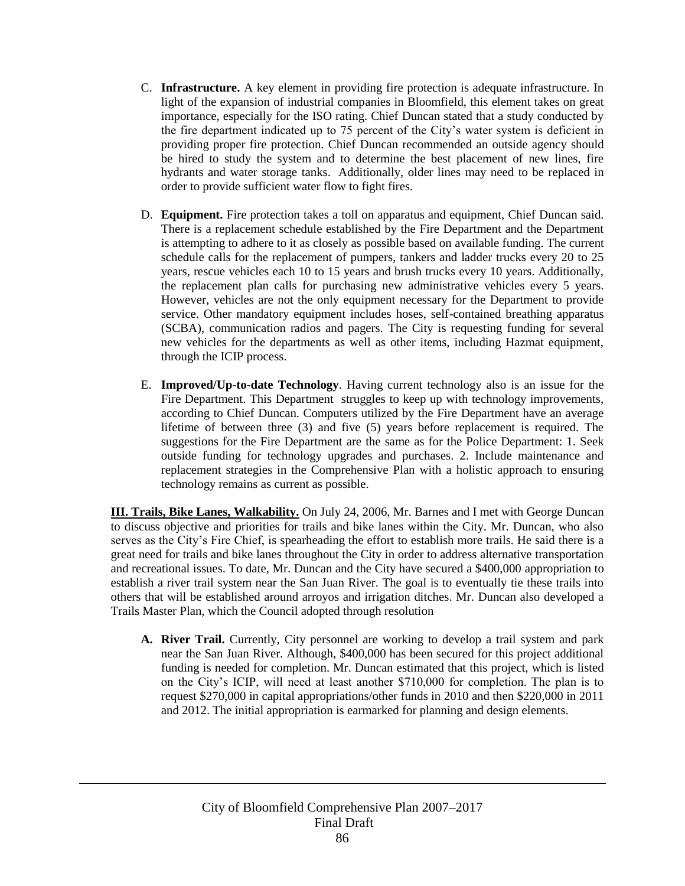- C. **Infrastructure.** A key element in providing fire protection is adequate infrastructure. In light of the expansion of industrial companies in Bloomfield, this element takes on great importance, especially for the ISO rating. Chief Duncan stated that a study conducted by the fire department indicated up to 75 percent of the City's water system is deficient in providing proper fire protection. Chief Duncan recommended an outside agency should be hired to study the system and to determine the best placement of new lines, fire hydrants and water storage tanks. Additionally, older lines may need to be replaced in order to provide sufficient water flow to fight fires.
- D. **Equipment.** Fire protection takes a toll on apparatus and equipment, Chief Duncan said. There is a replacement schedule established by the Fire Department and the Department is attempting to adhere to it as closely as possible based on available funding. The current schedule calls for the replacement of pumpers, tankers and ladder trucks every 20 to 25 years, rescue vehicles each 10 to 15 years and brush trucks every 10 years. Additionally, the replacement plan calls for purchasing new administrative vehicles every 5 years. However, vehicles are not the only equipment necessary for the Department to provide service. Other mandatory equipment includes hoses, self-contained breathing apparatus (SCBA), communication radios and pagers. The City is requesting funding for several new vehicles for the departments as well as other items, including Hazmat equipment, through the ICIP process.
- E. **Improved/Up-to-date Technology**. Having current technology also is an issue for the Fire Department. This Department struggles to keep up with technology improvements, according to Chief Duncan. Computers utilized by the Fire Department have an average lifetime of between three (3) and five (5) years before replacement is required. The suggestions for the Fire Department are the same as for the Police Department: 1. Seek outside funding for technology upgrades and purchases. 2. Include maintenance and replacement strategies in the Comprehensive Plan with a holistic approach to ensuring technology remains as current as possible.

**III. Trails, Bike Lanes, Walkability.** On July 24, 2006, Mr. Barnes and I met with George Duncan to discuss objective and priorities for trails and bike lanes within the City. Mr. Duncan, who also serves as the City's Fire Chief, is spearheading the effort to establish more trails. He said there is a great need for trails and bike lanes throughout the City in order to address alternative transportation and recreational issues. To date, Mr. Duncan and the City have secured a \$400,000 appropriation to establish a river trail system near the San Juan River. The goal is to eventually tie these trails into others that will be established around arroyos and irrigation ditches. Mr. Duncan also developed a Trails Master Plan, which the Council adopted through resolution

**A. River Trail.** Currently, City personnel are working to develop a trail system and park near the San Juan River. Although, \$400,000 has been secured for this project additional funding is needed for completion. Mr. Duncan estimated that this project, which is listed on the City's ICIP, will need at least another \$710,000 for completion. The plan is to request \$270,000 in capital appropriations/other funds in 2010 and then \$220,000 in 2011 and 2012. The initial appropriation is earmarked for planning and design elements.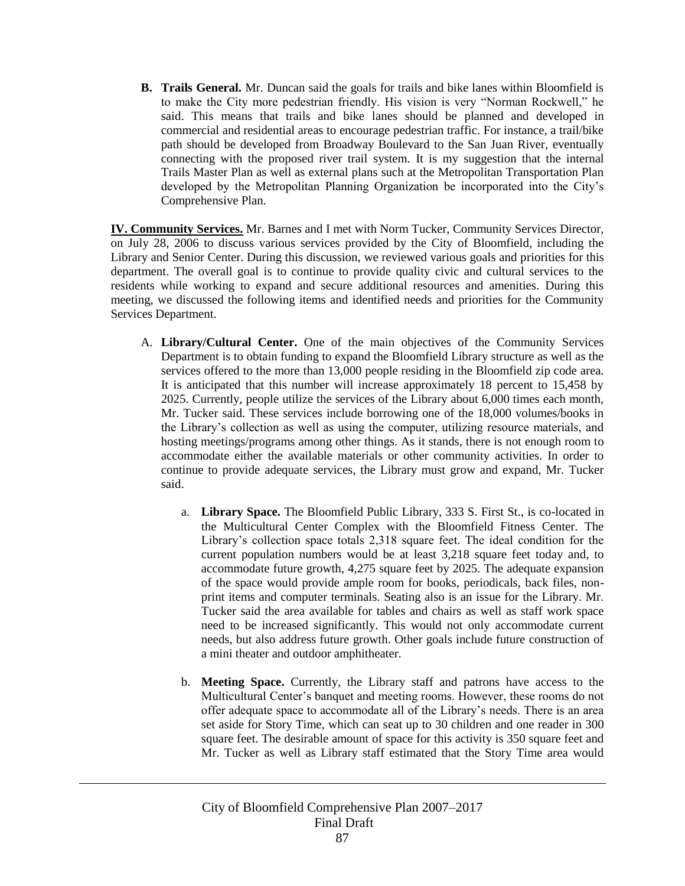**B. Trails General.** Mr. Duncan said the goals for trails and bike lanes within Bloomfield is to make the City more pedestrian friendly. His vision is very "Norman Rockwell," he said. This means that trails and bike lanes should be planned and developed in commercial and residential areas to encourage pedestrian traffic. For instance, a trail/bike path should be developed from Broadway Boulevard to the San Juan River, eventually connecting with the proposed river trail system. It is my suggestion that the internal Trails Master Plan as well as external plans such at the Metropolitan Transportation Plan developed by the Metropolitan Planning Organization be incorporated into the City's Comprehensive Plan.

**IV. Community Services.** Mr. Barnes and I met with Norm Tucker, Community Services Director, on July 28, 2006 to discuss various services provided by the City of Bloomfield, including the Library and Senior Center. During this discussion, we reviewed various goals and priorities for this department. The overall goal is to continue to provide quality civic and cultural services to the residents while working to expand and secure additional resources and amenities. During this meeting, we discussed the following items and identified needs and priorities for the Community Services Department.

- A. **Library/Cultural Center.** One of the main objectives of the Community Services Department is to obtain funding to expand the Bloomfield Library structure as well as the services offered to the more than 13,000 people residing in the Bloomfield zip code area. It is anticipated that this number will increase approximately 18 percent to 15,458 by 2025. Currently, people utilize the services of the Library about 6,000 times each month, Mr. Tucker said. These services include borrowing one of the 18,000 volumes/books in the Library's collection as well as using the computer, utilizing resource materials, and hosting meetings/programs among other things. As it stands, there is not enough room to accommodate either the available materials or other community activities. In order to continue to provide adequate services, the Library must grow and expand, Mr. Tucker said.
	- a. **Library Space.** The Bloomfield Public Library, 333 S. First St., is co-located in the Multicultural Center Complex with the Bloomfield Fitness Center. The Library's collection space totals 2,318 square feet. The ideal condition for the current population numbers would be at least 3,218 square feet today and, to accommodate future growth, 4,275 square feet by 2025. The adequate expansion of the space would provide ample room for books, periodicals, back files, nonprint items and computer terminals. Seating also is an issue for the Library. Mr. Tucker said the area available for tables and chairs as well as staff work space need to be increased significantly. This would not only accommodate current needs, but also address future growth. Other goals include future construction of a mini theater and outdoor amphitheater.
	- b. **Meeting Space.** Currently, the Library staff and patrons have access to the Multicultural Center's banquet and meeting rooms. However, these rooms do not offer adequate space to accommodate all of the Library's needs. There is an area set aside for Story Time, which can seat up to 30 children and one reader in 300 square feet. The desirable amount of space for this activity is 350 square feet and Mr. Tucker as well as Library staff estimated that the Story Time area would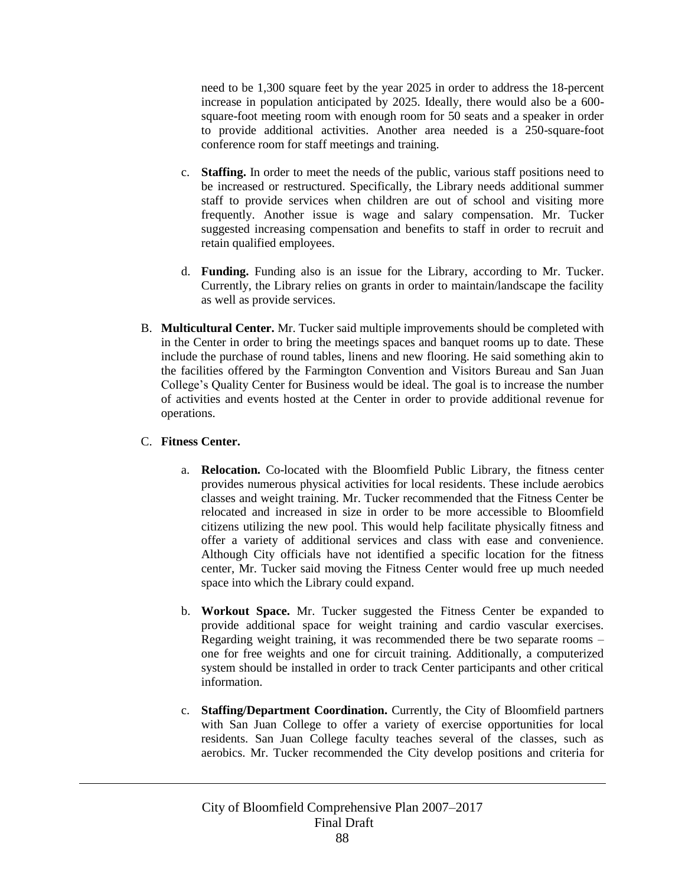need to be 1,300 square feet by the year 2025 in order to address the 18-percent increase in population anticipated by 2025. Ideally, there would also be a 600 square-foot meeting room with enough room for 50 seats and a speaker in order to provide additional activities. Another area needed is a 250-square-foot conference room for staff meetings and training.

- c. **Staffing.** In order to meet the needs of the public, various staff positions need to be increased or restructured. Specifically, the Library needs additional summer staff to provide services when children are out of school and visiting more frequently. Another issue is wage and salary compensation. Mr. Tucker suggested increasing compensation and benefits to staff in order to recruit and retain qualified employees.
- d. **Funding.** Funding also is an issue for the Library, according to Mr. Tucker. Currently, the Library relies on grants in order to maintain/landscape the facility as well as provide services.
- B. **Multicultural Center.** Mr. Tucker said multiple improvements should be completed with in the Center in order to bring the meetings spaces and banquet rooms up to date. These include the purchase of round tables, linens and new flooring. He said something akin to the facilities offered by the Farmington Convention and Visitors Bureau and San Juan College's Quality Center for Business would be ideal. The goal is to increase the number of activities and events hosted at the Center in order to provide additional revenue for operations.

#### C. **Fitness Center.**

- a. **Relocation.** Co-located with the Bloomfield Public Library, the fitness center provides numerous physical activities for local residents. These include aerobics classes and weight training. Mr. Tucker recommended that the Fitness Center be relocated and increased in size in order to be more accessible to Bloomfield citizens utilizing the new pool. This would help facilitate physically fitness and offer a variety of additional services and class with ease and convenience. Although City officials have not identified a specific location for the fitness center, Mr. Tucker said moving the Fitness Center would free up much needed space into which the Library could expand.
- b. **Workout Space.** Mr. Tucker suggested the Fitness Center be expanded to provide additional space for weight training and cardio vascular exercises. Regarding weight training, it was recommended there be two separate rooms – one for free weights and one for circuit training. Additionally, a computerized system should be installed in order to track Center participants and other critical information.
- c. **Staffing/Department Coordination.** Currently, the City of Bloomfield partners with San Juan College to offer a variety of exercise opportunities for local residents. San Juan College faculty teaches several of the classes, such as aerobics. Mr. Tucker recommended the City develop positions and criteria for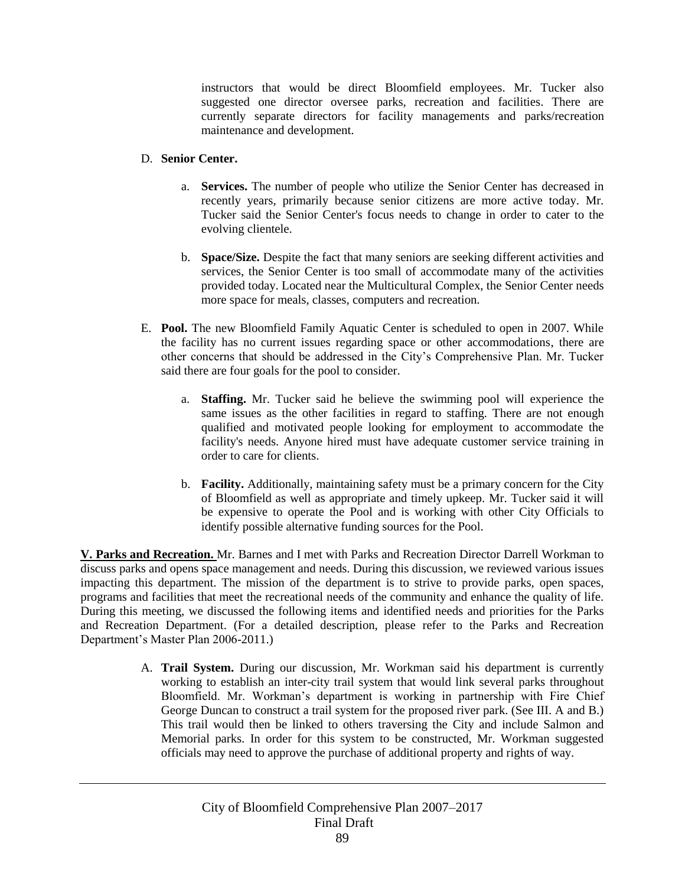instructors that would be direct Bloomfield employees. Mr. Tucker also suggested one director oversee parks, recreation and facilities. There are currently separate directors for facility managements and parks/recreation maintenance and development.

#### D. **Senior Center.**

- a. **Services.** The number of people who utilize the Senior Center has decreased in recently years, primarily because senior citizens are more active today. Mr. Tucker said the Senior Center's focus needs to change in order to cater to the evolving clientele.
- b. **Space/Size.** Despite the fact that many seniors are seeking different activities and services, the Senior Center is too small of accommodate many of the activities provided today. Located near the Multicultural Complex, the Senior Center needs more space for meals, classes, computers and recreation.
- E. **Pool.** The new Bloomfield Family Aquatic Center is scheduled to open in 2007. While the facility has no current issues regarding space or other accommodations, there are other concerns that should be addressed in the City's Comprehensive Plan. Mr. Tucker said there are four goals for the pool to consider.
	- a. **Staffing.** Mr. Tucker said he believe the swimming pool will experience the same issues as the other facilities in regard to staffing. There are not enough qualified and motivated people looking for employment to accommodate the facility's needs. Anyone hired must have adequate customer service training in order to care for clients.
	- b. **Facility.** Additionally, maintaining safety must be a primary concern for the City of Bloomfield as well as appropriate and timely upkeep. Mr. Tucker said it will be expensive to operate the Pool and is working with other City Officials to identify possible alternative funding sources for the Pool.

**V. Parks and Recreation.** Mr. Barnes and I met with Parks and Recreation Director Darrell Workman to discuss parks and opens space management and needs. During this discussion, we reviewed various issues impacting this department. The mission of the department is to strive to provide parks, open spaces, programs and facilities that meet the recreational needs of the community and enhance the quality of life. During this meeting, we discussed the following items and identified needs and priorities for the Parks and Recreation Department. (For a detailed description, please refer to the Parks and Recreation Department's Master Plan 2006-2011.)

> A. **Trail System.** During our discussion, Mr. Workman said his department is currently working to establish an inter-city trail system that would link several parks throughout Bloomfield. Mr. Workman's department is working in partnership with Fire Chief George Duncan to construct a trail system for the proposed river park. (See III. A and B.) This trail would then be linked to others traversing the City and include Salmon and Memorial parks. In order for this system to be constructed, Mr. Workman suggested officials may need to approve the purchase of additional property and rights of way.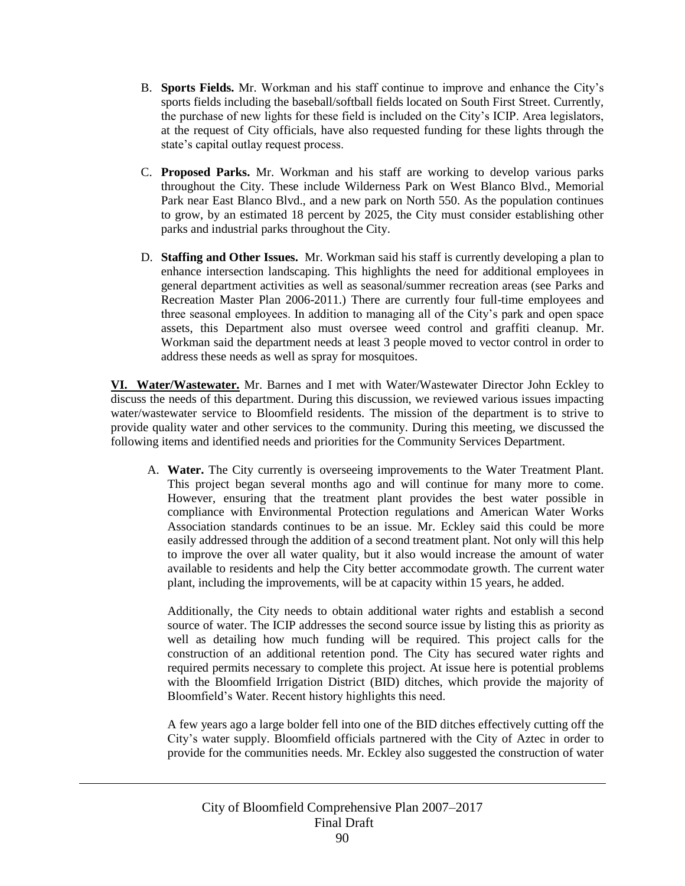- B. **Sports Fields.** Mr. Workman and his staff continue to improve and enhance the City's sports fields including the baseball/softball fields located on South First Street. Currently, the purchase of new lights for these field is included on the City's ICIP. Area legislators, at the request of City officials, have also requested funding for these lights through the state's capital outlay request process.
- C. **Proposed Parks.** Mr. Workman and his staff are working to develop various parks throughout the City. These include Wilderness Park on West Blanco Blvd., Memorial Park near East Blanco Blvd., and a new park on North 550. As the population continues to grow, by an estimated 18 percent by 2025, the City must consider establishing other parks and industrial parks throughout the City.
- D. **Staffing and Other Issues.** Mr. Workman said his staff is currently developing a plan to enhance intersection landscaping. This highlights the need for additional employees in general department activities as well as seasonal/summer recreation areas (see Parks and Recreation Master Plan 2006-2011.) There are currently four full-time employees and three seasonal employees. In addition to managing all of the City's park and open space assets, this Department also must oversee weed control and graffiti cleanup. Mr. Workman said the department needs at least 3 people moved to vector control in order to address these needs as well as spray for mosquitoes.

**VI. Water/Wastewater.** Mr. Barnes and I met with Water/Wastewater Director John Eckley to discuss the needs of this department. During this discussion, we reviewed various issues impacting water/wastewater service to Bloomfield residents. The mission of the department is to strive to provide quality water and other services to the community. During this meeting, we discussed the following items and identified needs and priorities for the Community Services Department.

A. **Water.** The City currently is overseeing improvements to the Water Treatment Plant. This project began several months ago and will continue for many more to come. However, ensuring that the treatment plant provides the best water possible in compliance with Environmental Protection regulations and American Water Works Association standards continues to be an issue. Mr. Eckley said this could be more easily addressed through the addition of a second treatment plant. Not only will this help to improve the over all water quality, but it also would increase the amount of water available to residents and help the City better accommodate growth. The current water plant, including the improvements, will be at capacity within 15 years, he added.

Additionally, the City needs to obtain additional water rights and establish a second source of water. The ICIP addresses the second source issue by listing this as priority as well as detailing how much funding will be required. This project calls for the construction of an additional retention pond. The City has secured water rights and required permits necessary to complete this project. At issue here is potential problems with the Bloomfield Irrigation District (BID) ditches, which provide the majority of Bloomfield's Water. Recent history highlights this need.

A few years ago a large bolder fell into one of the BID ditches effectively cutting off the City's water supply. Bloomfield officials partnered with the City of Aztec in order to provide for the communities needs. Mr. Eckley also suggested the construction of water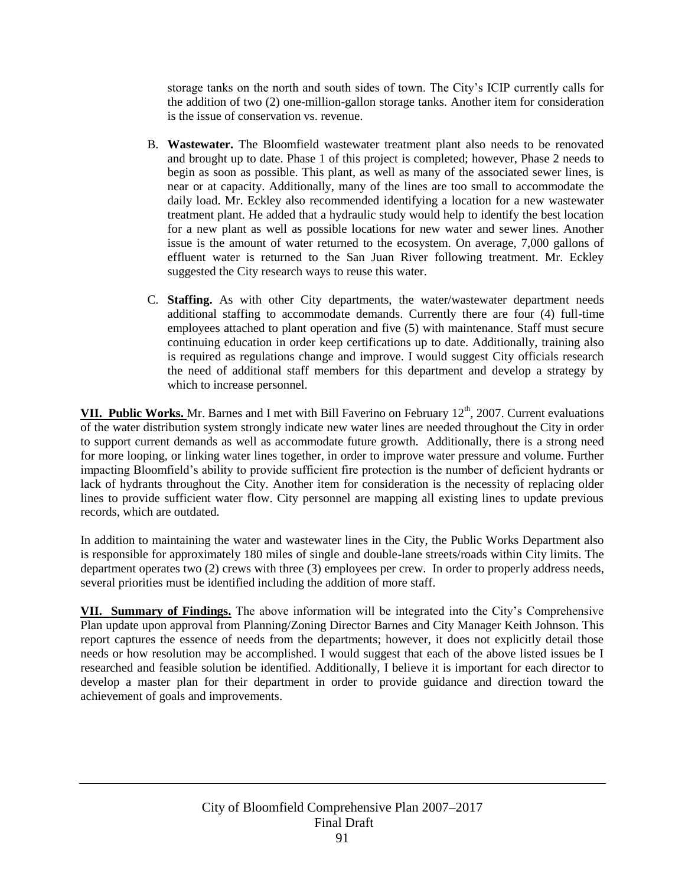storage tanks on the north and south sides of town. The City's ICIP currently calls for the addition of two (2) one-million-gallon storage tanks. Another item for consideration is the issue of conservation vs. revenue.

- B. **Wastewater.** The Bloomfield wastewater treatment plant also needs to be renovated and brought up to date. Phase 1 of this project is completed; however, Phase 2 needs to begin as soon as possible. This plant, as well as many of the associated sewer lines, is near or at capacity. Additionally, many of the lines are too small to accommodate the daily load. Mr. Eckley also recommended identifying a location for a new wastewater treatment plant. He added that a hydraulic study would help to identify the best location for a new plant as well as possible locations for new water and sewer lines. Another issue is the amount of water returned to the ecosystem. On average, 7,000 gallons of effluent water is returned to the San Juan River following treatment. Mr. Eckley suggested the City research ways to reuse this water.
- C. **Staffing.** As with other City departments, the water/wastewater department needs additional staffing to accommodate demands. Currently there are four (4) full-time employees attached to plant operation and five (5) with maintenance. Staff must secure continuing education in order keep certifications up to date. Additionally, training also is required as regulations change and improve. I would suggest City officials research the need of additional staff members for this department and develop a strategy by which to increase personnel.

**VII. Public Works.** Mr. Barnes and I met with Bill Faverino on February 12<sup>th</sup>, 2007. Current evaluations of the water distribution system strongly indicate new water lines are needed throughout the City in order to support current demands as well as accommodate future growth. Additionally, there is a strong need for more looping, or linking water lines together, in order to improve water pressure and volume. Further impacting Bloomfield's ability to provide sufficient fire protection is the number of deficient hydrants or lack of hydrants throughout the City. Another item for consideration is the necessity of replacing older lines to provide sufficient water flow. City personnel are mapping all existing lines to update previous records, which are outdated.

In addition to maintaining the water and wastewater lines in the City, the Public Works Department also is responsible for approximately 180 miles of single and double-lane streets/roads within City limits. The department operates two (2) crews with three (3) employees per crew. In order to properly address needs, several priorities must be identified including the addition of more staff.

**VII. Summary of Findings.** The above information will be integrated into the City's Comprehensive Plan update upon approval from Planning/Zoning Director Barnes and City Manager Keith Johnson. This report captures the essence of needs from the departments; however, it does not explicitly detail those needs or how resolution may be accomplished. I would suggest that each of the above listed issues be I researched and feasible solution be identified. Additionally, I believe it is important for each director to develop a master plan for their department in order to provide guidance and direction toward the achievement of goals and improvements.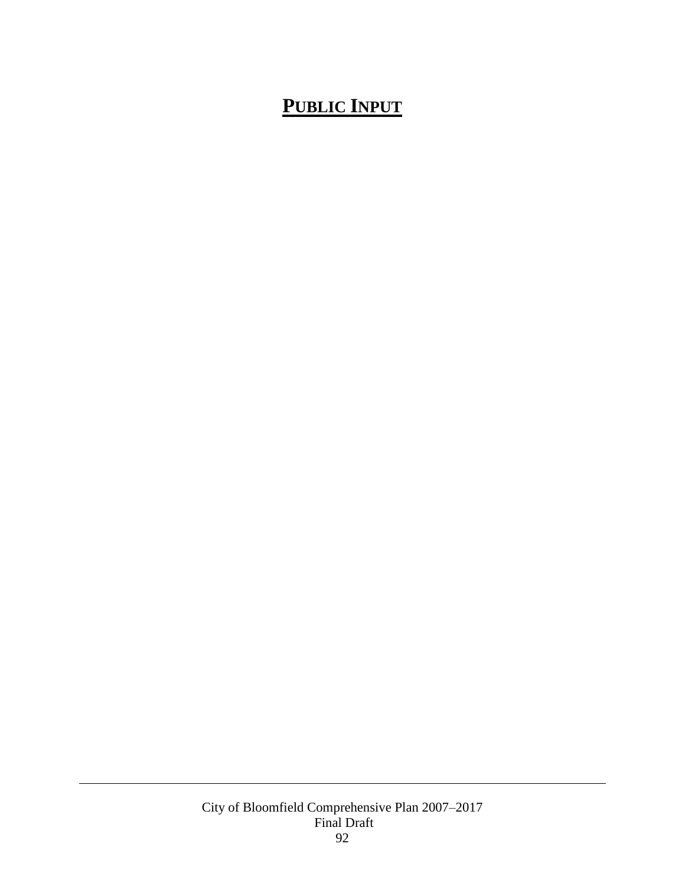# **PUBLIC INPUT**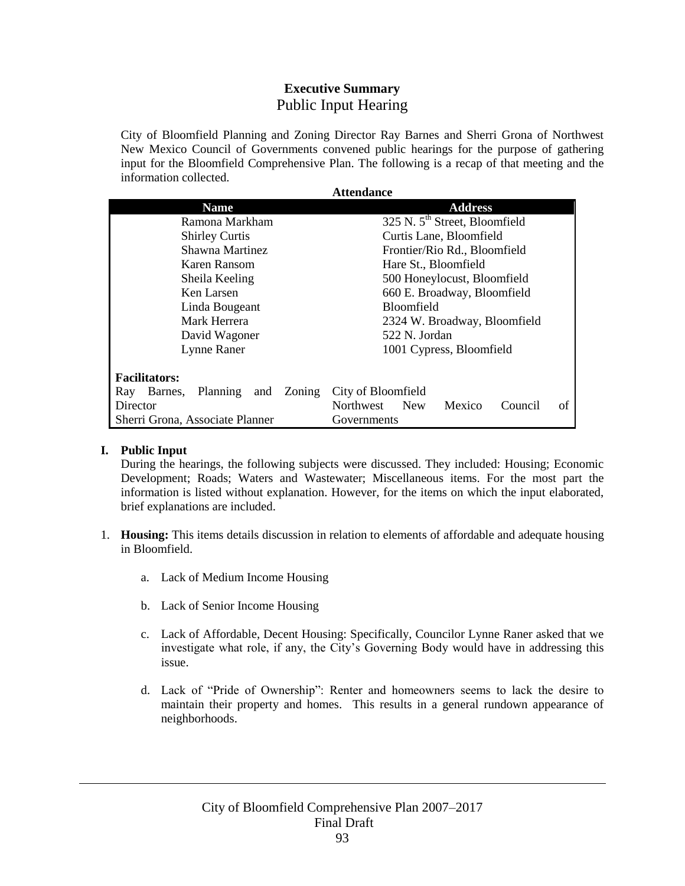### **Executive Summary** Public Input Hearing

City of Bloomfield Planning and Zoning Director Ray Barnes and Sherri Grona of Northwest New Mexico Council of Governments convened public hearings for the purpose of gathering input for the Bloomfield Comprehensive Plan. The following is a recap of that meeting and the information collected.

**Attendance**

| Auendance                                |                                                    |
|------------------------------------------|----------------------------------------------------|
| <b>Name</b>                              | <b>Address</b>                                     |
| Ramona Markham                           | 325 N. 5 <sup>th</sup> Street, Bloomfield          |
| <b>Shirley Curtis</b>                    | Curtis Lane, Bloomfield                            |
| Shawna Martinez                          | Frontier/Rio Rd., Bloomfield                       |
| Karen Ransom                             | Hare St., Bloomfield                               |
| Sheila Keeling                           | 500 Honeylocust, Bloomfield                        |
| Ken Larsen                               | 660 E. Broadway, Bloomfield                        |
| Linda Bougeant                           | <b>Bloomfield</b>                                  |
| Mark Herrera                             | 2324 W. Broadway, Bloomfield                       |
| David Wagoner                            | 522 N. Jordan                                      |
| Lynne Raner                              | 1001 Cypress, Bloomfield                           |
| <b>Facilitators:</b>                     |                                                    |
| Planning<br>and Zoning<br>Ray<br>Barnes, | City of Bloomfield                                 |
| Director                                 | Northwest<br>Mexico<br><b>New</b><br>of<br>Council |
| Sherri Grona, Associate Planner          | Governments                                        |

#### **I. Public Input**

During the hearings, the following subjects were discussed. They included: Housing; Economic Development; Roads; Waters and Wastewater; Miscellaneous items. For the most part the information is listed without explanation. However, for the items on which the input elaborated, brief explanations are included.

- 1. **Housing:** This items details discussion in relation to elements of affordable and adequate housing in Bloomfield.
	- a. Lack of Medium Income Housing
	- b. Lack of Senior Income Housing
	- c. Lack of Affordable, Decent Housing: Specifically, Councilor Lynne Raner asked that we investigate what role, if any, the City's Governing Body would have in addressing this issue.
	- d. Lack of "Pride of Ownership": Renter and homeowners seems to lack the desire to maintain their property and homes. This results in a general rundown appearance of neighborhoods.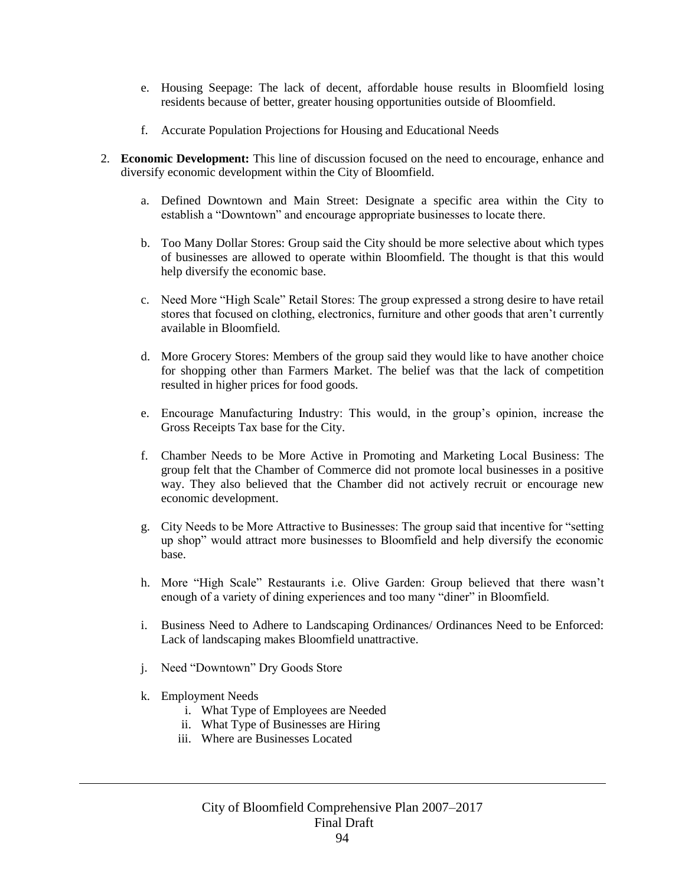- e. Housing Seepage: The lack of decent, affordable house results in Bloomfield losing residents because of better, greater housing opportunities outside of Bloomfield.
- f. Accurate Population Projections for Housing and Educational Needs
- 2. **Economic Development:** This line of discussion focused on the need to encourage, enhance and diversify economic development within the City of Bloomfield.
	- a. Defined Downtown and Main Street: Designate a specific area within the City to establish a "Downtown" and encourage appropriate businesses to locate there.
	- b. Too Many Dollar Stores: Group said the City should be more selective about which types of businesses are allowed to operate within Bloomfield. The thought is that this would help diversify the economic base.
	- c. Need More "High Scale" Retail Stores: The group expressed a strong desire to have retail stores that focused on clothing, electronics, furniture and other goods that aren't currently available in Bloomfield.
	- d. More Grocery Stores: Members of the group said they would like to have another choice for shopping other than Farmers Market. The belief was that the lack of competition resulted in higher prices for food goods.
	- e. Encourage Manufacturing Industry: This would, in the group's opinion, increase the Gross Receipts Tax base for the City.
	- f. Chamber Needs to be More Active in Promoting and Marketing Local Business: The group felt that the Chamber of Commerce did not promote local businesses in a positive way. They also believed that the Chamber did not actively recruit or encourage new economic development.
	- g. City Needs to be More Attractive to Businesses: The group said that incentive for "setting up shop" would attract more businesses to Bloomfield and help diversify the economic base.
	- h. More "High Scale" Restaurants i.e. Olive Garden: Group believed that there wasn't enough of a variety of dining experiences and too many "diner" in Bloomfield.
	- i. Business Need to Adhere to Landscaping Ordinances/ Ordinances Need to be Enforced: Lack of landscaping makes Bloomfield unattractive.
	- j. Need "Downtown" Dry Goods Store
	- k. Employment Needs
		- i. What Type of Employees are Needed
		- ii. What Type of Businesses are Hiring
		- iii. Where are Businesses Located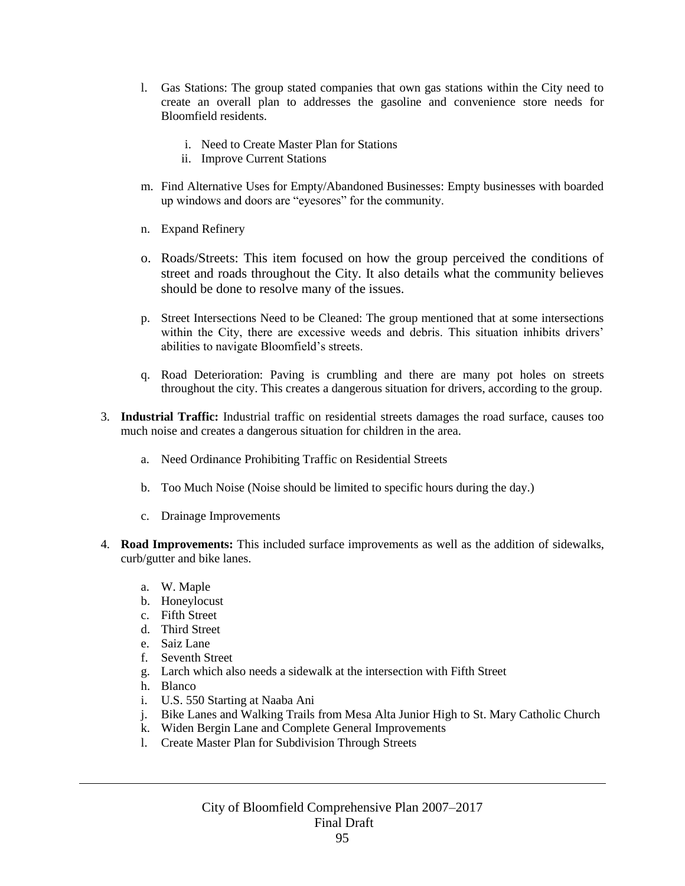- l. Gas Stations: The group stated companies that own gas stations within the City need to create an overall plan to addresses the gasoline and convenience store needs for Bloomfield residents.
	- i. Need to Create Master Plan for Stations
	- ii. Improve Current Stations
- m. Find Alternative Uses for Empty/Abandoned Businesses: Empty businesses with boarded up windows and doors are "eyesores" for the community.
- n. Expand Refinery
- o. Roads/Streets: This item focused on how the group perceived the conditions of street and roads throughout the City. It also details what the community believes should be done to resolve many of the issues.
- p. Street Intersections Need to be Cleaned: The group mentioned that at some intersections within the City, there are excessive weeds and debris. This situation inhibits drivers' abilities to navigate Bloomfield's streets.
- q. Road Deterioration: Paving is crumbling and there are many pot holes on streets throughout the city. This creates a dangerous situation for drivers, according to the group.
- 3. **Industrial Traffic:** Industrial traffic on residential streets damages the road surface, causes too much noise and creates a dangerous situation for children in the area.
	- a. Need Ordinance Prohibiting Traffic on Residential Streets
	- b. Too Much Noise (Noise should be limited to specific hours during the day.)
	- c. Drainage Improvements
- 4. **Road Improvements:** This included surface improvements as well as the addition of sidewalks, curb/gutter and bike lanes.
	- a. W. Maple
	- b. Honeylocust
	- c. Fifth Street
	- d. Third Street
	- e. Saiz Lane
	- f. Seventh Street
	- g. Larch which also needs a sidewalk at the intersection with Fifth Street
	- h. Blanco
	- i. U.S. 550 Starting at Naaba Ani
	- j. Bike Lanes and Walking Trails from Mesa Alta Junior High to St. Mary Catholic Church
	- k. Widen Bergin Lane and Complete General Improvements
	- l. Create Master Plan for Subdivision Through Streets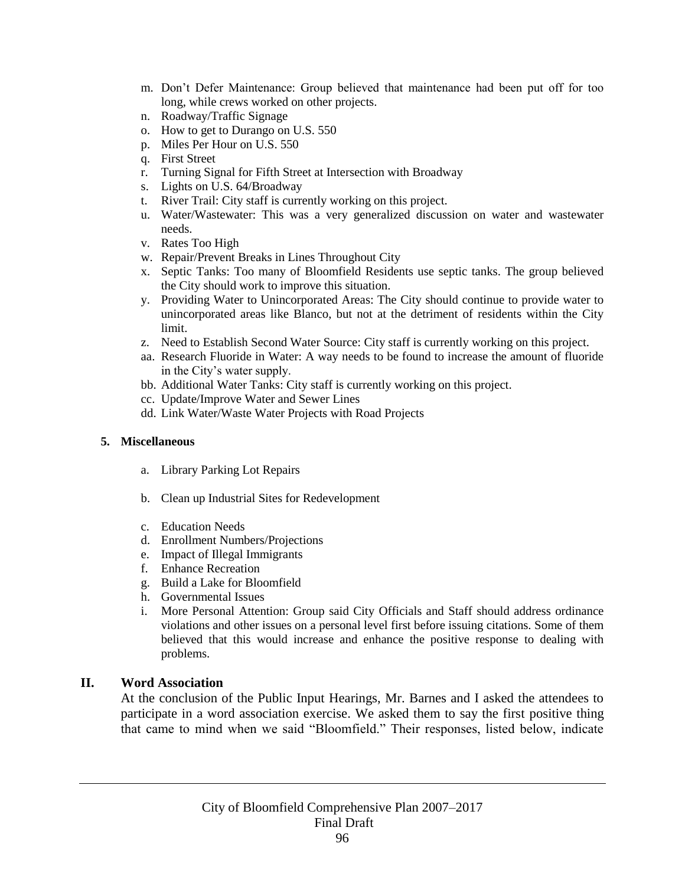- m. Don't Defer Maintenance: Group believed that maintenance had been put off for too long, while crews worked on other projects.
- n. Roadway/Traffic Signage
- o. How to get to Durango on U.S. 550
- p. Miles Per Hour on U.S. 550
- q. First Street
- r. Turning Signal for Fifth Street at Intersection with Broadway
- s. Lights on U.S. 64/Broadway
- t. River Trail: City staff is currently working on this project.
- u. Water/Wastewater: This was a very generalized discussion on water and wastewater needs.
- v. Rates Too High
- w. Repair/Prevent Breaks in Lines Throughout City
- x. Septic Tanks: Too many of Bloomfield Residents use septic tanks. The group believed the City should work to improve this situation.
- y. Providing Water to Unincorporated Areas: The City should continue to provide water to unincorporated areas like Blanco, but not at the detriment of residents within the City limit.
- z. Need to Establish Second Water Source: City staff is currently working on this project.
- aa. Research Fluoride in Water: A way needs to be found to increase the amount of fluoride in the City's water supply.
- bb. Additional Water Tanks: City staff is currently working on this project.
- cc. Update/Improve Water and Sewer Lines
- dd. Link Water/Waste Water Projects with Road Projects

#### **5. Miscellaneous**

- a. Library Parking Lot Repairs
- b. Clean up Industrial Sites for Redevelopment
- c. Education Needs
- d. Enrollment Numbers/Projections
- e. Impact of Illegal Immigrants
- f. Enhance Recreation
- g. Build a Lake for Bloomfield
- h. Governmental Issues
- i. More Personal Attention: Group said City Officials and Staff should address ordinance violations and other issues on a personal level first before issuing citations. Some of them believed that this would increase and enhance the positive response to dealing with problems.

### **II. Word Association**

At the conclusion of the Public Input Hearings, Mr. Barnes and I asked the attendees to participate in a word association exercise. We asked them to say the first positive thing that came to mind when we said "Bloomfield." Their responses, listed below, indicate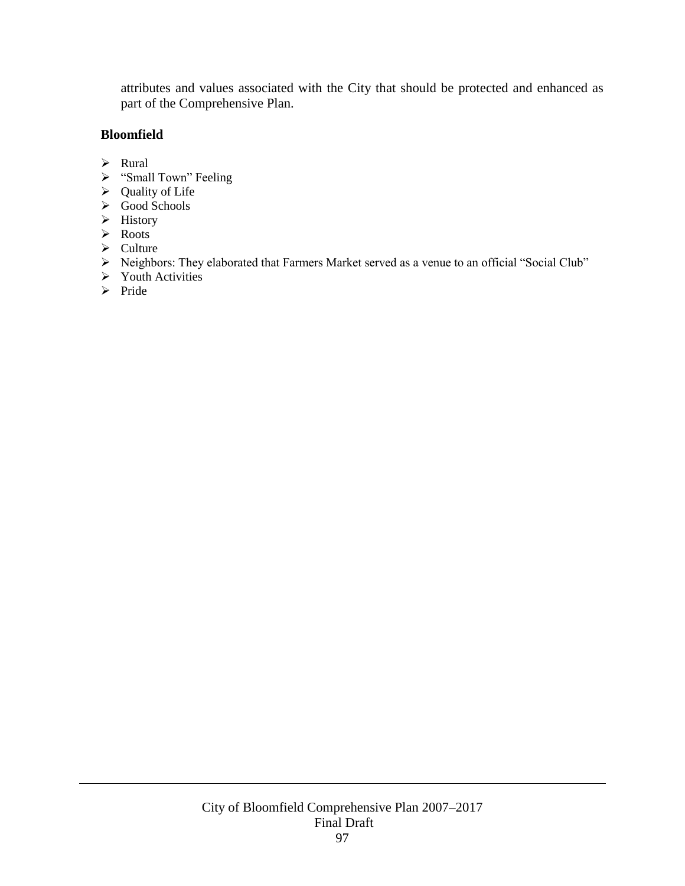attributes and values associated with the City that should be protected and enhanced as part of the Comprehensive Plan.

### **Bloomfield**

- > Rural
- > "Small Town" Feeling
- $\triangleright$  Quality of Life
- $\triangleright$  Good Schools
- $\triangleright$  History
- > Roots
- $\triangleright$  Culture
- Neighbors: They elaborated that Farmers Market served as a venue to an official "Social Club"
- $\triangleright$  Youth Activities
- $\triangleright$  Pride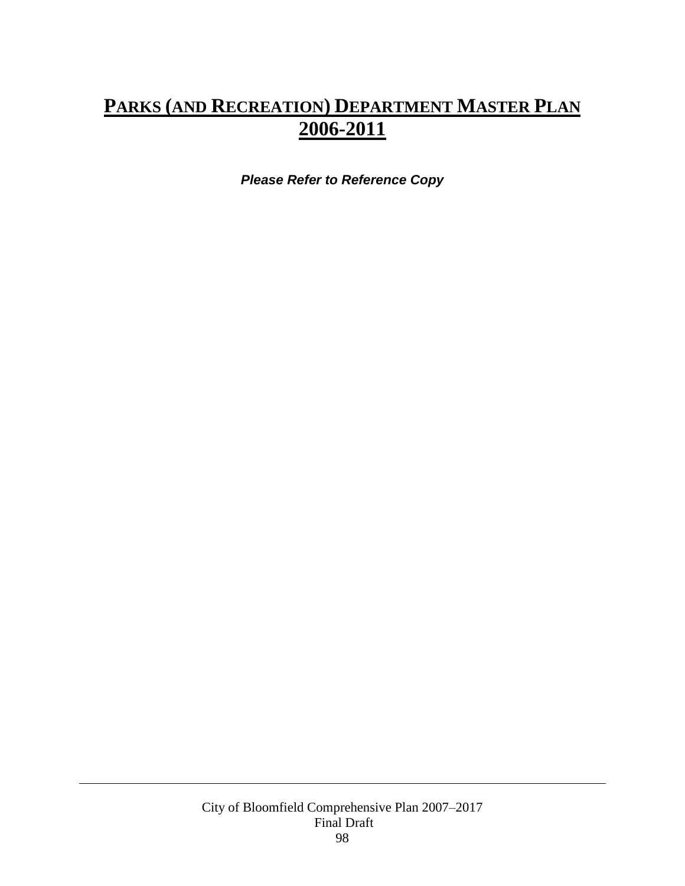## **PARKS (AND RECREATION) DEPARTMENT MASTER PLAN 2006-2011**

*Please Refer to Reference Copy*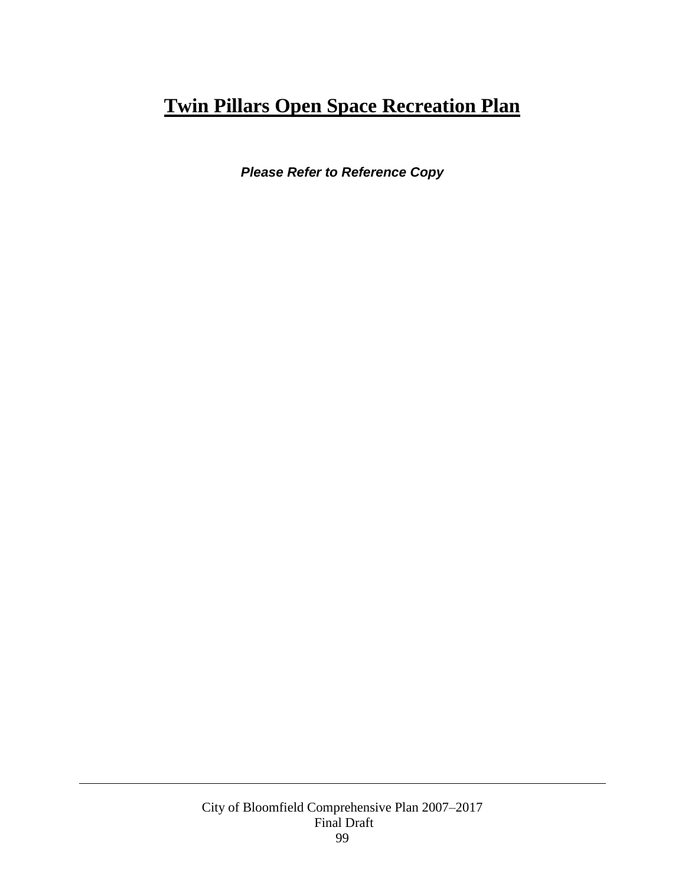## **Twin Pillars Open Space Recreation Plan**

*Please Refer to Reference Copy*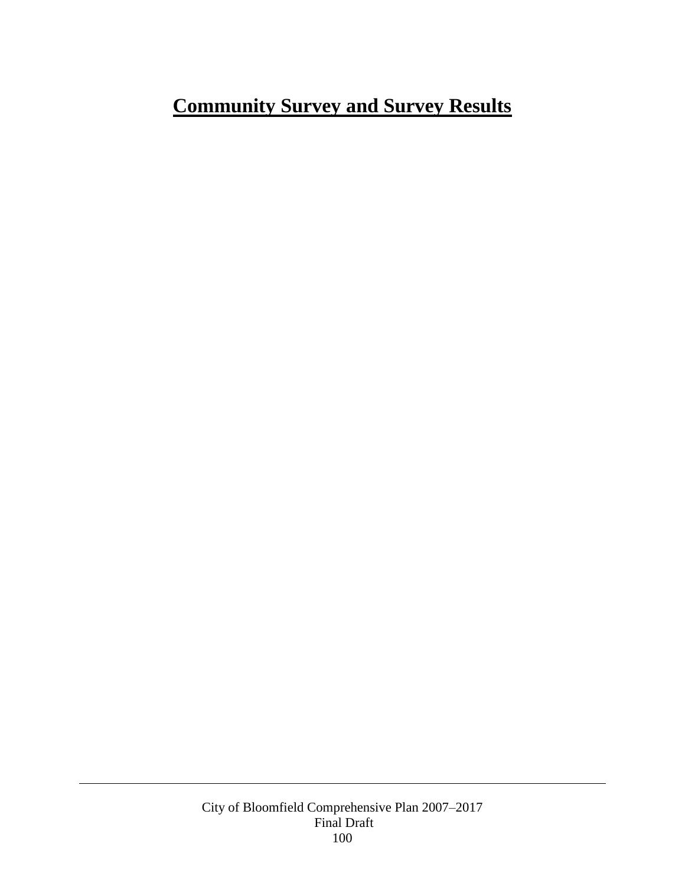# **Community Survey and Survey Results**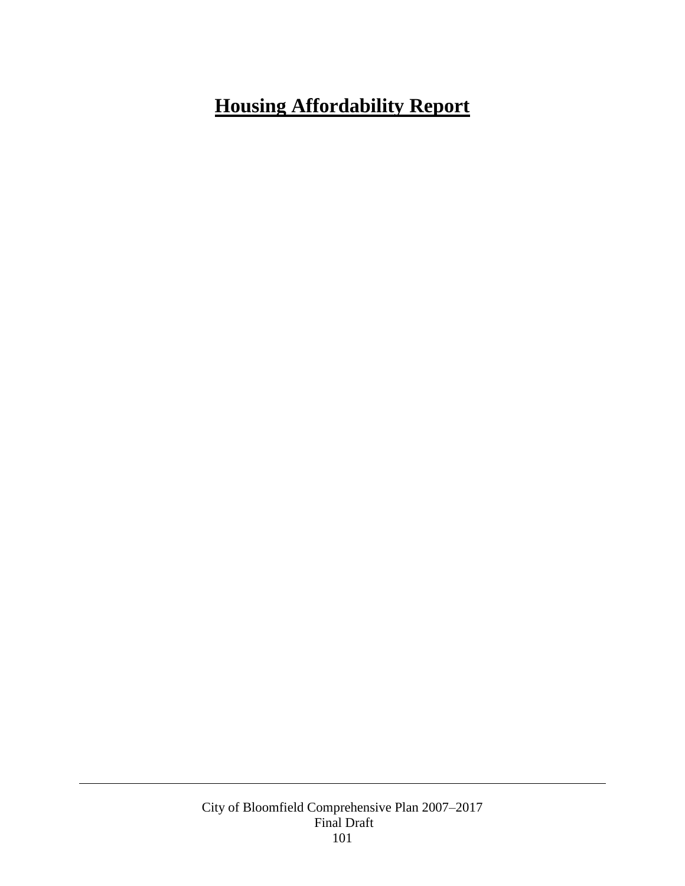# **Housing Affordability Report**